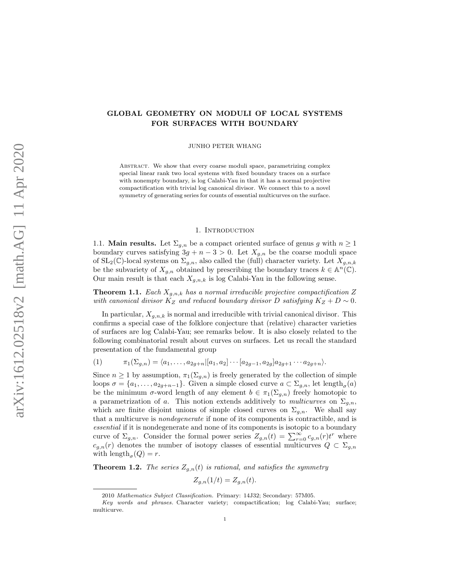# GLOBAL GEOMETRY ON MODULI OF LOCAL SYSTEMS FOR SURFACES WITH BOUNDARY

JUNHO PETER WHANG

ABSTRACT. We show that every coarse moduli space, parametrizing complex special linear rank two local systems with fixed boundary traces on a surface with nonempty boundary, is log Calabi-Yau in that it has a normal projective compactification with trivial log canonical divisor. We connect this to a novel symmetry of generating series for counts of essential multicurves on the surface.

## 1. INTRODUCTION

<span id="page-0-3"></span>1.1. **Main results.** Let  $\Sigma_{g,n}$  be a compact oriented surface of genus g with  $n \geq 1$ boundary curves satisfying  $3g + n - 3 > 0$ . Let  $X_{g,n}$  be the coarse moduli space of  $SL_2(\mathbb{C})$ -local systems on  $\Sigma_{g,n}$ , also called the (full) character variety. Let  $X_{g,n,k}$ be the subvariety of  $X_{g,n}$  obtained by prescribing the boundary traces  $k \in \mathbb{A}^n(\mathbb{C})$ . Our main result is that each  $X_{q,n,k}$  is log Calabi-Yau in the following sense.

<span id="page-0-0"></span>**Theorem 1.1.** Each  $X_{g,n,k}$  has a normal irreducible projective compactification Z with canonical divisor  $K_Z$  and reduced boundary divisor D satisfying  $K_Z + D \sim 0$ .

In particular,  $X_{g,n,k}$  is normal and irreducible with trivial canonical divisor. This confirms a special case of the folklore conjecture that (relative) character varieties of surfaces are log Calabi-Yau; see remarks below. It is also closely related to the following combinatorial result about curves on surfaces. Let us recall the standard presentation of the fundamental group

<span id="page-0-2"></span>(1) 
$$
\pi_1(\Sigma_{g,n}) = \langle a_1, \ldots, a_{2g+n} | [a_1, a_2] \cdots [a_{2g-1}, a_{2g}] a_{2g+1} \cdots a_{2g+n} \rangle.
$$

Since  $n \geq 1$  by assumption,  $\pi_1(\Sigma_{g,n})$  is freely generated by the collection of simple loops  $\sigma = \{a_1, \ldots, a_{2g+n-1}\}.$  Given a simple closed curve  $a \subset \Sigma_{g,n}$ , let length<sub> $\sigma$ </sub> $(a)$ be the minimum  $\sigma$ -word length of any element  $b \in \pi_1(\Sigma_{g,n})$  freely homotopic to a parametrization of a. This notion extends additively to multicurves on  $\Sigma_{g,n}$ , which are finite disjoint unions of simple closed curves on  $\Sigma_{g,n}$ . We shall say that a multicurve is nondegenerate if none of its components is contractible, and is essential if it is nondegenerate and none of its components is isotopic to a boundary curve of  $\Sigma_{g,n}$ . Consider the formal power series  $Z_{g,n}(t) = \sum_{r=0}^{\infty} c_{g,n}(r) t^r$  where  $c_{g,n}(r)$  denotes the number of isotopy classes of essential multicurves  $Q \subset \Sigma_{g,n}$ with  $\text{length}_{\sigma}(Q) = r.$ 

<span id="page-0-1"></span>**Theorem 1.2.** The series  $Z_{g,n}(t)$  is rational, and satisfies the symmetry

 $Z_{g,n}(1/t) = Z_{g,n}(t).$ 

<sup>2010</sup> Mathematics Subject Classification. Primary: 14J32; Secondary: 57M05.

Key words and phrases. Character variety; compactification; log Calabi-Yau; surface; multicurve.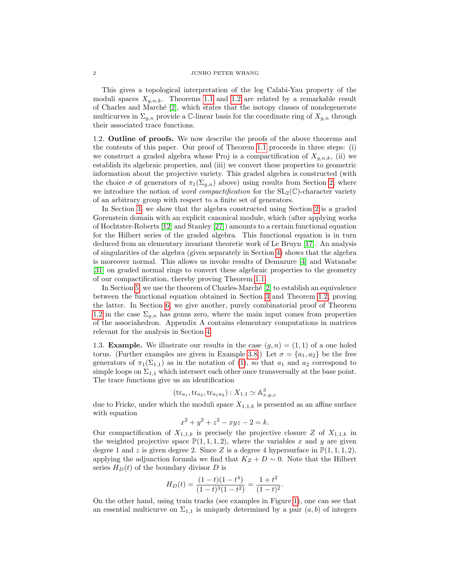This gives a topological interpretation of the log Calabi-Yau property of the moduli spaces  $X_{q,n,k}$ . Theorems [1.1](#page-0-0) and [1.2](#page-0-1) are related by a remarkable result of Charles and Marché  $[2]$ , which states that the isotopy classes of nondegenerate multicurves in  $\Sigma_{g,n}$  provide a C-linear basis for the coordinate ring of  $X_{g,n}$  through their associated trace functions.

1.2. Outline of proofs. We now describe the proofs of the above theorems and the contents of this paper. Our proof of Theorem [1.1](#page-0-0) proceeds in three steps: (i) we construct a graded algebra whose Proj is a compactification of  $X_{q,n,k}$ , (ii) we establish its algebraic properties, and (iii) we convert these properties to geometric information about the projective variety. This graded algebra is constructed (with the choice  $\sigma$  of generators of  $\pi_1(\Sigma_{g,n})$  above) using results from Section [2,](#page-3-0) where we introduce the notion of *word compactification* for the  $SL_2(\mathbb{C})$ -character variety of an arbitrary group with respect to a finite set of generators.

In Section [3,](#page-9-0) we show that the algebra constructed using Section [2](#page-3-0) is a graded Gorenstein domain with an explicit canonical module, which (after applying works of Hochtster-Roberts [\[12\]](#page-39-1) and Stanley [\[27\]](#page-40-0)) amounts to a certain functional equation for the Hilbert series of the graded algebra. This functional equation is in turn deduced from an elementary invariant theoretic work of Le Bruyn [\[17\]](#page-40-1). An analysis of singularities of the algebra (given separately in Section [4\)](#page-15-0) shows that the algebra is moreover normal. This allows us invoke results of Demazure [\[4\]](#page-39-2) and Watanabe [\[31\]](#page-40-2) on graded normal rings to convert these algebraic properties to the geometry of our compactification, thereby proving Theorem [1.1.](#page-0-0)

In Section [5,](#page-25-0) we use the theorem of Charles-Marché  $[2]$  to establish an equivalence between the functional equation obtained in Section [3](#page-9-0) and Theorem [1.2,](#page-0-1) proving the latter. In Section [6,](#page-30-0) we give another, purely combinatorial proof of Theorem [1.2](#page-0-1) in the case  $\Sigma_{g,n}$  has genus zero, where the main input comes from properties of the associahedron. Appendix A contains elementary computations in matrices relevant for the analysis in Section [4.](#page-15-0)

<span id="page-1-0"></span>1.3. **Example.** We illustrate our results in the case  $(g, n) = (1, 1)$  of a one holed torus. (Further examples are given in Example [3.8.](#page-14-0)) Let  $\sigma = \{a_1, a_2\}$  be the free generators of  $\pi_1(\Sigma_{1,1})$  as in the notation of [\(1\)](#page-0-2), so that  $a_1$  and  $a_2$  correspond to simple loops on  $\Sigma_{1,1}$  which intersect each other once transversally at the base point. The trace functions give us an identification

$$
(\mathrm{tr}_{a_1}, \mathrm{tr}_{a_2}, \mathrm{tr}_{a_1 a_2}): X_{1,1} \simeq \mathbb{A}^3_{x,y,z}
$$

due to Fricke, under which the moduli space  $X_{1,1,k}$  is presented as an affine surface with equation

$$
x^2 + y^2 + z^2 - xyz - 2 = k.
$$

Our compactification of  $X_{1,1,k}$  is precisely the projective closure Z of  $X_{1,1,k}$  in the weighted projective space  $\mathbb{P}(1,1,1,2)$ , where the variables x and y are given degree 1 and z is given degree 2. Since Z is a degree 4 hypersurface in  $\mathbb{P}(1,1,1,2)$ , applying the adjunction formula we find that  $K_Z + D \sim 0$ . Note that the Hilbert series  $H_D(t)$  of the boundary divisor D is

$$
H_D(t) = \frac{(1-t)(1-t^4)}{(1-t)^3(1-t^2)} = \frac{1+t^2}{(1-t)^2}.
$$

On the other hand, using train tracks (see examples in Figure [1\)](#page-2-0), one can see that an essential multicurve on  $\Sigma_{1,1}$  is uniquely determined by a pair  $(a, b)$  of integers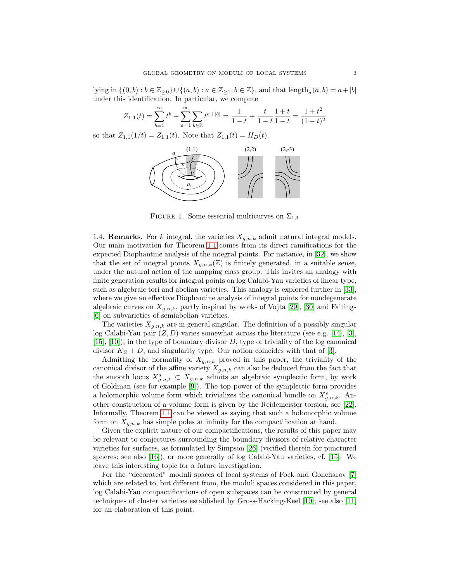lying in  $\{(0,b):b\in\mathbb{Z}_{\geq0}\}\cup\{(a,b):a\in\mathbb{Z}_{\geq1},b\in\mathbb{Z}\}$ , and that  $\text{length}_{\sigma}(a,b)=a+|b|$ under this identification. In particular, we compute

$$
Z_{1,1}(t) = \sum_{b=0}^{\infty} t^b + \sum_{a=1}^{\infty} \sum_{b \in \mathbb{Z}} t^{a+|b|} = \frac{1}{1-t} + \frac{t}{1-t} \frac{1+t}{1-t} = \frac{1+t^2}{(1-t)^2}
$$

so that  $Z_{1,1}(1/t) = Z_{1,1}(t)$ . Note that  $Z_{1,1}(t) = H_D(t)$ .



<span id="page-2-0"></span>FIGURE 1. Some essential multicurves on  $\Sigma_{1,1}$ 

1.4. **Remarks.** For k integral, the varieties  $X_{g,n,k}$  admit natural integral models. Our main motivation for Theorem [1.1](#page-0-0) comes from its direct ramifications for the expected Diophantine analysis of the integral points. For instance, in [\[32\]](#page-40-3), we show that the set of integral points  $X_{g,n,k}(\mathbb{Z})$  is finitely generated, in a suitable sense, under the natural action of the mapping class group. This invites an analogy with finite generation results for integral points on log Calabi-Yau varieties of linear type, such as algebraic tori and abelian varieties. This analogy is explored further in [\[33\]](#page-40-4), where we give an effective Diophantine analysis of integral points for nondegenerate algebraic curves on  $X_{g,n,k}$ , partly inspired by works of Vojta [\[29\]](#page-40-5), [\[30\]](#page-40-6) and Faltings [\[6\]](#page-39-3) on subvarieties of semiabelian varieties.

The varieties  $X_{q,n,k}$  are in general singular. The definition of a possibly singular log Calabi-Yau pair  $(Z, D)$  varies somewhat across the literature (see e.g. [\[14\]](#page-40-7), [\[3\]](#page-39-4),  $[15]$ ,  $[10]$ ), in the type of boundary divisor D, type of triviality of the log canonical divisor  $K_Z + D$ , and singularity type. Our notion coincides with that of [\[3\]](#page-39-4).

Admitting the normality of  $X_{g,n,k}$  proved in this paper, the triviality of the canonical divisor of the affine variety  $X_{g,n,k}$  can also be deduced from the fact that the smooth locus  $X_{g,n,k}^s \subset X_{g,n,k}$  admits an algebraic symplectic form, by work of Goldman (see for example [\[9\]](#page-39-6)). The top power of the symplectic form provides a holomorphic volume form which trivializes the canonical bundle on  $X_{g,n,k}^s$ . Another construction of a volume form is given by the Reidemeister torsion, see [\[22\]](#page-40-9). Informally, Theorem [1.1](#page-0-0) can be viewed as saying that such a holomorphic volume form on  $X_{g,n,k}$  has simple poles at infinity for the compactification at hand.

Given the explicit nature of our compactifications, the results of this paper may be relevant to conjectures surrounding the boundary divisors of relative character varieties for surfaces, as formulated by Simpson [\[26\]](#page-40-10) (verified therein for punctured spheres; see also [\[16\]](#page-40-11)), or more generally of log Calabi-Yau varieties, cf. [\[15\]](#page-40-8). We leave this interesting topic for a future investigation.

For the "decorated" moduli spaces of local systems of Fock and Goncharov [\[7\]](#page-39-7) which are related to, but different from, the moduli spaces considered in this paper, log Calabi-Yau compactifications of open subspaces can be constructed by general techniques of cluster varieties established by Gross-Hacking-Keel [\[10\]](#page-39-5); see also [\[11\]](#page-39-8) for an elaboration of this point.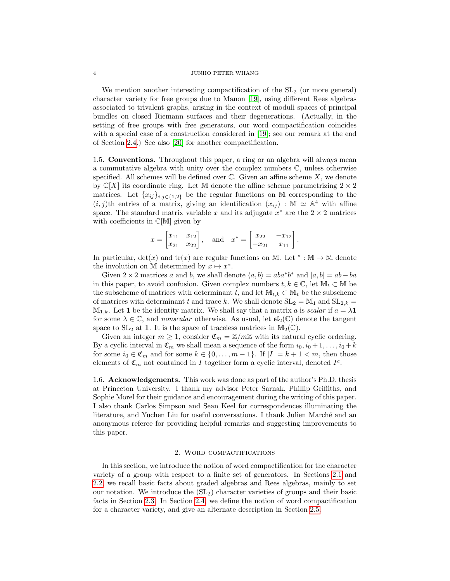We mention another interesting compactification of the  $SL<sub>2</sub>$  (or more general) character variety for free groups due to Manon [\[19\]](#page-40-12), using different Rees algebras associated to trivalent graphs, arising in the context of moduli spaces of principal bundles on closed Riemann surfaces and their degenerations. (Actually, in the setting of free groups with free generators, our word compactification coincides with a special case of a construction considered in [\[19\]](#page-40-12); see our remark at the end of Section [2.4.](#page-7-0)) See also [\[20\]](#page-40-13) for another compactification.

<span id="page-3-1"></span>1.5. Conventions. Throughout this paper, a ring or an algebra will always mean a commutative algebra with unity over the complex numbers C, unless otherwise specified. All schemes will be defined over  $\mathbb C$ . Given an affine scheme  $X$ , we denote by  $\mathbb{C}[X]$  its coordinate ring. Let M denote the affine scheme parametrizing  $2 \times 2$ matrices. Let  $\{x_{ij}\}_{i,j\in\{1,2\}}$  be the regular functions on M corresponding to the  $(i, j)$ th entries of a matrix, giving an identification  $(x_{ij}) : \mathbb{M} \simeq \mathbb{A}^4$  with affine space. The standard matrix variable x and its adjugate  $x^*$  are the 2 × 2 matrices with coefficients in  $\mathbb{C}[\mathbb{M}]$  given by

$$
x = \begin{bmatrix} x_{11} & x_{12} \\ x_{21} & x_{22} \end{bmatrix}
$$
, and  $x^* = \begin{bmatrix} x_{22} & -x_{12} \\ -x_{21} & x_{11} \end{bmatrix}$ 

.

In particular,  $det(x)$  and  $tr(x)$  are regular functions on M. Let  $* : \mathbb{M} \to \mathbb{M}$  denote the involution on M determined by  $x \mapsto x^*$ .

Given  $2 \times 2$  matrices a and b, we shall denote  $\langle a, b \rangle = aba^*b^*$  and  $[a, b] = ab - ba$ in this paper, to avoid confusion. Given complex numbers  $t, k \in \mathbb{C}$ , let  $\mathbb{M}_t \subset \mathbb{M}$  be the subscheme of matrices with determinant t, and let  $\mathbb{M}_{t,k} \subset \mathbb{M}_t$  be the subscheme of matrices with determinant t and trace k. We shall denote  $SL_2 = M_1$  and  $SL_{2,k} =$  $\mathbb{M}_{1,k}$ . Let 1 be the identity matrix. We shall say that a matrix a is scalar if  $a = \lambda 1$ for some  $\lambda \in \mathbb{C}$ , and nonscalar otherwise. As usual, let  $\mathfrak{sl}_2(\mathbb{C})$  denote the tangent space to  $SL_2$  at 1. It is the space of traceless matrices in  $\mathbb{M}_2(\mathbb{C})$ .

Given an integer  $m \geq 1$ , consider  $\mathfrak{C}_m = \mathbb{Z}/m\mathbb{Z}$  with its natural cyclic ordering. By a cyclic interval in  $\mathfrak{C}_m$  we shall mean a sequence of the form  $i_0, i_0 + 1, \ldots, i_0 + k$ for some  $i_0 \in \mathfrak{C}_m$  and for some  $k \in \{0, \ldots, m-1\}$ . If  $|I| = k+1 < m$ , then those elements of  $\mathfrak{C}_m$  not contained in I together form a cyclic interval, denoted  $I^c$ .

1.6. Acknowledgements. This work was done as part of the author's Ph.D. thesis at Princeton University. I thank my advisor Peter Sarnak, Phillip Griffiths, and Sophie Morel for their guidance and encouragement during the writing of this paper. I also thank Carlos Simpson and Sean Keel for correspondences illuminating the literature, and Yuchen Liu for useful conversations. I thank Julien March´e and an anonymous referee for providing helpful remarks and suggesting improvements to this paper.

### 2. Word compactifications

<span id="page-3-0"></span>In this section, we introduce the notion of word compactification for the character variety of a group with respect to a finite set of generators. In Sections [2.1](#page-4-0) and [2.2,](#page-5-0) we recall basic facts about graded algebras and Rees algebras, mainly to set our notation. We introduce the  $(SL<sub>2</sub>)$  character varieties of groups and their basic facts in Section [2.3.](#page-6-0) In Section [2.4,](#page-7-0) we define the notion of word compactification for a character variety, and give an alternate description in Section [2.5.](#page-8-0)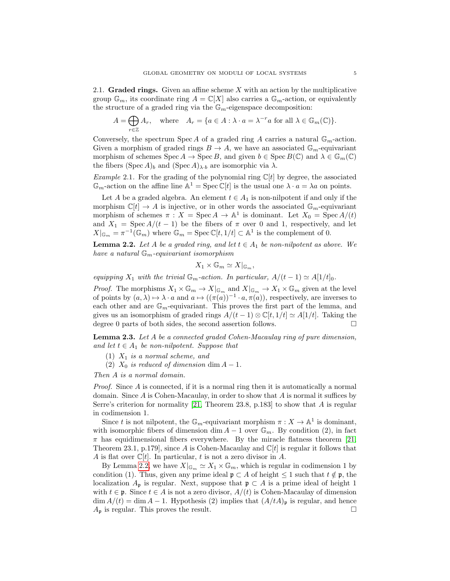<span id="page-4-0"></span>2.1. Graded rings. Given an affine scheme  $X$  with an action by the multiplicative group  $\mathbb{G}_m$ , its coordinate ring  $A = \mathbb{C}[X]$  also carries a  $\mathbb{G}_m$ -action, or equivalently the structure of a graded ring via the  $\mathbb{G}_m$ -eigenspace decomposition:

$$
A = \bigoplus_{r \in \mathbb{Z}} A_r, \quad \text{where} \quad A_r = \{a \in A : \lambda \cdot a = \lambda^{-r} a \text{ for all } \lambda \in \mathbb{G}_m(\mathbb{C})\}.
$$

Conversely, the spectrum Spec A of a graded ring A carries a natural  $\mathbb{G}_m$ -action. Given a morphism of graded rings  $B \to A$ , we have an associated  $\mathbb{G}_m$ -equivariant morphism of schemes Spec  $A \to \text{Spec } B$ , and given  $b \in \text{Spec } B(\mathbb{C})$  and  $\lambda \in \mathbb{G}_m(\mathbb{C})$ the fibers  $(\text{Spec } A)_b$  and  $(\text{Spec } A)_{\lambda \cdot b}$  are isomorphic via  $\lambda$ .

*Example* 2.1. For the grading of the polynomial ring  $\mathbb{C}[t]$  by degree, the associated  $\mathbb{G}_m$ -action on the affine line  $\mathbb{A}^1 = \text{Spec } \mathbb{C}[t]$  is the usual one  $\lambda \cdot a = \lambda a$  on points.

Let A be a graded algebra. An element  $t \in A_1$  is non-nilpotent if and only if the morphism  $\mathbb{C}[t] \to A$  is injective, or in other words the associated  $\mathbb{G}_m$ -equivariant morphism of schemes  $\pi : X = \operatorname{Spec} A \to \mathbb{A}^1$  is dominant. Let  $X_0 = \operatorname{Spec} A/(t)$ and  $X_1 = \text{Spec } A/(t-1)$  be the fibers of  $\pi$  over 0 and 1, respectively, and let  $X|_{\mathbb{G}_m} = \pi^{-1}(\mathbb{G}_m)$  where  $\mathbb{G}_m = \text{Spec } \mathbb{C}[t,1/t] \subset \mathbb{A}^1$  is the complement of 0.

<span id="page-4-1"></span>**Lemma 2.2.** Let A be a graded ring, and let  $t \in A_1$  be non-nilpotent as above. We have a natural  $\mathbb{G}_m$ -equivariant isomorphism

$$
X_1 \times \mathbb{G}_m \simeq X|_{\mathbb{G}_m},
$$

equipping  $X_1$  with the trivial  $\mathbb{G}_m$ -action. In particular,  $A/(t-1) \simeq A[1/t]_0$ .

*Proof.* The morphisms  $X_1 \times \mathbb{G}_m \to X|_{\mathbb{G}_m}$  and  $X|_{\mathbb{G}_m} \to X_1 \times \mathbb{G}_m$  given at the level of points by  $(a, \lambda) \mapsto \lambda \cdot a$  and  $a \mapsto ((\pi(a))^{-1} \cdot a, \pi(a))$ , respectively, are inverses to each other and are  $\mathbb{G}_m$ -equivariant. This proves the first part of the lemma, and gives us an isomorphism of graded rings  $A/(t-1) \otimes \mathbb{C}[t, 1/t] \simeq A[1/t]$ . Taking the degree 0 parts of both sides, the second assertion follows.

<span id="page-4-2"></span>Lemma 2.3. Let A be a connected graded Cohen-Macaulay ring of pure dimension, and let  $t \in A_1$  be non-nilpotent. Suppose that

- (1)  $X_1$  is a normal scheme, and
- (2)  $X_0$  is reduced of dimension dim  $A-1$ .

Then A is a normal domain.

*Proof.* Since  $\vec{A}$  is connected, if it is a normal ring then it is automatically a normal domain. Since  $A$  is Cohen-Macaulay, in order to show that  $A$  is normal it suffices by Serre's criterion for normality [\[21,](#page-40-14) Theorem 23.8, p.183] to show that A is regular in codimension 1.

Since t is not nilpotent, the  $\mathbb{G}_m$ -equivariant morphism  $\pi: X \to \mathbb{A}^1$  is dominant, with isomorphic fibers of dimension dim  $A - 1$  over  $\mathbb{G}_m$ . By condition (2), in fact  $\pi$  has equidimensional fibers everywhere. By the miracle flatness theorem [\[21,](#page-40-14) Theorem 23.1, p.179, since A is Cohen-Macaulay and  $\mathbb{C}[t]$  is regular it follows that A is flat over  $\mathbb{C}[t]$ . In particular, t is not a zero divisor in A.

By Lemma [2.2,](#page-4-1) we have  $X|_{\mathbb{G}_m} \simeq X_1 \times \mathbb{G}_m$ , which is regular in codimension 1 by condition (1). Thus, given any prime ideal  $\mathfrak{p} \subset A$  of height  $\leq 1$  such that  $t \notin \mathfrak{p}$ , the localization  $A_{\mathfrak{p}}$  is regular. Next, suppose that  $\mathfrak{p} \subset A$  is a prime ideal of height 1 with  $t \in \mathfrak{p}$ . Since  $t \in A$  is not a zero divisor,  $A/(t)$  is Cohen-Macaulay of dimension  $\dim A/(t) = \dim A - 1$ . Hypothesis (2) implies that  $(A/tA)$ <sub>p</sub> is regular, and hence  $A_{\mathfrak{p}}$  is regular. This proves the result.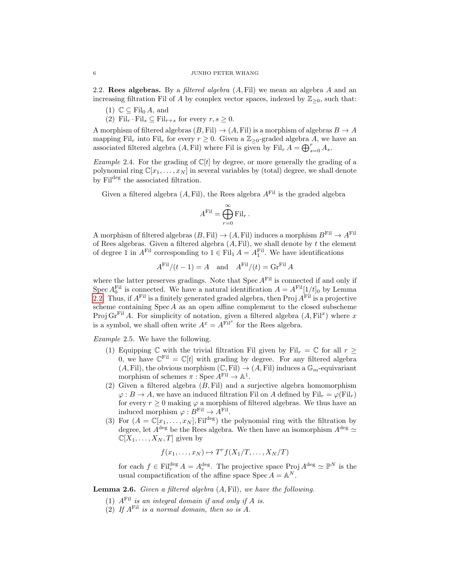<span id="page-5-0"></span>2.2. Rees algebras. By a *filtered algebra*  $(A, Fil)$  we mean an algebra  $A$  and an increasing filtration Fil of A by complex vector spaces, indexed by  $\mathbb{Z}_{\geq 0}$ , such that:

- (1)  $\mathbb{C} \subseteq \text{Fil}_{0} A$ , and
- (2) Fil<sub>r</sub> · Fil<sub>s</sub>  $\subseteq$  Fil<sub>r+s</sub> for every  $r, s \geq 0$ .

A morphism of filtered algebras  $(B, Fil) \rightarrow (A, Fil)$  is a morphism of algebras  $B \rightarrow A$ mapping Fil<sub>r</sub> into Fil<sub>r</sub> for every  $r \geq 0$ . Given a  $\mathbb{Z}_{\geq 0}$ -graded algebra A, we have an associated filtered algebra  $(A, \text{Fil})$  where Fil is given by Fil<sub>r</sub>  $A = \bigoplus_{s=0}^{r} A_s$ .

Example 2.4. For the grading of  $\mathbb{C}[t]$  by degree, or more generally the grading of a polynomial ring  $\mathbb{C}[x_1,\ldots,x_N]$  in several variables by (total) degree, we shall denote by Fil<sup>deg</sup> the associated filtration.

Given a filtered algebra  $(A, Fil)$ , the Rees algebra  $A<sup>Fil</sup>$  is the graded algebra

$$
A^{\mathrm{Fil}} = \bigoplus_{r=0}^{\infty} \mathrm{Fil}_r.
$$

A morphism of filtered algebras  $(B, \text{Fil}) \rightarrow (A, \text{Fil})$  induces a morphism  $B^{\text{Fil}} \rightarrow A^{\text{Fil}}$ of Rees algebras. Given a filtered algebra  $(A, \text{Fil})$ , we shall denote by  $t$  the element of degree 1 in  $A^{\text{Fil}}$  corresponding to  $1 \in \text{Fil}_1 A = A_1^{\text{Fil}}$ . We have identifications

$$
A^{\text{Fil}}/(t-1) = A \quad \text{and} \quad A^{\text{Fil}}/(t) = \text{Gr}^{\text{Fil}} A
$$

where the latter preserves gradings. Note that  $\operatorname{Spec} A^{\operatorname{Fil}}$  is connected if and only if Spec  $A_0^{\text{Fil}}$  is connected. We have a natural identification  $A = A^{\text{Fil}}[1/t]_0$  by Lemma [2.2.](#page-4-1) Thus, if  $A<sup>Fil</sup>$  is a finitely generated graded algebra, then Proj  $A<sup>Fil</sup>$  is a projective scheme containing  $Spec A$  as an open affine complement to the closed subscheme Proj Gr<sup>Fil</sup> A. For simplicity of notation, given a filtered algebra  $(A, Fil^x)$  where x is a symbol, we shall often write  $A^x = A^{\text{Fil}^x}$  for the Rees algebra.

<span id="page-5-1"></span>Example 2.5. We have the following.

- (1) Equipping C with the trivial filtration Fil given by Fil<sub>r</sub> =  $\mathbb C$  for all  $r >$ 0, we have  $\mathbb{C}^{\text{Fil}} = \mathbb{C}[t]$  with grading by degree. For any filtered algebra  $(A, Fil)$ , the obvious morphism  $(\mathbb{C}, Fil) \to (A, Fil)$  induces a  $\mathbb{G}_m$ -equivariant morphism of schemes  $\pi : \operatorname{Spec} A^{\mathrm{Fil}} \to \mathbb{A}^1$ .
- (2) Given a filtered algebra  $(B, \text{Fil})$  and a surjective algebra homomorphism  $\varphi : B \to A$ , we have an induced filtration Fil on A defined by  $\mathrm{Fil}_r = \varphi(\mathrm{Fil}_r)$ for every  $r \geq 0$  making  $\varphi$  a morphism of filtered algebras. We thus have an induced morphism  $\varphi : B^{\text{Fil}} \to A^{\text{Fil}}$ .
- (3) For  $(A = \mathbb{C}[x_1, \ldots, x_N],$  Fil<sup>deg</sup>) the polynomial ring with the filtration by degree, let  $A^{\text{deg}}$  be the Rees algebra. We then have an isomorphism  $A^{\text{deg}} \simeq$  $\mathbb{C}[X_1,\ldots,X_N,T]$  given by

$$
f(x_1,\ldots,x_N)\mapsto T^r f(X_1/T,\ldots,X_N/T)
$$

for each  $f \in \text{Fil}_r^{\text{deg}} A = A_r^{\text{deg}}$ . The projective space  $\text{Proj } A^{\text{deg}} \simeq \mathbb{P}^N$  is the usual compactification of the affine space  $\text{Spec } A = \mathbb{A}^N$ .

<span id="page-5-2"></span>Lemma 2.6. Given a filtered algebra  $(A, Fil)$ , we have the following.

- (1)  $A<sup>Fil</sup>$  is an integral domain if and only if A is.
- (2) If  $A<sup>Fil</sup>$  is a normal domain, then so is  $\ddot{A}$ .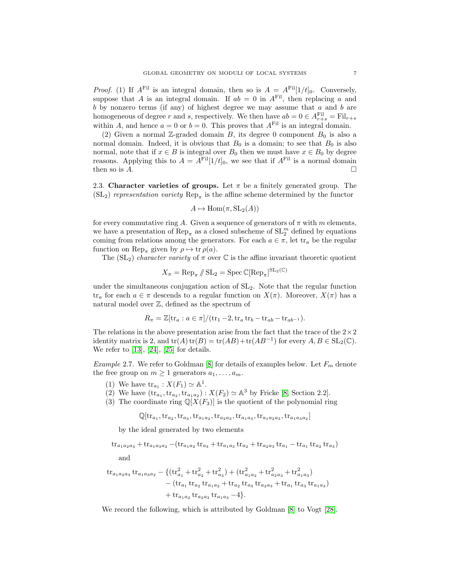*Proof.* (1) If  $A<sup>Fil</sup>$  is an integral domain, then so is  $A = A<sup>Fil</sup>[1/t]_0$ . Conversely, suppose that A is an integral domain. If  $ab = 0$  in  $A<sup>Fil</sup>$ , then replacing a and  $b$  by nonzero terms (if any) of highest degree we may assume that  $a$  and  $b$  are homogeneous of degree r and s, respectively. We then have  $ab = 0 \in A_{r+s}^{Fil} = Fil_{r+s}$ within A, and hence  $a = 0$  or  $b = 0$ . This proves that  $A<sup>Fil</sup>$  is an integral domain.

(2) Given a normal Z-graded domain B, its degree 0 component  $B_0$  is also a normal domain. Indeed, it is obvious that  $B_0$  is a domain; to see that  $B_0$  is also normal, note that if  $x \in B$  is integral over  $B_0$  then we must have  $x \in B_0$  by degree reasons. Applying this to  $A = A<sup>Fil</sup>[1/t]_0$ , we see that if  $A<sup>Fil</sup>$  is a normal domain then so is  $A$ .

<span id="page-6-0"></span>2.3. Character varieties of groups. Let  $\pi$  be a finitely generated group. The  $(SL_2)$  representation variety  $Rep_{\pi}$  is the affine scheme determined by the functor

$$
A \mapsto \text{Hom}(\pi, \text{SL}_2(A))
$$

for every commutative ring A. Given a sequence of generators of  $\pi$  with m elements, we have a presentation of  $\mathrm{Rep}_{\pi}$  as a closed subscheme of  $\mathrm{SL}_{2}^m$  defined by equations coming from relations among the generators. For each  $a \in \pi$ , let  $\text{tr}_a$  be the regular function on Rep<sub>π</sub> given by  $\rho \mapsto \text{tr } \rho(a)$ .

The  $(SL_2)$  character variety of  $\pi$  over  $\mathbb C$  is the affine invariant theoretic quotient

$$
X_{\pi} = \text{Rep}_{\pi} \, / \! / \, \text{SL}_2 = \text{Spec} \, \mathbb{C}[\text{Rep}_{\pi}]^{\text{SL}_2(\mathbb{C})}
$$

under the simultaneous conjugation action of  $SL<sub>2</sub>$ . Note that the regular function tr<sub>a</sub> for each  $a \in \pi$  descends to a regular function on  $X(\pi)$ . Moreover,  $X(\pi)$  has a natural model over Z, defined as the spectrum of

$$
R_{\pi} = \mathbb{Z}[\mathrm{tr}_{a} : a \in \pi]/(\mathrm{tr}_{1} - 2, \mathrm{tr}_{a} \mathrm{tr}_{b} - \mathrm{tr}_{ab} - \mathrm{tr}_{ab-1}).
$$

The relations in the above presentation arise from the fact that the trace of the  $2\times 2$ identity matrix is 2, and  $tr(A) tr(B) = tr(AB) + tr(AB^{-1})$  for every  $A, B \in SL_2(\mathbb{C})$ . We refer to [\[13\]](#page-40-15), [\[24\]](#page-40-16), [\[25\]](#page-40-17) for details.

<span id="page-6-1"></span>Example 2.7. We refer to Goldman [\[8\]](#page-39-9) for details of examples below. Let  $F_m$  denote the free group on  $m \geq 1$  generators  $a_1, \ldots, a_m$ .

- (1) We have  $\text{tr}_{a_1} : X(F_1) \simeq \mathbb{A}^1$ .
- (2) We have  $(\text{tr}_{a_1}, \text{tr}_{a_2}, \text{tr}_{a_1 a_2}) : X(F_2) \simeq \mathbb{A}^3$  by Fricke [\[8,](#page-39-9) Section 2.2].
- (3) The coordinate ring  $\mathbb{Q}[X(F_3)]$  is the quotient of the polynomial ring

 $\mathbb{Q}[\mathrm{tr}_{a_1},\mathrm{tr}_{a_2},\mathrm{tr}_{a_3},\mathrm{tr}_{a_1a_2},\mathrm{tr}_{a_2a_3},\mathrm{tr}_{a_1a_3},\mathrm{tr}_{a_1a_2a_3},\mathrm{tr}_{a_1a_3a_2}]$ 

by the ideal generated by two elements

 $\text{tr}_{a_1a_2a_3} + \text{tr}_{a_1a_3a_2} - (\text{tr}_{a_1a_2} \text{tr}_{a_3} + \text{tr}_{a_1a_3} \text{tr}_{a_2} + \text{tr}_{a_2a_3} \text{tr}_{a_1} - \text{tr}_{a_1} \text{tr}_{a_2} \text{tr}_{a_3})$ 

and

$$
\begin{aligned} \text{tr}_{a_1a_2a_3} \, \text{tr}_{a_1a_3a_2} & - \{ (\text{tr}_{a_1}^2 + \text{tr}_{a_2}^2 + \text{tr}_{a_3}^2) + (\text{tr}_{a_1a_2}^2 + \text{tr}_{a_2a_3}^2 + \text{tr}_{a_1a_3}^2) \\ &- (\text{tr}_{a_1} \, \text{tr}_{a_2} \, \text{tr}_{a_1a_2} + \text{tr}_{a_2} \, \text{tr}_{a_3} \, \text{tr}_{a_2a_3} + \text{tr}_{a_1} \, \text{tr}_{a_3} \, \text{tr}_{a_1a_3}) \\ &+ \text{tr}_{a_1a_2} \, \text{tr}_{a_2a_3} \, \text{tr}_{a_1a_3} - 4 \}. \end{aligned}
$$

We record the following, which is attributed by Goldman [\[8\]](#page-39-9) to Vogt [\[28\]](#page-40-18).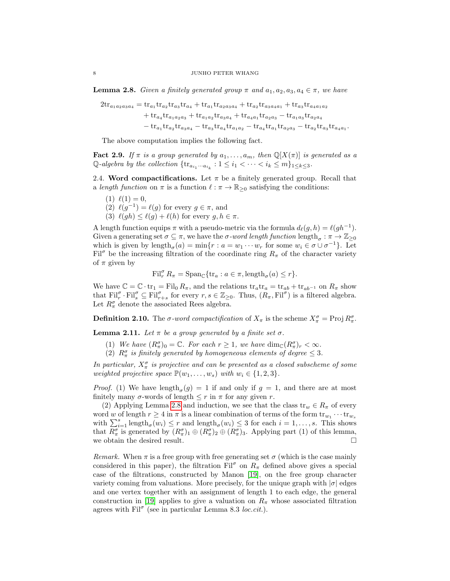<span id="page-7-1"></span>**Lemma 2.8.** Given a finitely generated group  $\pi$  and  $a_1, a_2, a_3, a_4 \in \pi$ , we have

$$
\begin{aligned} 2\mathrm{tr}_{a_1a_2a_3a_4} & = \mathrm{tr}_{a_1}\mathrm{tr}_{a_2}\mathrm{tr}_{a_3}\mathrm{tr}_{a_4} + \mathrm{tr}_{a_1}\mathrm{tr}_{a_2a_3a_4} + \mathrm{tr}_{a_2}\mathrm{tr}_{a_3a_4a_1} + \mathrm{tr}_{a_3}\mathrm{tr}_{a_4a_1a_2} \\ & + \mathrm{tr}_{a_4}\mathrm{tr}_{a_1a_2a_3} + \mathrm{tr}_{a_1a_2}\mathrm{tr}_{a_3a_4} + \mathrm{tr}_{a_4a_1}\mathrm{tr}_{a_2a_3} - \mathrm{tr}_{a_1a_3}\mathrm{tr}_{a_2a_4} \\ & - \mathrm{tr}_{a_1}\mathrm{tr}_{a_2}\mathrm{tr}_{a_3a_4} - \mathrm{tr}_{a_3}\mathrm{tr}_{a_4}\mathrm{tr}_{a_1a_2} - \mathrm{tr}_{a_4}\mathrm{tr}_{a_1}\mathrm{tr}_{a_2a_3} - \mathrm{tr}_{a_2}\mathrm{tr}_{a_3}\mathrm{tr}_{a_4a_1}. \end{aligned}
$$

The above computation implies the following fact.

**Fact 2.9.** If  $\pi$  is a group generated by  $a_1, \ldots, a_m$ , then  $\mathbb{Q}[X(\pi)]$  is generated as a Q-algebra by the collection  $\{\text{tr}_{a_{i_1}\cdots a_{i_k}} : 1 \leq i_1 < \cdots < i_k \leq m\}_{1 \leq k \leq 3}$ .

<span id="page-7-0"></span>2.4. Word compactifications. Let  $\pi$  be a finitely generated group. Recall that a length function on  $\pi$  is a function  $\ell : \pi \to \mathbb{R}_{\geq 0}$  satisfying the conditions:

- $(1) \ell(1) = 0,$
- (2)  $\ell(g^{-1}) = \ell(g)$  for every  $g \in \pi$ , and
- (3)  $\ell(gh) \leq \ell(g) + \ell(h)$  for every  $g, h \in \pi$ .

A length function equips  $\pi$  with a pseudo-metric via the formula  $d_{\ell}(g, h) = \ell(gh^{-1}).$ Given a generating set  $\sigma \subseteq \pi$ , we have the  $\sigma$ -word length function length $_{\sigma}: \pi \to \mathbb{Z}_{\geq 0}$ which is given by length<sub> $\sigma$ </sub> $(a) = \min\{r : a = w_1 \cdots w_r \text{ for some } w_i \in \sigma \cup \sigma^{-1}\}\.$  Let Fil<sup> $\sigma$ </sup> be the increasing filtration of the coordinate ring  $R_{\pi}$  of the character variety of  $\pi$  given by

$$
\mathrm{Fil}_{r}^{\sigma} R_{\pi} = \mathrm{Span}_{\mathbb{C}} \{ \mathrm{tr}_{a} : a \in \pi, \mathrm{length}_{\sigma}(a) \leq r \}.
$$

We have  $\mathbb{C} = \mathbb{C} \cdot tr_1 = Fil_0 R_\pi$ , and the relations  $tr_a tr_a = tr_{ab} + tr_{ab^{-1}}$  on  $R_\pi$  show that  $\text{Fil}_{r}^{\sigma} \cdot \text{Fil}_{s}^{\sigma} \subseteq \text{Fil}_{r+s}^{\sigma}$  for every  $r, s \in \mathbb{Z}_{\geq 0}$ . Thus,  $(R_{\pi}, \text{Fil}_{\sigma}^{\sigma})$  is a filtered algebra. Let  $R^{\sigma}_{\pi}$  denote the associated Rees algebra.

**Definition 2.10.** The  $\sigma$ -word compactification of  $X_{\pi}$  is the scheme  $X_{\pi}^{\sigma} = \text{Proj } R_{\pi}^{\sigma}$ .

<span id="page-7-2"></span>**Lemma 2.11.** Let  $\pi$  be a group generated by a finite set  $\sigma$ .

- (1) We have  $(R^{\sigma}_{\pi})_0 = \mathbb{C}$ . For each  $r \geq 1$ , we have  $\dim_{\mathbb{C}} (R^{\sigma}_{\pi})_r < \infty$ .
- (2)  $R_{\pi}^{\sigma}$  is finitely generated by homogeneous elements of degree  $\leq$  3.

In particular,  $X_{\pi}^{\sigma}$  is projective and can be presented as a closed subscheme of some weighted projective space  $\mathbb{P}(w_1, \ldots, w_s)$  with  $w_i \in \{1, 2, 3\}.$ 

*Proof.* (1) We have  $\text{length}_{\sigma}(g) = 1$  if and only if  $g = 1$ , and there are at most finitely many  $\sigma$ -words of length  $\leq r$  in  $\pi$  for any given r.

(2) Applying Lemma [2.8](#page-7-1) and induction, we see that the class  $\operatorname{tr}_w \in R_\pi$  of every word w of length  $r \geq 4$  in  $\pi$  is a linear combination of terms of the form  $\text{tr}_{w_1} \cdots \text{tr}_{w_s}$ with  $\sum_{i=1}^{s} \text{length}_{\sigma}(w_i) \leq r$  and  $\text{length}_{\sigma}(w_i) \leq 3$  for each  $i = 1, \ldots, s$ . This shows that  $R^{\sigma}_{\pi}$  is generated by  $(R^{\sigma}_{\pi})_1 \oplus (R^{\sigma}_{\pi})_2 \oplus (R^{\sigma}_{\pi})_3$ . Applying part (1) of this lemma, we obtain the desired result.

Remark. When  $\pi$  is a free group with free generating set  $\sigma$  (which is the case mainly considered in this paper), the filtration  $\text{Fil}^{\sigma}$  on  $R_{\pi}$  defined above gives a special case of the filtrations, constructed by Manon [\[19\]](#page-40-12), on the free group character variety coming from valuations. More precisely, for the unique graph with  $|\sigma|$  edges and one vertex together with an assignment of length 1 to each edge, the general construction in [\[19\]](#page-40-12) applies to give a valuation on  $R_\pi$  whose associated filtration agrees with  $\text{Fil}^{\sigma}$  (see in particular Lemma 8.3 loc.cit.).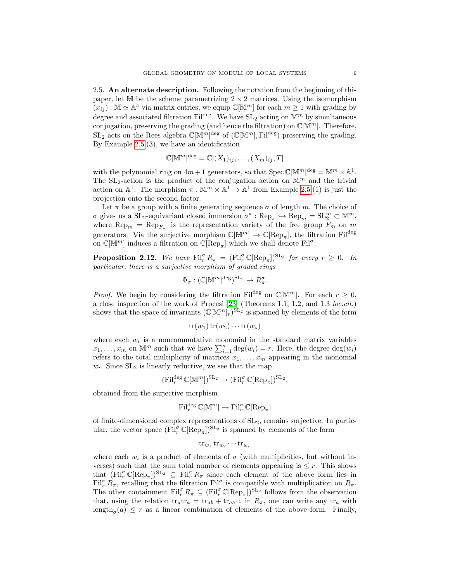<span id="page-8-0"></span>2.5. An alternate description. Following the notation from the beginning of this paper, let  $M$  be the scheme parametrizing  $2 \times 2$  matrices. Using the isomorphism  $(x_{ij}) : \mathbb{M} \simeq \mathbb{A}^4$  via matrix entries, we equip  $\mathbb{C}[\mathbb{M}^m]$  for each  $m \geq 1$  with grading by degree and associated filtration Fil<sup>deg</sup>. We have  $SL_2$  acting on  $\mathbb{M}^m$  by simultaneous conjugation, preserving the grading (and hence the filtration) on  $\mathbb{C}[\mathbb{M}^m]$ . Therefore,  $SL_2$  acts on the Rees algebra  $\mathbb{C}[\mathbb{M}^m]^{\text{deg}}$  of  $(\mathbb{C}[\mathbb{M}^m], \mathrm{Fil}^{\text{deg}})$  preserving the grading. By Example [2.5.](#page-5-1)(3), we have an identification

$$
\mathbb{C}[\mathbb{M}^m]^{\text{deg}} = \mathbb{C}[(X_1)_{ij}, \dots, (X_m)_{ij}, T]
$$

with the polynomial ring on  $4m+1$  generators, so that  $Spec \mathbb{C}[\mathbb{M}^m]^{\text{deg}} = \mathbb{M}^m \times \mathbb{A}^1$ . The  $SL_2$ -action is the product of the conjugation action on  $M^m$  and the trivial action on  $\mathbb{A}^1$ . The morphism  $\pi : \mathbb{M}^m \times \mathbb{A}^1 \to \mathbb{A}^1$  from Example [2.5.](#page-5-1)(1) is just the projection onto the second factor.

Let  $\pi$  be a group with a finite generating sequence  $\sigma$  of length m. The choice of  $\sigma$  gives us a  $SL_2$ -equivariant closed immersion  $\sigma^* : \text{Rep}_{\pi} \hookrightarrow \text{Rep}_m = SL_2^m \subset \mathbb{M}^m$ , where  $\text{Rep}_m = \text{Rep}_{F_m}$  is the representation variety of the free group  $F_m$  on m generators. Via the surjective morphism  $\mathbb{C}[\mathbb{M}^m] \to \mathbb{C}[\text{Rep}_{\pi}]$ , the filtration Fil<sup>deg</sup> on  $\mathbb{C}[\mathbb{M}^m]$  induces a filtration on  $\mathbb{C}[\text{Rep}_{\pi}]$  which we shall denote  $\text{Fil}^{\sigma}$ .

<span id="page-8-1"></span>**Proposition 2.12.** We have  $\text{Fil}_r^{\sigma} R_{\pi} = (\text{Fil}_r^{\sigma} \mathbb{C}[\text{Rep}_{\pi}])^{\text{SL}_2}$  for every  $r \geq 0$ . In particular, there is a surjective morphism of graded rings

$$
\Phi_{\sigma}: (\mathbb{C}[\mathbb{M}^m]^{\text{deg}})^{\text{SL}_2} \to R_{\pi}^{\sigma}.
$$

*Proof.* We begin by considering the filtration Fil<sup>deg</sup> on  $\mathbb{C}[\mathbb{M}^m]$ . For each  $r \geq 0$ , a close inspection of the work of Procesi [\[23\]](#page-40-19) (Theorems 1.1, 1.2, and 1.3 loc.cit.) shows that the space of invariants  $(\mathbb{C}[\mathbb{M}^m]_r)^{\text{SL}_2}$  is spanned by elements of the form

$$
\operatorname{tr}(w_1)\operatorname{tr}(w_2)\cdots\operatorname{tr}(w_s)
$$

where each  $w_i$  is a noncommutative monomial in the standard matrix variables  $x_1, \ldots, x_m$  on  $\mathbb{M}^m$  such that we have  $\sum_{i=1}^s \deg(w_i) = r$ . Here, the degree  $\deg(w_i)$ refers to the total multiplicity of matrices  $x_1, \ldots, x_m$  appearing in the monomial  $w_i$ . Since  $SL_2$  is linearly reductive, we see that the map

$$
(\mathrm{Fil}_r^{\mathrm{deg}} \mathbb{C}[\mathbb{M}^m])^{\mathrm{SL}_2} \to (\mathrm{Fil}_r^{\sigma} \mathbb{C}[\mathrm{Rep}_\pi])^{\mathrm{SL}_2},
$$

obtained from the surjective morphism

$$
\mathrm{Fil}^{\mathrm{deg}}_r\,\mathbb{C}[\mathbb{M}^m]\rightarrow\mathrm{Fil}^\sigma_r\,\mathbb{C}[\mathrm{Rep}_\pi]
$$

of finite-dimensional complex representations of  $SL<sub>2</sub>$ , remains surjective. In particular, the vector space  $(\mathrm{Fil}_{r}^{\sigma} \mathbb{C}[\mathrm{Rep}_{\pi}])^{\mathrm{SL}_2}$  is spanned by elements of the form

$$
\operatorname{tr}_{w_1}\operatorname{tr}_{w_2}\cdots\operatorname{tr}_{w_s}
$$

where each  $w_i$  is a product of elements of  $\sigma$  (with multiplicities, but without inverses) such that the sum total number of elements appearing is  $\leq r$ . This shows that  $(\text{Fil}_{r}^{\sigma} \mathbb{C}[\text{Rep}_{\pi}])^{\text{SL}_{2}} \subseteq \text{Fil}_{r}^{\sigma} R_{\pi}$  since each element of the above form lies in Fil<sup> $\sigma$ </sup>  $R_{\pi}$ , recalling that the filtration Fil<sup> $\sigma$ </sup> is compatible with multiplication on  $R_{\pi}$ . The other containment  $\text{Fil}_{r}^{\sigma} R_{\pi} \subseteq (\text{Fil}_{r}^{\sigma} \mathbb{C}[\text{Rep}_{\pi}])^{\text{SL}_2}$  follows from the observation that, using the relation  $tr_a tr_a = tr_{ab} + tr_{ab^{-1}}$  in  $R_{\pi}$ , one can write any  $tr_a$  with  $\text{length}_{\sigma}(a) \leq r$  as a linear combination of elements of the above form. Finally,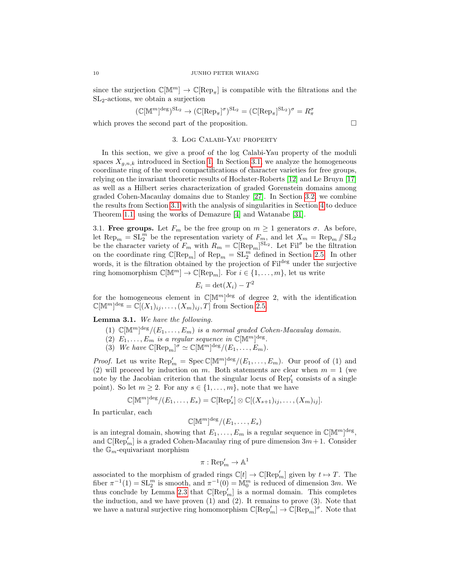since the surjection  $\mathbb{C}[\mathbb{M}^m] \to \mathbb{C}[\text{Rep}_{\pi}]$  is compatible with the filtrations and the  $SL<sub>2</sub>$ -actions, we obtain a surjection

$$
(\mathbb{C}[\mathbb{M}^m]^{\text{deg}})^{\text{SL}_2} \to (\mathbb{C}[\text{Rep}_{\pi}]^{\sigma})^{\text{SL}_2} = (\mathbb{C}[\text{Rep}_{\pi}]^{\text{SL}_2})^{\sigma} = R_{\pi}^{\sigma}
$$

<span id="page-9-0"></span>which proves the second part of the proposition.  $\Box$ 

# 3. Log Calabi-Yau property

In this section, we give a proof of the log Calabi-Yau property of the moduli spaces  $X_{a,n,k}$  introduced in Section [1.](#page-0-3) In Section [3.1,](#page-9-1) we analyze the homogeneous coordinate ring of the word compactifications of character varieties for free groups, relying on the invariant theoretic results of Hochster-Roberts [\[12\]](#page-39-1) and Le Bruyn [\[17\]](#page-40-1) as well as a Hilbert series characterization of graded Gorenstein domains among graded Cohen-Macaulay domains due to Stanley [\[27\]](#page-40-0). In Section [3.2,](#page-11-0) we combine the results from Section [3.1](#page-9-1) with the analysis of singularities in Section [4](#page-15-0) to deduce Theorem [1.1,](#page-0-0) using the works of Demazure [\[4\]](#page-39-2) and Watanabe [\[31\]](#page-40-2).

<span id="page-9-1"></span>3.1. Free groups. Let  $F_m$  be the free group on  $m \geq 1$  generators  $\sigma$ . As before, let  $\text{Rep}_m = \text{SL}_2^m$  be the representation variety of  $F_m$ , and let  $X_m = \text{Rep}_m / \text{SL}_2$ be the character variety of  $F_m$  with  $R_m = \mathbb{C}[\text{Rep}_m]^{\text{SL}_2}$ . Let  $\text{Fil}^{\sigma}$  be the filtration on the coordinate ring  $\mathbb{C}[\text{Rep}_m]$  of  $\text{Rep}_m = \text{SL}_2^m$  defined in Section [2.5.](#page-8-0) In other words, it is the filtration obtained by the projection of Fil<sup>deg</sup> under the surjective ring homomorphism  $\mathbb{C}[\mathbb{M}^m] \to \mathbb{C}[\text{Rep}_m]$ . For  $i \in \{1, ..., m\}$ , let us write

$$
E_i = \det(X_i) - T^2
$$

for the homogeneous element in  $\mathbb{C}[\mathbb{M}^m]^{\text{deg}}$  of degree 2, with the identification  $\mathbb{C}[\mathbb{M}^m]^{\text{deg}} = \mathbb{C}[(X_1)_{ij}, \ldots, (X_m)_{ij}, T]$  from Section [2.5.](#page-8-0)

<span id="page-9-2"></span>Lemma 3.1. We have the following.

- (1)  $\mathbb{C}[\mathbb{M}^m]^{\text{deg}}/(E_1,\ldots,E_m)$  is a normal graded Cohen-Macaulay domain.
- (2)  $E_1, \ldots, E_m$  is a regular sequence in  $\mathbb{C}[\mathbb{M}^m]^{\text{deg}}$ .
- (3) We have  $\mathbb{C}[\operatorname{Rep}_m]^{\sigma} \simeq \mathbb{C}[\mathbb{M}^m]^{\deg}/(E_1, \ldots, E_m)$ .

*Proof.* Let us write  $\text{Rep}'_m = \text{Spec } \mathbb{C}[\mathbb{M}^m]^{\text{deg}}/(E_1, \ldots, E_m)$ . Our proof of (1) and (2) will proceed by induction on m. Both statements are clear when  $m = 1$  (we note by the Jacobian criterion that the singular locus of  $\text{Rep}'_1$  consists of a single point). So let  $m \geq 2$ . For any  $s \in \{1, \ldots, m\}$ , note that we have

$$
\mathbb{C}[\mathbb{M}^m]^{\text{deg}}/(E_1,\ldots,E_s)=\mathbb{C}[\text{Rep}'_s]\otimes \mathbb{C}[(X_{s+1})_{ij},\ldots,(X_m)_{ij}].
$$

In particular, each

$$
\mathbb{C}[\mathbb{M}^m]^{\text{deg}}/(E_1,\ldots,E_s)
$$

is an integral domain, showing that  $E_1, \ldots, E_m$  is a regular sequence in  $\mathbb{C}[\mathbb{M}^m]^{\text{deg}}$ , and  $\mathbb{C}[\text{Rep}_m']$  is a graded Cohen-Macaulay ring of pure dimension  $3m+1$ . Consider the  $\mathbb{G}_m$ -equivariant morphism

$$
\pi: {\mathop{\mathrm{Rep}}\nolimits}'_m \to {\mathbb{A}}^1
$$

associated to the morphism of graded rings  $\mathbb{C}[t] \to \mathbb{C}[\text{Rep}_m']$  given by  $t \mapsto T$ . The fiber  $\pi^{-1}(1) = SL_2^m$  is smooth, and  $\pi^{-1}(0) = \mathbb{M}_0^m$  is reduced of dimension 3m. We thus conclude by Lemma [2.3](#page-4-2) that  $\mathbb{C}[\text{Rep}_m']$  is a normal domain. This completes the induction, and we have proven  $(1)$  and  $(2)$ . It remains to prove  $(3)$ . Note that we have a natural surjective ring homomorphism  $\mathbb{C}[\text{Rep}_m] \to \mathbb{C}[\text{Rep}_m]^{\sigma}$ . Note that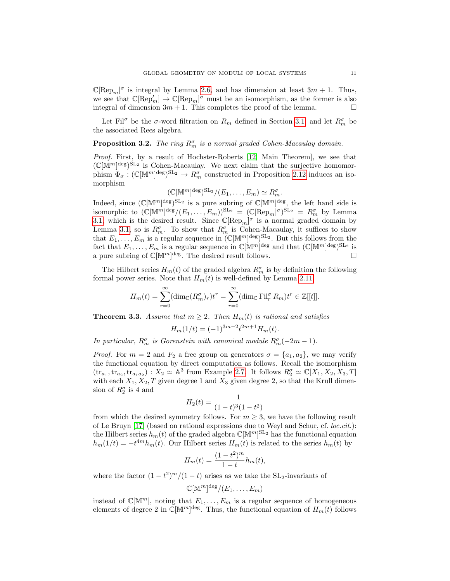$\mathbb{C}[\text{Rep}_m]^\sigma$  is integral by Lemma [2.6,](#page-5-2) and has dimension at least  $3m + 1$ . Thus, we see that  $\mathbb{C}[\text{Rep}_m] \to \mathbb{C}[\text{Rep}_m]^{\sigma}$  must be an isomorphism, as the former is also integral of dimension  $3m + 1$ . This completes the proof of the lemma.

Let Fil<sup> $\sigma$ </sup> be the  $\sigma$ -word filtration on  $R_m$  defined in Section [3.1,](#page-9-1) and let  $R_m^{\sigma}$  be the associated Rees algebra.

<span id="page-10-0"></span>**Proposition 3.2.** The ring  $R_m^{\sigma}$  is a normal graded Cohen-Macaulay domain.

Proof. First, by a result of Hochster-Roberts [\[12,](#page-39-1) Main Theorem], we see that  $(\mathbb{C}[\mathbb{M}^m]^{\text{deg}})^{\text{SL}_2}$  is Cohen-Macaulay. We next claim that the surjective homomorphism  $\Phi_{\sigma} : (\mathbb{C}[\mathbb{M}^m]^{\text{deg}})^{\text{SL}_2} \to R_m^{\sigma}$  constructed in Proposition [2.12](#page-8-1) induces an isomorphism

$$
(\mathbb{C}[\mathbb{M}^m]^{\text{deg}})^{\text{SL}_2}/(E_1,\ldots,E_m)\simeq R_m^{\sigma}.
$$

Indeed, since  $(\mathbb{C}[\mathbb{M}^m]^{\text{deg}})^{\text{SL}_2}$  is a pure subring of  $\mathbb{C}[\mathbb{M}^m]^{\text{deg}}$ , the left hand side is isomorphic to  $(\mathbb{C}[\mathbb{M}^m]^{\text{deg}}/(E_1,\ldots,E_m))^{\text{SL}_2} = (\mathbb{C}[\text{Rep}_m]^{\sigma})^{\text{SL}_2} = R_m^{\sigma}$  by Lemma [3.1,](#page-9-2) which is the desired result. Since  $\mathbb{C}[\text{Rep}_m]^{\sigma}$  is a normal graded domain by Lemma [3.1,](#page-9-2) so is  $R_m^{\sigma}$ . To show that  $R_m^{\sigma}$  is Cohen-Macaulay, it suffices to show that  $E_1, \ldots, E_m$  is a regular sequence in  $(\mathbb{C}[\mathbb{M}^m]^{\text{deg}})^{\text{SL}_2}$ . But this follows from the fact that  $E_1, \ldots, E_m$  is a regular sequence in  $\mathbb{C}[\mathbb{M}^m]^{\text{deg}}$  and that  $(\mathbb{C}[\mathbb{M}^m]^{\text{deg}})^{\text{SL}_2}$  is a pure subring of  $\mathbb{C}[\mathbb{M}^m]^{\text{deg}}$ . The desired result follows.

The Hilbert series  $H_m(t)$  of the graded algebra  $R_m^{\sigma}$  is by definition the following formal power series. Note that  $H_m(t)$  is well-defined by Lemma [2.11.](#page-7-2)

$$
H_m(t) = \sum_{r=0}^{\infty} (\dim_{\mathbb{C}} (R_m^{\sigma})_r) t^r = \sum_{r=0}^{\infty} (\dim_{\mathbb{C}} \mathrm{Fil}_r^{\sigma} R_m) t^r \in \mathbb{Z}[[t]].
$$

<span id="page-10-1"></span>**Theorem 3.3.** Assume that  $m \geq 2$ . Then  $H_m(t)$  is rational and satisfies

$$
H_m(1/t) = (-1)^{3m-2} t^{2m+1} H_m(t).
$$

In particular,  $R_m^{\sigma}$  is Gorenstein with canonical module  $R_m^{\sigma}(-2m-1)$ .

*Proof.* For  $m = 2$  and  $F_2$  a free group on generators  $\sigma = \{a_1, a_2\}$ , we may verify the functional equation by direct computation as follows. Recall the isomorphism  $(tr_{a_1}, tr_{a_2}, tr_{a_1 a_2}) : X_2 \simeq \mathbb{A}^3$  from Example [2.7.](#page-6-1) It follows  $R_2^{\sigma} \simeq \mathbb{C}[X_1, X_2, X_3, T]$ with each  $X_1, X_2, T$  given degree 1 and  $X_3$  given degree 2, so that the Krull dimension of  $R_2^{\sigma}$  is 4 and

$$
H_2(t) = \frac{1}{(1-t)^3(1-t^2)}
$$

from which the desired symmetry follows. For  $m \geq 3$ , we have the following result of Le Bruyn [\[17\]](#page-40-1) (based on rational expressions due to Weyl and Schur, cf. loc.cit.): the Hilbert series  $h_m(t)$  of the graded algebra  $\mathbb{C}[\mathbb{M}^m]^{\text{SL}_2}$  has the functional equation  $h_m(1/t) = -t^{4m}h_m(t)$ . Our Hilbert series  $H_m(t)$  is related to the series  $h_m(t)$  by

$$
H_m(t) = \frac{(1 - t^2)^m}{1 - t} h_m(t),
$$

where the factor  $(1 - t^2)^m/(1 - t)$  arises as we take the SL<sub>2</sub>-invariants of

$$
\mathbb{C}[\mathbb{M}^m]^{\text{deg}}/(E_1,\ldots,E_m)
$$

instead of  $\mathbb{C}[\mathbb{M}^m]$ , noting that  $E_1, \ldots, E_m$  is a regular sequence of homogeneous elements of degree 2 in  $\mathbb{C}[\mathbb{M}^m]^{\text{deg}}$ . Thus, the functional equation of  $H_m(t)$  follows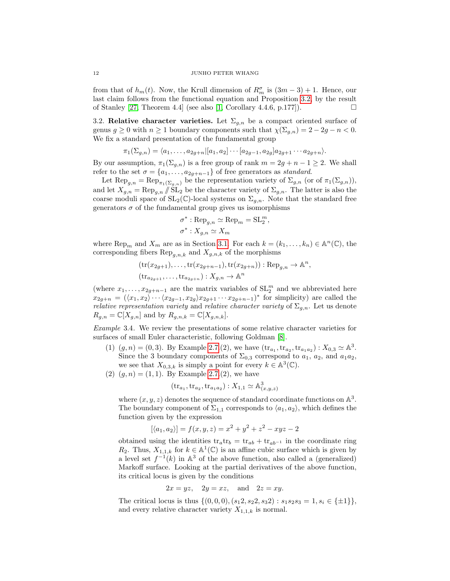from that of  $h_m(t)$ . Now, the Krull dimension of  $R_m^{\sigma}$  is  $(3m-3)+1$ . Hence, our last claim follows from the functional equation and Proposition [3.2,](#page-10-0) by the result of Stanley [\[27,](#page-40-0) Theorem 4.4] (see also [\[1,](#page-39-10) Corollary 4.4.6, p.177]).

<span id="page-11-0"></span>3.2. Relative character varieties. Let  $\Sigma_{q,n}$  be a compact oriented surface of genus  $g \ge 0$  with  $n \ge 1$  boundary components such that  $\chi(\Sigma_{g,n}) = 2 - 2g - n < 0$ . We fix a standard presentation of the fundamental group

$$
\pi_1(\Sigma_{g,n}) = \langle a_1, \ldots, a_{2g+n} | [a_1, a_2] \cdots [a_{2g-1}, a_{2g}] a_{2g+1} \cdots a_{2g+n} \rangle.
$$

By our assumption,  $\pi_1(\Sigma_{q,n})$  is a free group of rank  $m = 2g + n - 1 \geq 2$ . We shall refer to the set  $\sigma = \{a_1, \ldots, a_{2q+n-1}\}\$  of free generators as standard.

Let  $\operatorname{Rep}_{g,n} = \operatorname{Rep}_{\pi_1(\Sigma_{g,n})}$  be the representation variety of  $\Sigma_{g,n}$  (or of  $\pi_1(\Sigma_{g,n})$ ), and let  $X_{g,n} = \text{Rep}_{g,n} / \text{SL}_2$  be the character variety of  $\Sigma_{g,n}$ . The latter is also the coarse moduli space of  $SL_2(\mathbb{C})$ -local systems on  $\Sigma_{q,n}$ . Note that the standard free generators  $\sigma$  of the fundamental group gives us isomorphisms

$$
\sigma^* : \text{Rep}_{g,n} \simeq \text{Rep}_m = \text{SL}_2^m
$$

$$
\sigma^* : X_{g,n} \simeq X_m
$$

,

where  $\text{Rep}_m$  and  $X_m$  are as in Section [3.1.](#page-9-1) For each  $k = (k_1, \ldots, k_n) \in \mathbb{A}^n(\mathbb{C})$ , the corresponding fibers  $\text{Rep}_{q,n,k}$  and  $X_{g,n,k}$  of the morphisms

$$
(\mathrm{tr}(x_{2g+1}),\ldots,\mathrm{tr}(x_{2g+n-1}),\mathrm{tr}(x_{2g+n})) : \mathrm{Rep}_{g,n} \to \mathbb{A}^n,
$$
  

$$
(\mathrm{tr}_{a_{2g+1}},\ldots,\mathrm{tr}_{a_{2g+n}}) : X_{g,n} \to \mathbb{A}^n
$$

(where  $x_1, \ldots, x_{2g+n-1}$  are the matrix variables of  $SL_2^m$  and we abbreviated here  $x_{2g+n} = (\langle x_1, x_2 \rangle \cdots \langle x_{2g-1}, x_{2g} \rangle x_{2g+1} \cdots x_{2g+n-1})^*$  for simplicity) are called the *relative representation variety* and *relative character variety* of  $\Sigma_{g,n}$ . Let us denote  $R_{g,n} = \mathbb{C}[X_{g,n}]$  and by  $R_{g,n,k} = \mathbb{C}[X_{g,n,k}].$ 

<span id="page-11-1"></span>Example 3.4. We review the presentations of some relative character varieties for surfaces of small Euler characteristic, following Goldman [\[8\]](#page-39-9).

- (1)  $(g, n) = (0, 3)$ . By Example [2.7.](#page-6-1)(2), we have  $(\text{tr}_{a_1}, \text{tr}_{a_2}, \text{tr}_{a_1a_2}) : X_{0,3} \simeq \mathbb{A}^3$ . Since the 3 boundary components of  $\Sigma_{0,3}$  correspond to  $a_1, a_2$ , and  $a_1a_2$ , we see that  $X_{0,3,k}$  is simply a point for every  $k \in \mathbb{A}^3(\mathbb{C})$ .
- (2)  $(g, n) = (1, 1)$ . By Example [2.7.](#page-6-1)(2), we have

$$
(\mathrm{tr}_{a_1}, \mathrm{tr}_{a_2}, \mathrm{tr}_{a_1 a_2}): X_{1,1} \simeq \mathbb{A}^3_{(x,y,z)}
$$

where  $(x, y, z)$  denotes the sequence of standard coordinate functions on  $\mathbb{A}^3$ . The boundary component of  $\Sigma_{1,1}$  corresponds to  $\langle a_1, a_2 \rangle$ , which defines the function given by the expression

$$
[\langle a_1, a_2 \rangle] = f(x, y, z) = x^2 + y^2 + z^2 - xyz - 2
$$

obtained using the identities  $tr_a tr_b = tr_{ab} + tr_{ab^{-1}}$  in the coordinate ring  $R_2$ . Thus,  $X_{1,1,k}$  for  $k \in \mathbb{A}^1(\mathbb{C})$  is an affine cubic surface which is given by a level set  $f^{-1}(k)$  in  $\mathbb{A}^3$  of the above function, also called a (generalized) Markoff surface. Looking at the partial derivatives of the above function, its critical locus is given by the conditions

$$
2x = yz, \quad 2y = xz, \quad \text{and} \quad 2z = xy.
$$

The critical locus is thus  $\{(0,0,0), (s_1 2, s_2 2, s_3 2) : s_1 s_2 s_3 = 1, s_i \in \{\pm 1\}\},\$ and every relative character variety  $X_{1,1,k}$  is normal.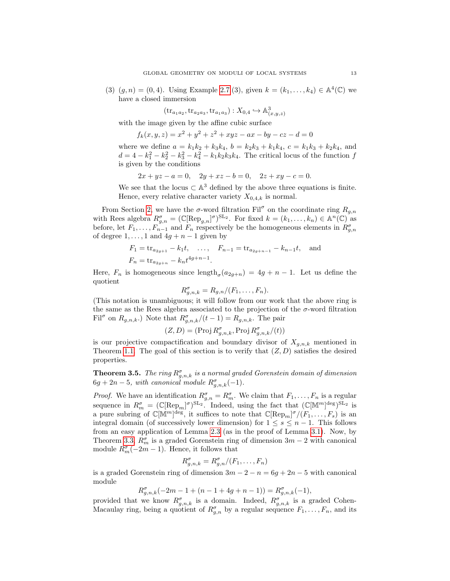(3)  $(g, n) = (0, 4)$ . Using Example [2.7.](#page-6-1)(3), given  $k = (k_1, ..., k_4) \in \mathbb{A}^4(\mathbb{C})$  we have a closed immersion

 $(\mathrm{tr}_{a_1a_2}, \mathrm{tr}_{a_2a_3}, \mathrm{tr}_{a_1a_3}): X_{0,4} \hookrightarrow \mathbb{A}^3_{(x,y,z)}$ 

with the image given by the affine cubic surface

 $f_k(x, y, z) = x^2 + y^2 + z^2 + xyz - ax - by - cz - d = 0$ 

where we define  $a = k_1k_2 + k_3k_4$ ,  $b = k_2k_3 + k_1k_4$ ,  $c = k_1k_3 + k_2k_4$ , and  $d = 4 - k_1^2 - k_2^2 - k_3^2 - k_4^2 - k_1 k_2 k_3 k_4$ . The critical locus of the function f is given by the conditions

 $2x + yz - a = 0$ ,  $2y + xz - b = 0$ ,  $2z + xy - c = 0$ .

We see that the locus  $\subset \mathbb{A}^3$  defined by the above three equations is finite. Hence, every relative character variety  $X_{0,4,k}$  is normal.

From Section [2,](#page-3-0) we have the  $\sigma$ -word filtration Fil<sup> $\sigma$ </sup> on the coordinate ring  $R_{g,n}$ with Rees algebra  $R_{g,n}^{\sigma} = (\mathbb{C}[\text{Rep}_{g,n}]^{\sigma})^{\text{SL}_2}$ . For fixed  $k = (k_1, \ldots, k_n) \in \mathbb{A}^n(\mathbb{C})$  as before, let  $F_1, \ldots, F_{n-1}$  and  $F_n$  respectively be the homogeneous elements in  $R_{g,n}^{\sigma}$ of degree  $1, \ldots, 1$  and  $4g + n - 1$  given by

$$
F_1 = \text{tr}_{a_{2g+1}} - k_1 t
$$
, ...,  $F_{n-1} = \text{tr}_{a_{2g+n-1}} - k_{n-1} t$ , and  
 $F_n = \text{tr}_{a_{2g+n}} - k_n t^{4g+n-1}$ .

Here,  $F_n$  is homogeneous since  $\text{length}_{\sigma}(a_{2g+n}) = 4g+n-1$ . Let us define the quotient

$$
R_{g,n,k}^{\sigma} = R_{g,n}/(F_1,\ldots,F_n).
$$

(This notation is unambiguous; it will follow from our work that the above ring is the same as the Rees algebra associated to the projection of the  $\sigma$ -word filtration Fil<sup> $\sigma$ </sup> on  $R_{g,n,k}$ .) Note that  $R^{\sigma}_{g,n,k}/(t-1) = R_{g,n,k}$ . The pair

$$
(Z, D) = (\text{Proj } R^{\sigma}_{g,n,k}, \text{Proj } R^{\sigma}_{g,n,k}/(t))
$$

is our projective compactification and boundary divisor of  $X_{g,n,k}$  mentioned in Theorem [1.1.](#page-0-0) The goal of this section is to verify that  $(Z, D)$  satisfies the desired properties.

<span id="page-12-0"></span>**Theorem 3.5.** The ring  $R^{\sigma}_{g,n,k}$  is a normal graded Gorenstein domain of dimension  $6g + 2n - 5$ , with canonical module  $R_{g,n,k}^{\sigma}(-1)$ .

*Proof.* We have an identification  $R_{g,n}^{\sigma} = R_m^{\sigma}$ . We claim that  $F_1, \ldots, F_n$  is a regular sequence in  $R_m^{\sigma} = (\mathbb{C}[\text{Rep}_m]^{\sigma})^{\text{SL}_2}$ . Indeed, using the fact that  $(\mathbb{C}[\mathbb{M}^m]^{\text{deg}})^{\text{SL}_2}$  is a pure subring of  $\mathbb{C}[\mathbb{M}^m]^{\text{deg}}$ , it suffices to note that  $\mathbb{C}[\text{Rep}_m]^{\sigma}/(F_1,\ldots,F_s)$  is an integral domain (of successively lower dimension) for  $1 \leq s \leq n-1$ . This follows from an easy application of Lemma [2.3](#page-4-2) (as in the proof of Lemma [3.1\)](#page-9-2). Now, by Theorem [3.3,](#page-10-1)  $R_m^{\sigma}$  is a graded Gorenstein ring of dimension  $3m - 2$  with canonical module  $R_m^{\sigma}(-2m-1)$ . Hence, it follows that

$$
R_{g,n,k}^{\sigma} = R_{g,n}^{\sigma}/(F_1,\ldots,F_n)
$$

is a graded Gorenstein ring of dimension  $3m - 2 - n = 6g + 2n - 5$  with canonical module

$$
R_{g,n,k}^{\sigma}(-2m-1+(n-1+4g+n-1)) = R_{g,n,k}^{\sigma}(-1),
$$

provided that we know  $R_{g,n,k}^{\sigma}$  is a domain. Indeed,  $R_{g,n,k}^{\sigma}$  is a graded Cohen-Macaulay ring, being a quotient of  $R_{g,n}^{\sigma}$  by a regular sequence  $F_1, \ldots, F_n$ , and its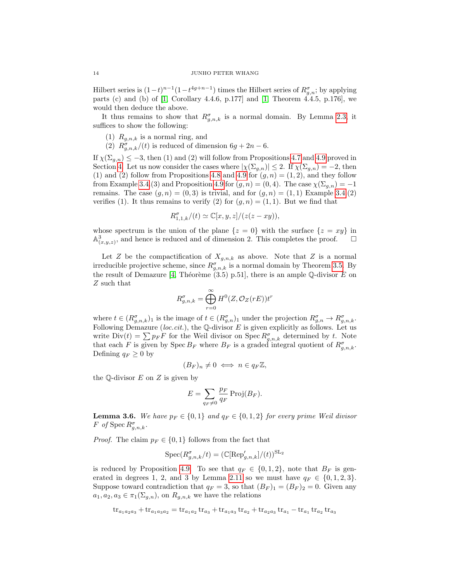Hilbert series is  $(1-t)^{n-1}(1-t^{4g+n-1})$  times the Hilbert series of  $R^{\sigma}_{g,n}$ ; by applying parts (c) and (b) of [\[1,](#page-39-10) Corollary 4.4.6, p.177] and [\[1,](#page-39-10) Theorem 4.4.5, p.176], we would then deduce the above.

It thus remains to show that  $R_{g,n,k}^{\sigma}$  is a normal domain. By Lemma [2.3,](#page-4-2) it suffices to show the following:

(1)  $R_{q,n,k}$  is a normal ring, and

(2)  $R_{g,n,k}^{\sigma}/(t)$  is reduced of dimension  $6g + 2n - 6$ .

If  $\chi(\Sigma_{q,n}) \leq -3$ , then (1) and (2) will follow from Propositions [4.7](#page-19-0) and [4.9](#page-22-0) proved in Section [4.](#page-15-0) Let us now consider the cases where  $|\chi(\Sigma_{g,n})| \leq 2$ . If  $\chi(\Sigma_{g,n}) = -2$ , then (1) and (2) follow from Propositions [4.8](#page-21-0) and [4.9](#page-22-0) for  $(g, n) = (1, 2)$ , and they follow from Example [3.4.](#page-11-1)(3) and Proposition [4.9](#page-22-0) for  $(g, n) = (0, 4)$ . The case  $\chi(\Sigma_{g,n}) = -1$ remains. The case  $(g, n) = (0, 3)$  is trivial, and for  $(g, n) = (1, 1)$  Example [3.4.](#page-11-1)(2) verifies (1). It thus remains to verify (2) for  $(g, n) = (1, 1)$ . But we find that

$$
R_{1,1,k}^{\sigma}/(t) \simeq \mathbb{C}[x,y,z]/(z(z-xy)),
$$

whose spectrum is the union of the plane  $\{z = 0\}$  with the surface  $\{z = xy\}$  in  $\mathbb{A}^3_{(x,y,z)}$ , and hence is reduced and of dimension 2. This completes the proof.  $\Box$ 

Let Z be the compactification of  $X_{g,n,k}$  as above. Note that Z is a normal irreducible projective scheme, since  $R_{g,n,k}^{\sigma}$  is a normal domain by Theorem [3.5.](#page-12-0) By the result of Demazure [\[4,](#page-39-2) Théorème  $(3.5)$  p.51], there is an ample Q-divisor E on Z such that

$$
R_{g,n,k}^{\sigma} = \bigoplus_{r=0}^{\infty} H^0(Z, \mathcal{O}_Z(rE))t^r
$$

where  $t \in (R^{\sigma}_{g,n,k})_1$  is the image of  $t \in (R^{\sigma}_{g,n})_1$  under the projection  $R^{\sigma}_{g,n} \to R^{\sigma}_{g,n,k}$ . Following Demazure (loc.cit.), the  $\mathbb Q$ -divisor E is given explicitly as follows. Let us write  $\text{Div}(t) = \sum p_F F$  for the Weil divisor on Spec  $R_{g,n,k}^{\sigma}$  determined by t. Note that each F is given by Spec  $B_F$  where  $B_F$  is a graded integral quotient of  $R_{g,n,k}^{\sigma}$ . Defining  $q_F \geq 0$  by

$$
(B_F)_n \neq 0 \iff n \in q_F \mathbb{Z},
$$

the  $\mathbb{Q}$ -divisor E on Z is given by

$$
E = \sum_{q_F \neq 0} \frac{p_F}{q_F} \operatorname{Proj}(B_F).
$$

<span id="page-13-0"></span>**Lemma 3.6.** We have  $p_F \in \{0,1\}$  and  $q_F \in \{0,1,2\}$  for every prime Weil divisor F of Spec  $R_{g,n,k}^{\sigma}$ .

*Proof.* The claim  $p_F \in \{0, 1\}$  follows from the fact that

$$
\operatorname{Spec}(R^{\sigma}_{g,n,k}/t) = (\mathbb{C}[\operatorname{Rep}'_{g,n,k}]/(t))^{\operatorname{SL}_2}
$$

is reduced by Proposition [4.9.](#page-22-0) To see that  $q_F \in \{0, 1, 2\}$ , note that  $B_F$  is gen-erated in degrees 1, 2, and 3 by Lemma [2.11](#page-7-2) so we must have  $q_F \in \{0, 1, 2, 3\}.$ Suppose toward contradiction that  $q_F = 3$ , so that  $(B_F)_1 = (B_F)_2 = 0$ . Given any  $a_1, a_2, a_3 \in \pi_1(\Sigma_{g,n})$ , on  $R_{g,n,k}$  we have the relations

$$
tr_{a_1a_2a_3} + tr_{a_1a_3a_2} = tr_{a_1a_2} tr_{a_3} + tr_{a_1a_3} tr_{a_2} + tr_{a_2a_3} tr_{a_1} - tr_{a_1} tr_{a_2} tr_{a_3}
$$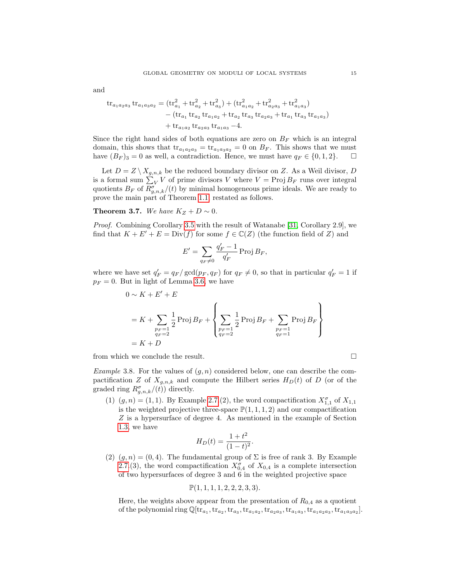and

$$
\begin{aligned} \text{tr}_{a_1a_2a_3} \, \text{tr}_{a_1a_3a_2} &= \left( \text{tr}_{a_1}^2 + \text{tr}_{a_2}^2 + \text{tr}_{a_3}^2 \right) + \left( \text{tr}_{a_1a_2}^2 + \text{tr}_{a_2a_3}^2 + \text{tr}_{a_1a_3}^2 \right) \\ &- \left( \text{tr}_{a_1} \, \text{tr}_{a_2} \, \text{tr}_{a_1a_2} + \text{tr}_{a_2} \, \text{tr}_{a_3} \, \text{tr}_{a_2a_3} + \text{tr}_{a_1} \, \text{tr}_{a_3} \, \text{tr}_{a_1a_3} \right) \\ &+ \text{tr}_{a_1a_2} \, \text{tr}_{a_2a_3} \, \text{tr}_{a_1a_3} - 4. \end{aligned}
$$

Since the right hand sides of both equations are zero on  $B_F$  which is an integral domain, this shows that  $\text{tr}_{a_1a_2a_3} = \text{tr}_{a_1a_3a_2} = 0$  on  $B_F$ . This shows that we must have  $(B_F)_3 = 0$  as well, a contradiction. Hence, we must have  $q_F \in \{0, 1, 2\}$ .

Let  $D = Z \setminus X_{q,n,k}$  be the reduced boundary divisor on Z. As a Weil divisor, D is a formal sum  $\sum_{V} V$  of prime divisors V where  $V = \text{Proj } B_F$  runs over integral quotients  $B_F$  of  $R^{\sigma}_{g,n,k}/(t)$  by minimal homogeneous prime ideals. We are ready to prove the main part of Theorem [1.1,](#page-0-0) restated as follows.

Theorem 3.7. We have  $K_Z + D \sim 0$ .

Proof. Combining Corollary [3.5](#page-12-0) with the result of Watanabe [\[31,](#page-40-2) Corollary 2.9], we find that  $K + E' + E = Div(f)$  for some  $f \in \mathbb{C}(Z)$  (the function field of Z) and

$$
E' = \sum_{q_F \neq 0} \frac{q'_F - 1}{q'_F} \operatorname{Proj} B_F,
$$

where we have set  $q'_F = q_F / \gcd(p_F, q_F)$  for  $q_F \neq 0$ , so that in particular  $q'_F = 1$  if  $p_F = 0$ . But in light of Lemma [3.6,](#page-13-0) we have

$$
0 \sim K + E' + E
$$
  
=  $K + \sum_{\substack{p_F = 1 \ q_F = 2}} \frac{1}{2} \operatorname{Proj} B_F + \left\{ \sum_{\substack{p_F = 1 \ q_F = 2}} \frac{1}{2} \operatorname{Proj} B_F + \sum_{\substack{p_F = 1 \ q_F = 1}} \operatorname{Proj} B_F \right\}$   
=  $K + D$ 

from which we conclude the result.

<span id="page-14-0"></span>Example 3.8. For the values of  $(g, n)$  considered below, one can describe the compactification Z of  $X_{q,n,k}$  and compute the Hilbert series  $H_D(t)$  of D (or of the graded ring  $R_{g,n,k}^{\sigma}$  (*t*)) directly.

(1)  $(g, n) = (1, 1)$ . By Example [2.7.](#page-6-1)(2), the word compactification  $X_{1,1}^{\sigma}$  of  $X_{1,1}$ is the weighted projective three-space  $\mathbb{P}(1,1,1,2)$  and our compactification Z is a hypersurface of degree 4. As mentioned in the example of Section [1.3,](#page-1-0) we have

$$
H_D(t) = \frac{1+t^2}{(1-t)^2}.
$$

(2)  $(g, n) = (0, 4)$ . The fundamental group of  $\Sigma$  is free of rank 3. By Example [2.7.](#page-6-1)(3), the word compactification  $X_{0,4}^{\sigma}$  of  $X_{0,4}$  is a complete intersection of two hypersurfaces of degree 3 and 6 in the weighted projective space

$$
\mathbb{P}(1,1,1,1,2,2,2,3,3).
$$

Here, the weights above appear from the presentation of  $R_{0,4}$  as a quotient of the polynomial ring  $\mathbb{Q}[tr_{a_1},$ ,  $tr_{a_2},$ ,  $tr_{a_3},$ ,  $tr_{a_1a_2},$ ,  $tr_{a_2a_3},$ ,  $tr_{a_1a_2a_3},$ ,  $tr_{a_1a_3a_2}$ .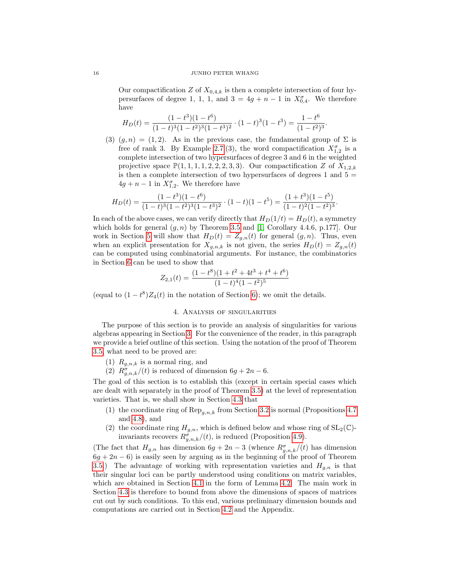Our compactification Z of  $X_{0,4,k}$  is then a complete intersection of four hypersurfaces of degree 1, 1, 1, and  $3 = 4g + n - 1$  in  $X_{0,4}^{\sigma}$ . We therefore have

$$
H_D(t) = \frac{(1-t^3)(1-t^6)}{(1-t)^3(1-t^2)^3(1-t^3)^2} \cdot (1-t)^3(1-t^3) = \frac{1-t^6}{(1-t^2)^3}.
$$

(3)  $(g, n) = (1, 2)$ . As in the previous case, the fundamental group of  $\Sigma$  is free of rank 3. By Example [2.7.](#page-6-1)(3), the word compactification  $X_{1,2}^{\sigma}$  is a complete intersection of two hypersurfaces of degree 3 and 6 in the weighted projective space  $\mathbb{P}(1,1,1,1,2,2,2,3,3)$ . Our compactification Z of  $X_{1,2,k}$ is then a complete intersection of two hypersurfaces of degrees  $1$  and  $5 =$  $4g + n - 1$  in  $X_{1,2}^{\sigma}$ . We therefore have

$$
H_D(t) = \frac{(1-t^3)(1-t^6)}{(1-t)^3(1-t^2)^3(1-t^3)^2} \cdot (1-t)(1-t^5) = \frac{(1+t^3)(1-t^5)}{(1-t)^2(1-t^2)^3}.
$$

In each of the above cases, we can verify directly that  $H_D(1/t) = H_D(t)$ , a symmetry which holds for general  $(g, n)$  by Theorem [3.5](#page-12-0) and [\[1,](#page-39-10) Corollary 4.4.6, p.177]. Our work in Section [5](#page-25-0) will show that  $H_D(t) = Z_{g,n}(t)$  for general  $(g, n)$ . Thus, even when an explicit presentation for  $X_{q,n,k}$  is not given, the series  $H_D(t) = Z_{q,n}(t)$ can be computed using combinatorial arguments. For instance, the combinatorics in Section [6](#page-30-0) can be used to show that

$$
Z_{2,1}(t) = \frac{(1-t^8)(1+t^2+4t^3+t^4+t^6)}{(1-t)^4(1-t^2)^5}
$$

(equal to  $(1-t^8)Z_4(t)$  in the notation of Section [6\)](#page-30-0); we omit the details.

## 4. Analysis of singularities

<span id="page-15-0"></span>The purpose of this section is to provide an analysis of singularities for various algebras appearing in Section [3.](#page-9-0) For the convenience of the reader, in this paragraph we provide a brief outline of this section. Using the notation of the proof of Theorem [3.5,](#page-12-0) what need to be proved are:

- (1)  $R_{g,n,k}$  is a normal ring, and
- (2)  $R_{g,n,k}^{\sigma}/(t)$  is reduced of dimension  $6g + 2n 6$ .

The goal of this section is to establish this (except in certain special cases which are dealt with separately in the proof of Theorem [3.5\)](#page-12-0) at the level of representation varieties. That is, we shall show in Section [4.3](#page-19-1) that

- (1) the coordinate ring of  $\text{Rep}_{q,n,k}$  from Section [3.2](#page-11-0) is normal (Propositions [4.7](#page-19-0)) and [4.8\)](#page-21-0), and
- (2) the coordinate ring  $H_{g,n}$ , which is defined below and whose ring of  $SL_2(\mathbb{C})$ invariants recovers  $R^{\sigma}_{g,n,k}/(t)$ , is reduced (Proposition [4.9\)](#page-22-0).

(The fact that  $H_{g,n}$  has dimension  $6g + 2n - 3$  (whence  $R^{\sigma}_{g,n,k}/(t)$  has dimension  $6g + 2n - 6$ ) is easily seen by arguing as in the beginning of the proof of Theorem [3.5.](#page-12-0)) The advantage of working with representation varieties and  $H_{q,n}$  is that their singular loci can be partly understood using conditions on matrix variables, which are obtained in Section [4.1](#page-16-0) in the form of Lemma [4.2.](#page-17-0) The main work in Section [4.3](#page-19-1) is therefore to bound from above the dimensions of spaces of matrices cut out by such conditions. To this end, various preliminary dimension bounds and computations are carried out in Section [4.2](#page-18-0) and the Appendix.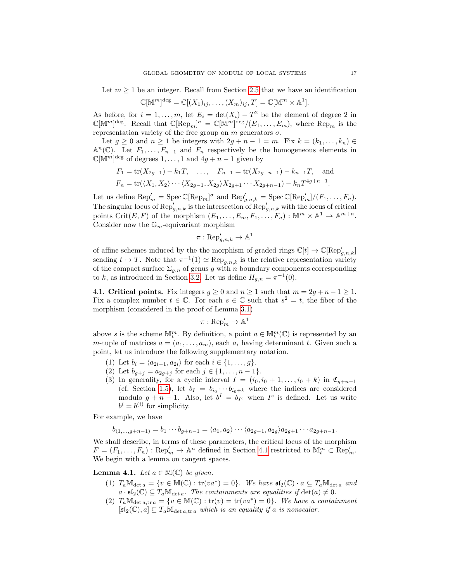Let  $m \geq 1$  be an integer. Recall from Section [2.5](#page-8-0) that we have an identification

$$
\mathbb{C}[\mathbb{M}^m]^{\text{deg}} = \mathbb{C}[(X_1)_{ij}, \dots, (X_m)_{ij}, T] = \mathbb{C}[\mathbb{M}^m \times \mathbb{A}^1].
$$

As before, for  $i = 1, ..., m$ , let  $E_i = \det(X_i) - T^2$  be the element of degree 2 in  $\mathbb{C}[\mathbb{M}^m]^{\text{deg}}$ . Recall that  $\mathbb{C}[\text{Rep}_m]^{\sigma} = \mathbb{C}[\mathbb{M}^m]^{\text{deg}}/(E_1,\ldots,E_m)$ , where  $\text{Rep}_m$  is the representation variety of the free group on  $m$  generators  $\sigma.$ 

Let  $g \geq 0$  and  $n \geq 1$  be integers with  $2g + n - 1 = m$ . Fix  $k = (k_1, \ldots, k_n) \in$  $\mathbb{A}^n(\mathbb{C})$ . Let  $F_1,\ldots,F_{n-1}$  and  $F_n$  respectively be the homogeneous elements in  $\mathbb{C}[\mathbb{M}^m]^{\text{deg}}$  of degrees  $1,\ldots,1$  and  $4g+n-1$  given by

$$
F_1 = \text{tr}(X_{2g+1}) - k_1T, \dots, F_{n-1} = \text{tr}(X_{2g+n-1}) - k_{n-1}T, \text{ and}
$$
  
\n
$$
F_n = \text{tr}(\langle X_1, X_2 \rangle \cdots \langle X_{2g-1}, X_{2g} \rangle X_{2g+1} \cdots X_{2g+n-1}) - k_n T^{4g+n-1}.
$$

Let us define  $\text{Rep}'_m = \text{Spec } \mathbb{C}[\text{Rep}_m]^{\sigma}$  and  $\text{Rep}'_{g,n,k} = \text{Spec } \mathbb{C}[\text{Rep}'_m]/(F_1, \ldots, F_n)$ . The singular locus of  $\text{Rep}'_{g,n,k}$  is the intersection of  $\text{Rep}'_{g,n,k}$  with the locus of critical points Crit $(E, F)$  of the morphism  $(E_1, \ldots, E_m, F_1, \ldots, F_n) : \mathbb{M}^m \times \mathbb{A}^1 \to \mathbb{A}^{m+n}$ . Consider now the  $\mathbb{G}_m$ -equivariant morphism

$$
\pi: \operatorname{Rep}'_{g,n,k} \to \mathbb{A}^1
$$

of affine schemes induced by the the morphism of graded rings  $\mathbb{C}[t] \to \mathbb{C}[\text{Rep}'_{g,n,k}]$ sending  $t \mapsto T$ . Note that  $\pi^{-1}(1) \simeq \text{Rep}_{g,n,k}$  is the relative representation variety of the compact surface  $\Sigma_{g,n}$  of genus g with n boundary components corresponding to k, as introduced in Section [3.2.](#page-11-0) Let us define  $H_{g,n} = \pi^{-1}(0)$ .

<span id="page-16-0"></span>4.1. Critical points. Fix integers  $q \ge 0$  and  $n \ge 1$  such that  $m = 2q + n - 1 \ge 1$ . Fix a complex number  $t \in \mathbb{C}$ . For each  $s \in \mathbb{C}$  such that  $s^2 = t$ , the fiber of the morphism (considered in the proof of Lemma [3.1\)](#page-9-2)

$$
\pi: \operatorname{Rep}'_m \to \mathbb{A}^1
$$

above s is the scheme  $\mathbb{M}^m_t$ . By definition, a point  $a \in \mathbb{M}^m_t(\mathbb{C})$  is represented by an m-tuple of matrices  $a = (a_1, \ldots, a_m)$ , each  $a_i$  having determinant t. Given such a point, let us introduce the following supplementary notation.

- (1) Let  $b_i = \langle a_{2i-1}, a_{2i} \rangle$  for each  $i \in \{1, ..., g\}.$
- (2) Let  $b_{g+j} = a_{2g+j}$  for each  $j \in \{1, ..., n-1\}$ .
- (3) In generality, for a cyclic interval  $I = (i_0, i_0 + 1, \ldots, i_0 + k)$  in  $\mathfrak{C}_{g+n-1}$ (cf. Section [1.5\)](#page-3-1), let  $b_I = b_{i_0} \cdots b_{i_0+k}$  where the indices are considered modulo  $g + n - 1$ . Also, let  $b^I = b_{I^c}$  when  $I^c$  is defined. Let us write  $b^i = b^{(i)}$  for simplicity.

For example, we have

$$
b_{(1,...,g+n-1)} = b_1 \cdots b_{g+n-1} = \langle a_1, a_2 \rangle \cdots \langle a_{2g-1}, a_{2g} \rangle a_{2g+1} \cdots a_{2g+n-1}.
$$

We shall describe, in terms of these parameters, the critical locus of the morphism  $F = (F_1, \ldots, F_n) : \text{Rep}'_m \to \mathbb{A}^n$  defined in Section [4.1](#page-16-0) restricted to  $\mathbb{M}_t^m \subset \text{Rep}'_m$ . We begin with a lemma on tangent spaces.

**Lemma 4.1.** Let  $a \in M(\mathbb{C})$  be given.

- (1)  $T_a \mathbb{M}_{\det a} = \{v \in \mathbb{M}(\mathbb{C}) : \text{tr}(va^*) = 0\}.$  We have  $\mathfrak{sl}_2(\mathbb{C}) \cdot a \subseteq T_a \mathbb{M}_{\det a}$  and  $a \cdot \mathfrak{sl}_2(\mathbb{C}) \subseteq T_a \mathbb{M}_{\det a}$ . The containments are equalities if  $\det(a) \neq 0$ .
- (2)  $T_a \mathbb{M}_{\det a, \text{tr } a} = \{v \in \mathbb{M}(\mathbb{C}) : \text{tr}(v) = \text{tr}(va^*) = 0\}.$  We have a containment  $[\mathfrak{sl}_2(\mathbb{C}), a] \subseteq T_a \mathbb{M}_{\det a, \text{tr } a}$  which is an equality if a is nonscalar.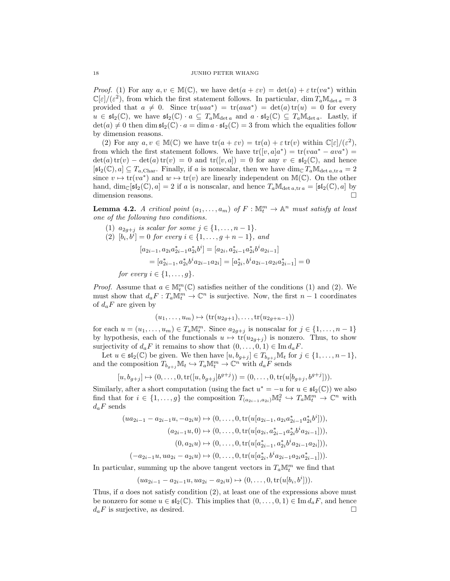*Proof.* (1) For any  $a, v \in M(\mathbb{C})$ , we have  $\det(a + \varepsilon v) = \det(a) + \varepsilon \operatorname{tr}(v a^*)$  within  $\mathbb{C}[\varepsilon]/(\varepsilon^2)$ , from which the first statement follows. In particular, dim  $T_a \mathbb{M}_{\det a} = 3$ provided that  $a \neq 0$ . Since  $tr(uaa^*) = tr(aua^*) = det(a) tr(u) = 0$  for every  $u \in \mathfrak{sl}_2(\mathbb{C})$ , we have  $\mathfrak{sl}_2(\mathbb{C}) \cdot a \subseteq T_a \mathbb{M}_{\det a}$  and  $a \cdot \mathfrak{sl}_2(\mathbb{C}) \subseteq T_a \mathbb{M}_{\det a}$ . Lastly, if  $\det(a) \neq 0$  then  $\dim \mathfrak{sl}_2(\mathbb{C}) \cdot a = \dim a \cdot \mathfrak{sl}_2(\mathbb{C}) = 3$  from which the equalities follow by dimension reasons.

(2) For any  $a, v \in M(\mathbb{C})$  we have  $tr(a + \varepsilon v) = tr(a) + \varepsilon tr(v)$  within  $\mathbb{C}[\varepsilon]/(\varepsilon^2)$ , from which the first statement follows. We have  $tr([v, a]a^*) = tr(vaa^* - ava^*)$  $\det(a) \operatorname{tr}(v) - \det(a) \operatorname{tr}(v) = 0$  and  $\operatorname{tr}([v, a]) = 0$  for any  $v \in \mathfrak{sl}_2(\mathbb{C})$ , and hence  $[\mathfrak{sl}_2(\mathbb{C}), a] \subseteq T_{a,\text{Char}}$ . Finally, if a is nonscalar, then we have  $\dim_{\mathbb{C}} T_a \mathbb{M}_{\det a, \text{tr } a} = 2$ since  $v \mapsto \text{tr}(v a^*)$  and  $w \mapsto \text{tr}(v)$  are linearly independent on M(C). On the other hand,  $\dim_{\mathbb{C}}[\mathfrak{sl}_2(\mathbb{C}),a]=2$  if a is nonscalar, and hence  $T_a\mathbb{M}_{\det a,\text{tr }a}=[\mathfrak{sl}_2(\mathbb{C}),a]$  by dimension reasons.

<span id="page-17-0"></span>**Lemma 4.2.** A critical point  $(a_1, \ldots, a_m)$  of  $F : \mathbb{M}_t^m \to \mathbb{A}^n$  must satisfy at least one of the following two conditions.

- (1)  $a_{2g+j}$  is scalar for some  $j \in \{1, ..., n-1\}.$
- (2)  $[b_i, b^i] = 0$  for every  $i \in \{1, ..., g + n 1\}$ , and

$$
[a_{2i-1}, a_{2i}a_{2i-1}^*a_{2i}^*b^i] = [a_{2i}, a_{2i-1}^*a_{2i}^*b^ia_{2i-1}]
$$
  

$$
= [a_{2i-1}^*, a_{2i}^*b^ia_{2i-1}a_{2i}] = [a_{2i}^*, b^ia_{2i-1}a_{2i}a_{2i-1}^*] = 0
$$

for every  $i \in \{1, \ldots, g\}.$ 

*Proof.* Assume that  $a \in \mathbb{M}^m_t(\mathbb{C})$  satisfies neither of the conditions (1) and (2). We must show that  $d_a F : T_a \mathbb{M}^m_t \to \mathbb{C}^n$  is surjective. Now, the first  $n-1$  coordinates of  $d_aF$  are given by

$$
(u_1,\ldots,u_m)\mapsto (\text{tr}(u_{2g+1}),\ldots,\text{tr}(u_{2g+n-1}))
$$

for each  $u = (u_1, \ldots, u_m) \in T_a \mathbb{M}_t^m$ . Since  $a_{2g+j}$  is nonscalar for  $j \in \{1, \ldots, n-1\}$ by hypothesis, each of the functionals  $u \mapsto \text{tr}(u_{2g+j})$  is nonzero. Thus, to show surjectivity of  $d_aF$  it remains to show that  $(0, \ldots, 0, 1) \in \text{Im } d_aF$ .

Let  $u \in \mathfrak{sl}_2(\mathbb{C})$  be given. We then have  $[u, b_{g+j}] \in T_{b_{g+j}}\mathbb{M}_t$  for  $j \in \{1, \ldots, n-1\}$ , and the composition  $T_{b_{g+j}}\mathbb{M}_t \hookrightarrow T_a\mathbb{M}^m_t \to \mathbb{C}^n$  with  $d_a F$  sends

$$
[u, b_{g+j}] \mapsto (0, \dots, 0, \text{tr}([u, b_{g+j}]b^{g+j})) = (0, \dots, 0, \text{tr}(u[b_{g+j}, b^{g+j}])).
$$

Similarly, after a short computation (using the fact  $u^* = -u$  for  $u \in \mathfrak{sl}_2(\mathbb{C})$ ) we also find that for  $i \in \{1,\ldots,g\}$  the composition  $T_{(a_{2i-1},a_{2i})}\mathbb{M}^2_t \hookrightarrow T_a\mathbb{M}^m_t \to \mathbb{C}^n$  with  $d_aF$  sends

$$
(ua_{2i-1} - a_{2i-1}u, -a_{2i}u) \mapsto (0, \dots, 0, \text{tr}(u[a_{2i-1}, a_{2i}a_{2i-1}^*a_{2i}^*b^i])),
$$
  
\n
$$
(a_{2i-1}u, 0) \mapsto (0, \dots, 0, \text{tr}(u[a_{2i}, a_{2i-1}^*a_{2i}^*b^ia_{2i-1}]))
$$
  
\n
$$
(0, a_{2i}u) \mapsto (0, \dots, 0, \text{tr}(u[a_{2i-1}^*a_{2i}^*b^ia_{2i-1}a_{2i}]))
$$
  
\n
$$
(-a_{2i-1}u, ua_{2i} - a_{2i}u) \mapsto (0, \dots, 0, \text{tr}(u[a_{2i}^*b_i^*a_{2i-1}a_{2i}a_{2i-1}^*]))
$$

In particular, summing up the above tangent vectors in  $T_a \mathbb{M}^m_t$  we find that

 $(ua_{2i-1} - a_{2i-1}u, ua_{2i} - a_{2i}u) \mapsto (0, \dots, 0, \text{tr}(u[b_i, b^i])).$ 

Thus, if  $a$  does not satisfy condition  $(2)$ , at least one of the expressions above must be nonzero for some  $u \in \mathfrak{sl}_2(\mathbb{C})$ . This implies that  $(0,\ldots,0,1) \in \text{Im } d_aF$ , and hence  $d_aF$  is surjective, as desired.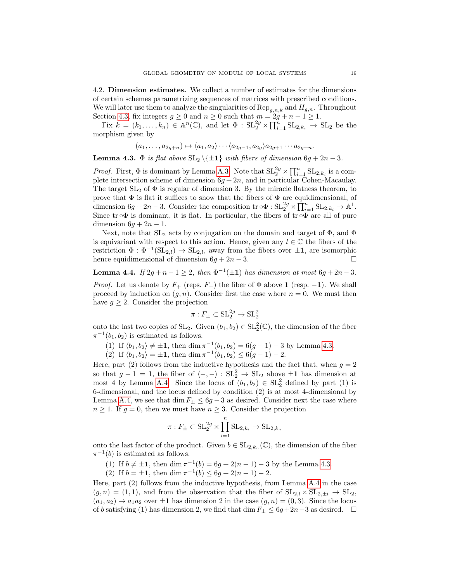<span id="page-18-0"></span>4.2. Dimension estimates. We collect a number of estimates for the dimensions of certain schemes parametrizing sequences of matrices with prescribed conditions. We will later use them to analyze the singularities of  $\text{Rep}_{g,n,k}$  and  $H_{g,n}$ . Throughout Section [4.3,](#page-19-1) fix integers  $g \ge 0$  and  $n \ge 0$  such that  $m = 2g + n - 1 \ge 1$ .

Fix  $k = (k_1, \ldots, k_n) \in \mathbb{A}^n(\mathbb{C})$ , and let  $\Phi : SL_2^{2g} \times \prod_{i=1}^n SL_{2,k_i} \to SL_2$  be the morphism given by

$$
(a_1,\ldots,a_{2g+n}) \mapsto \langle a_1,a_2 \rangle \cdots \langle a_{2g-1},a_{2g} \rangle a_{2g+1} \cdots a_{2g+n}.
$$

<span id="page-18-1"></span>**Lemma 4.3.**  $\Phi$  is flat above  $SL_2 \setminus \{\pm 1\}$  with fibers of dimension  $6g + 2n - 3$ .

*Proof.* First,  $\Phi$  is dominant by Lemma [A.3.](#page-35-0) Note that  $SL_2^{2g} \times \prod_{i=1}^n SL_{2,k_i}$  is a complete intersection scheme of dimension  $6g + 2n$ , and in particular Cohen-Macaulay. The target  $SL_2$  of  $\Phi$  is regular of dimension 3. By the miracle flatness theorem, to prove that  $\Phi$  is flat it suffices to show that the fibers of  $\Phi$  are equidimensional, of dimension  $6g + 2n - 3$ . Consider the composition  $\text{tr} \circ \Phi : \mathrm{SL}_2^{2g} \times \prod_{i=1}^n \mathrm{SL}_{2,k_i} \to \mathbb{A}^1$ . Since tr  $\circ\Phi$  is dominant, it is flat. In particular, the fibers of tr  $\circ\Phi$  are all of pure dimension  $6g + 2n - 1$ .

Next, note that  $SL_2$  acts by conjugation on the domain and target of  $\Phi$ , and  $\Phi$ is equivariant with respect to this action. Hence, given any  $l \in \mathbb{C}$  the fibers of the restriction  $\Phi : \Phi^{-1}(\mathrm{SL}_{2,l}) \to \mathrm{SL}_{2,l}$ , away from the fibers over  $\pm 1$ , are isomorphic hence equidimensional of dimension  $6g + 2n - 3$ .

<span id="page-18-2"></span>**Lemma 4.4.** If  $2g + n - 1 \geq 2$ , then  $\Phi^{-1}(\pm 1)$  has dimension at most  $6g + 2n - 3$ .

*Proof.* Let us denote by  $F_+$  (reps.  $F_-$ ) the fiber of  $\Phi$  above 1 (resp. -1). We shall proceed by induction on  $(g, n)$ . Consider first the case where  $n = 0$ . We must then have  $g \geq 2$ . Consider the projection

$$
\pi: F_{\pm} \subset {\rm SL}_2^{2g} \to {\rm SL}_2^2
$$

onto the last two copies of  $SL_2$ . Given  $(b_1, b_2) \in SL_2^2(\mathbb{C})$ , the dimension of the fiber  $\pi^{-1}(b_1, b_2)$  is estimated as follows.

(1) If  $\langle b_1, b_2 \rangle \neq \pm 1$ , then dim  $\pi^{-1}(b_1, b_2) = 6(g - 1) - 3$  by Lemma [4.3.](#page-18-1)

(2) If  $\langle b_1, b_2 \rangle = \pm 1$ , then dim  $\pi^{-1}(b_1, b_2) \le 6(g - 1) - 2$ .

Here, part (2) follows from the inductive hypothesis and the fact that, when  $q = 2$ so that  $g - 1 = 1$ , the fiber of  $\langle -, - \rangle : SL_2^2 \to SL_2$  above  $\pm 1$  has dimension at most 4 by Lemma [A.4.](#page-36-0) Since the locus of  $(b_1, b_2) \in SL_2^2$  defined by part (1) is 6-dimensional, and the locus defined by condition (2) is at most 4-dimensional by Lemma [A.4,](#page-36-0) we see that dim  $F_{\pm} \leq 6g - 3$  as desired. Consider next the case where  $n\geq 1.$  If  $g=0,$  then we must have  $n\geq 3.$  Consider the projection

$$
\pi: F_{\pm} \subset \operatorname{SL}_2^{2g} \times \prod_{i=1}^n \operatorname{SL}_{2,k_i} \to \operatorname{SL}_{2,k_n}
$$

onto the last factor of the product. Given  $b \in SL_{2,k_n}(\mathbb{C})$ , the dimension of the fiber  $\pi^{-1}(b)$  is estimated as follows.

(1) If  $b \neq \pm 1$ , then dim  $\pi^{-1}(b) = 6g + 2(n-1) - 3$  by the Lemma [4.3.](#page-18-1)

(2) If  $b = \pm 1$ , then dim  $\pi^{-1}(b) \leq 6g + 2(n-1) - 2$ .

Here, part (2) follows from the inductive hypothesis, from Lemma [A.4](#page-36-0) in the case  $(g, n) = (1, 1)$ , and from the observation that the fiber of  $SL_{2,l} \times SL_{2,\pm l} \rightarrow SL_2$ ,  $(a_1, a_2) \mapsto a_1 a_2$  over  $\pm 1$  has dimension 2 in the case  $(g, n) = (0, 3)$ . Since the locus of b satisfying (1) has dimension 2, we find that dim  $F_{\pm} \leq 6g + 2n - 3$  as desired. □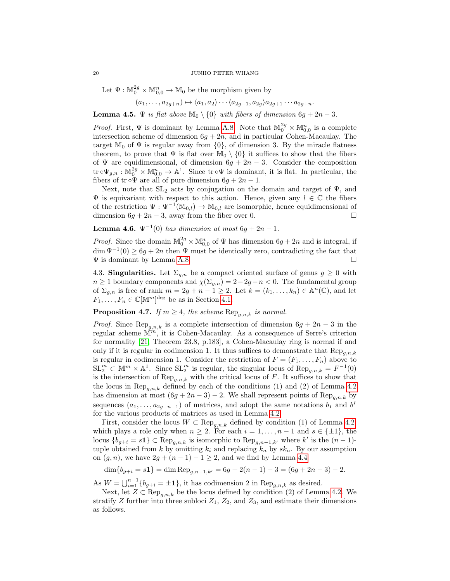Let  $\Psi : \mathbb{M}_0^{2g} \times \mathbb{M}_{0,0}^n \to \mathbb{M}_0$  be the morphism given by

$$
(a_1,\ldots,a_{2g+n})\mapsto \langle a_1,a_2\rangle\cdots\langle a_{2g-1},a_{2g}\rangle a_{2g+1}\cdots a_{2g+n}.
$$

<span id="page-19-2"></span>**Lemma 4.5.**  $\Psi$  is flat above  $\mathbb{M}_0 \setminus \{0\}$  with fibers of dimension  $6g + 2n - 3$ .

*Proof.* First,  $\Psi$  is dominant by Lemma [A.8.](#page-38-0) Note that  $\mathbb{M}_0^{2g} \times \mathbb{M}_{0,0}^n$  is a complete intersection scheme of dimension  $6g + 2n$ , and in particular Cohen-Macaulay. The target  $\mathbb{M}_0$  of  $\Psi$  is regular away from  $\{0\}$ , of dimension 3. By the miracle flatness theorem, to prove that  $\Psi$  is flat over  $\mathbb{M}_0 \setminus \{0\}$  it suffices to show that the fibers of  $\Psi$  are equidimensional, of dimension  $6g + 2n - 3$ . Consider the composition tr  $\circ \Psi_{g,n} : \mathbb{M}_0^{2g} \times \mathbb{M}_{0,0}^n \to \mathbb{A}^1$ . Since tr  $\circ \Psi$  is dominant, it is flat. In particular, the fibers of tr  $\circ \Psi$  are all of pure dimension  $6g + 2n - 1$ .

Next, note that  $SL_2$  acts by conjugation on the domain and target of  $\Psi$ , and  $\Psi$  is equivariant with respect to this action. Hence, given any  $l \in \mathbb{C}$  the fibers of the restriction  $\Psi : \Psi^{-1}(\mathbb{M}_{0,l}) \to \mathbb{M}_{0,l}$  are isomorphic, hence equidimensional of dimension  $6q + 2n - 3$ , away from the fiber over 0.

<span id="page-19-3"></span>**Lemma 4.6.**  $\Psi^{-1}(0)$  has dimension at most  $6g + 2n - 1$ .

*Proof.* Since the domain  $\mathbb{M}_0^{2g} \times \mathbb{M}_{0,0}^n$  of  $\Psi$  has dimension  $6g + 2n$  and is integral, if  $\dim \Psi^{-1}(0) \geq 6g + 2n$  then  $\Psi$  must be identically zero, contradicting the fact that Ψ is dominant by Lemma [A.8.](#page-38-0)

<span id="page-19-1"></span>4.3. **Singularities.** Let  $\Sigma_{g,n}$  be a compact oriented surface of genus  $g \geq 0$  with  $n \geq 1$  boundary components and  $\chi(\Sigma_{g,n}) = 2-2g-n < 0$ . The fundamental group of  $\Sigma_{g,n}$  is free of rank  $m = 2g + n - 1 \geq 2$ . Let  $k = (k_1, \ldots, k_n) \in \mathbb{A}^n(\mathbb{C})$ , and let  $F_1, \ldots, F_n \in \mathbb{C}[\mathbb{M}^m]^{\text{deg}}$  be as in Section [4.1.](#page-16-0)

<span id="page-19-0"></span>**Proposition 4.7.** If  $m \geq 4$ , the scheme  $\text{Rep}_{g,n,k}$  is normal.

*Proof.* Since  $\text{Rep}_{g,n,k}$  is a complete intersection of dimension  $6g + 2n - 3$  in the regular scheme  $\mathbb{M}^m$ , it is Cohen-Macaulay. As a consequence of Serre's criterion for normality [\[21,](#page-40-14) Theorem 23.8, p.183], a Cohen-Macaulay ring is normal if and only if it is regular in codimension 1. It thus suffices to demonstrate that  $\text{Rep}_{a,n,k}$ is regular in codimension 1. Consider the restriction of  $F = (F_1, \ldots, F_n)$  above to  $SL_2^m \subset \mathbb{M}^m \times \mathbb{A}^1$ . Since  $SL_2^m$  is regular, the singular locus of  $\text{Rep}_{g,n,k} = F^{-1}(0)$ is the intersection of  $\text{Rep}_{g,n,k}$  with the critical locus of F. It suffices to show that the locus in  $\text{Rep}_{q,n,k}$  defined by each of the conditions (1) and (2) of Lemma [4.2](#page-17-0) has dimension at most  $(6g + 2n - 3) - 2$ . We shall represent points of Rep<sub>g,n,k</sub> by sequences  $(a_1, \ldots, a_{2g+n-1})$  of matrices, and adopt the same notations  $b_I$  and  $b^I$ for the various products of matrices as used in Lemma [4.2.](#page-17-0)

First, consider the locus  $W \subset \text{Rep}_{q,n,k}$  defined by condition (1) of Lemma [4.2,](#page-17-0) which plays a role only when  $n \geq 2$ . For each  $i = 1, ..., n - 1$  and  $s \in {\pm 1}$ , the locus  ${b_{g+i} = s1} \subset \text{Rep}_{g,n,k}$  is isomorphic to  $\text{Rep}_{g,n-1,k'}$  where k' is the  $(n-1)$ tuple obtained from k by omitting  $k_i$  and replacing  $k_n$  by  $sk_n$ . By our assumption on  $(g, n)$ , we have  $2g + (n - 1) - 1 \geq 2$ , and we find by Lemma [4.4](#page-18-2)

 $\dim\{b_{g+i} = s\mathbf{1}\} = \dim\operatorname{Rep}_{a,n-1,k'} = 6g + 2(n-1) - 3 = (6g + 2n - 3) - 2.$ 

As  $W = \bigcup_{i=1}^{n-1} \{b_{g+i} = \pm 1\}$ , it has codimension 2 in  $\text{Rep}_{g,n,k}$  as desired.

Next, let  $Z \subset \text{Rep}_{a,n,k}$  be the locus defined by condition (2) of Lemma [4.2.](#page-17-0) We stratify Z further into three subloci  $Z_1$ ,  $Z_2$ , and  $Z_3$ , and estimate their dimensions as follows.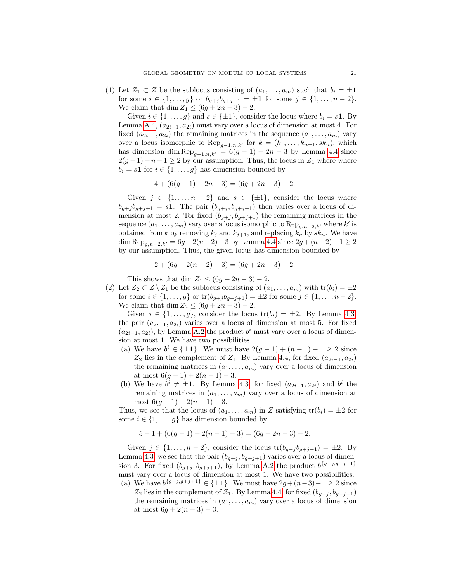(1) Let  $Z_1 \subset Z$  be the sublocus consisting of  $(a_1, \ldots, a_m)$  such that  $b_i = \pm 1$ for some  $i \in \{1, ..., g\}$  or  $b_{g+j}b_{g+j+1} = \pm 1$  for some  $j \in \{1, ..., n-2\}$ . We claim that dim  $Z_1 \leq (6g + 2n - 3) - 2$ .

Given  $i \in \{1, \ldots, g\}$  and  $s \in \{\pm 1\}$ , consider the locus where  $b_i = s\mathbf{1}$ . By Lemma [A.4,](#page-36-0)  $(a_{2i-1}, a_{2i})$  must vary over a locus of dimension at most 4. For fixed  $(a_{2i-1}, a_{2i})$  the remaining matrices in the sequence  $(a_1, \ldots, a_m)$  vary over a locus isomorphic to  $\text{Rep}_{q-1,n,k'}$  for  $k = (k_1,\ldots,k_{n-1}, sk_n)$ , which has dimension dim  $\text{Rep}_{q-1,n,k'} = 6(g-1) + 2n - 3$  by Lemma [4.4](#page-18-2) since  $2(g-1)+n-1\geq 2$  by our assumption. Thus, the locus in  $Z_1$  where where  $b_i = s\mathbf{1}$  for  $i \in \{1, \ldots, g\}$  has dimension bounded by

$$
4 + (6(g - 1) + 2n - 3) = (6g + 2n - 3) - 2.
$$

Given  $j \in \{1, \ldots, n-2\}$  and  $s \in \{\pm 1\}$ , consider the locus where  $b_{g+j} b_{g+j+1} = s1$ . The pair  $(b_{g+j}, b_{g+j+1})$  then varies over a locus of dimension at most 2. Tor fixed  $(b_{g+j}, b_{g+j+1})$  the remaining matrices in the sequence  $(a_1, \ldots, a_m)$  vary over a locus isomorphic to  $\text{Rep}_{g,n-2,k'}$  where  $k'$  is obtained from k by removing  $k_j$  and  $k_{j+1}$ , and replacing  $k_n$  by  $sk_n$ . We have dim Rep<sub>a,n−2,k'</sub> = 6g + 2(n−2) – 3 by Lemma [4.4](#page-18-2) since  $2g + (n-2) - 1 \ge 2$ by our assumption. Thus, the given locus has dimension bounded by

$$
2 + (6g + 2(n - 2) - 3) = (6g + 2n - 3) - 2.
$$

This shows that dim  $Z_1 \leq (6g + 2n - 3) - 2$ .

(2) Let  $Z_2 \subset Z \setminus Z_1$  be the sublocus consisting of  $(a_1, \ldots, a_m)$  with  $tr(b_i) = \pm 2$ for some  $i \in \{1, ..., g\}$  or  $\text{tr}(b_{g+j}b_{g+j+1}) = \pm 2$  for some  $j \in \{1, ..., n-2\}$ . We claim that dim  $Z_2 \leq (6g + 2n - 3) - 2$ .

Given  $i \in \{1, \ldots, g\}$ , consider the locus  $\text{tr}(b_i) = \pm 2$ . By Lemma [4.3,](#page-18-1) the pair  $(a_{2i-1}, a_{2i})$  varies over a locus of dimension at most 5. For fixed  $(a_{2i-1}, a_{2i})$ , by Lemma [A.2](#page-35-1) the product  $b<sup>i</sup>$  must vary over a locus of dimension at most 1. We have two possibilities.

- (a) We have  $b^i \in {\pm 1}$ . We must have  $2(g-1) + (n-1) 1 \ge 2$  since  $Z_2$  lies in the complement of  $Z_1$ . By Lemma [4.4,](#page-18-2) for fixed  $(a_{2i-1}, a_{2i})$ the remaining matrices in  $(a_1, \ldots, a_m)$  vary over a locus of dimension at most  $6(g-1) + 2(n-1) - 3$ .
- (b) We have  $b^i \neq \pm 1$ . By Lemma [4.3,](#page-18-1) for fixed  $(a_{2i-1}, a_{2i})$  and  $b^i$  the remaining matrices in  $(a_1, \ldots, a_m)$  vary over a locus of dimension at most  $6(q-1) - 2(n-1) - 3$ .

Thus, we see that the locus of  $(a_1, \ldots, a_m)$  in Z satisfying  $tr(b_i) = \pm 2$  for some  $i \in \{1, \ldots, g\}$  has dimension bounded by

$$
5 + 1 + (6(g - 1) + 2(n - 1) - 3) = (6g + 2n - 3) - 2.
$$

Given  $j \in \{1, \ldots, n-2\}$ , consider the locus  $\text{tr}(b_{g+j}b_{g+j+1}) = \pm 2$ . By Lemma [4.3,](#page-18-1) we see that the pair  $(b_{g+j}, b_{g+j+1})$  varies over a locus of dimension 3. For fixed  $(b_{g+j}, b_{g+j+1})$ , by Lemma [A.2](#page-35-1) the product  $b^{\{g+j,g+j+1\}}$ must vary over a locus of dimension at most 1. We have two possibilities.

(a) We have  $b^{\{g+j,g+j+1\}} \in {\{\pm 1\}}$ . We must have  $2g + (n-3) - 1 \ge 2$  since  $Z_2$  lies in the complement of  $Z_1$ . By Lemma [4.4,](#page-18-2) for fixed  $(b_{g+j}, b_{g+j+1})$ the remaining matrices in  $(a_1, \ldots, a_m)$  vary over a locus of dimension at most  $6g + 2(n-3) - 3$ .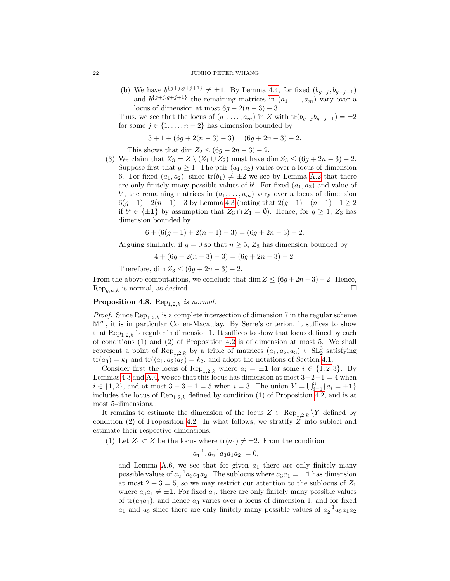(b) We have  $b^{\{g+j,g+j+1\}} \neq \pm 1$ . By Lemma [4.4,](#page-18-2) for fixed  $(b_{g+j}, b_{g+j+1})$ and  $b^{\{g+j,g+j+1\}}$  the remaining matrices in  $(a_1,\ldots,a_m)$  vary over a locus of dimension at most  $6g - 2(n-3) - 3$ .

Thus, we see that the locus of  $(a_1, \ldots, a_m)$  in Z with  $tr(b_{q+j} b_{q+j+1}) = \pm 2$ for some  $j \in \{1, \ldots, n-2\}$  has dimension bounded by

$$
3 + 1 + (6g + 2(n - 3) - 3) = (6g + 2n - 3) - 2.
$$

This shows that dim  $Z_2 \leq (6g + 2n - 3) - 2$ .

(3) We claim that  $Z_3 = Z \setminus (Z_1 \cup Z_2)$  must have dim  $Z_3 \leq (6g + 2n - 3) - 2$ . Suppose first that  $g \geq 1$ . The pair  $(a_1, a_2)$  varies over a locus of dimension 6. For fixed  $(a_1, a_2)$ , since  $tr(b_1) \neq \pm 2$  we see by Lemma [A.2](#page-35-1) that there are only finitely many possible values of  $b^i$ . For fixed  $(a_1, a_2)$  and value of  $b^i$ , the remaining matrices in  $(a_1, \ldots, a_m)$  vary over a locus of dimension  $6(g-1)+2(n-1)-3$  by Lemma [4.3](#page-18-1) (noting that  $2(g-1)+(n-1)-1\geq 2$ ) if  $b^i \in {\pm 1}$  by assumption that  $Z_3 \cap Z_1 = \emptyset$ . Hence, for  $g \geq 1$ ,  $Z_3$  has dimension bounded by

$$
6 + (6(g - 1) + 2(n - 1) - 3) = (6g + 2n - 3) - 2.
$$

Arguing similarly, if  $g = 0$  so that  $n \geq 5$ ,  $Z_3$  has dimension bounded by

$$
4 + (6g + 2(n-3) - 3) = (6g + 2n - 3) - 2.
$$

Therefore, dim  $Z_3 \le (6g + 2n - 3) - 2$ .

From the above computations, we conclude that dim  $Z \leq (6g + 2n - 3) - 2$ . Hence,  $\text{Rep}_{a,n,k}$  is normal, as desired.

# <span id="page-21-0"></span>Proposition 4.8.  $\text{Rep}_{1,2,k}$  is normal.

*Proof.* Since  $\text{Rep}_{1,2,k}$  is a complete intersection of dimension 7 in the regular scheme  $\mathbb{M}^m$ , it is in particular Cohen-Macaulay. By Serre's criterion, it suffices to show that Rep<sub>1,2</sub>, is regular in dimension 1. It suffices to show that locus defined by each of conditions (1) and (2) of Proposition [4.2](#page-17-0) is of dimension at most 5. We shall represent a point of  $\text{Rep}_{1,2,k}$  by a triple of matrices  $(a_1, a_2, a_3) \in SL_2^3$  satisfying  $tr(a_3) = k_1$  and  $tr(\langle a_1, a_2 \rangle a_3) = k_2$ , and adopt the notations of Section [4.1.](#page-16-0)

Consider first the locus of Rep<sub>1,2,k</sub> where  $a_i = \pm 1$  for some  $i \in \{1, 2, 3\}$ . By Lemmas [4.3](#page-18-1) and [A.4,](#page-36-0) we see that this locus has dimension at most  $3+2-1=4$  when  $i \in \{1, 2\}$ , and at most  $3 + 3 - 1 = 5$  when  $i = 3$ . The union  $Y = \bigcup_{i=1}^{3} \{a_i = \pm 1\}$ includes the locus of  $\text{Rep}_{1,2,k}$  defined by condition (1) of Proposition [4.2,](#page-17-0) and is at most 5-dimensional.

It remains to estimate the dimension of the locus  $Z \subset \text{Rep}_{1,2,k} \backslash Y$  defined by condition (2) of Proposition [4.2.](#page-17-0) In what follows, we stratify Z into subloci and estimate their respective dimensions.

(1) Let  $Z_1 \subset Z$  be the locus where  $\text{tr}(a_1) \neq \pm 2$ . From the condition

$$
[a_1^{-1}, a_2^{-1} a_3 a_1 a_2] = 0,
$$

and Lemma [A.6,](#page-37-0) we see that for given  $a_1$  there are only finitely many possible values of  $a_2^{-1}a_3a_1a_2$ . The sublocus where  $a_3a_1 = \pm 1$  has dimension at most  $2 + 3 = 5$ , so we may restrict our attention to the sublocus of  $Z_1$ where  $a_3a_1 \neq \pm 1$ . For fixed  $a_1$ , there are only finitely many possible values of  $tr(a_3a_1)$ , and hence  $a_3$  varies over a locus of dimension 1, and for fixed  $a_1$  and  $a_3$  since there are only finitely many possible values of  $a_2^{-1}a_3a_1a_2$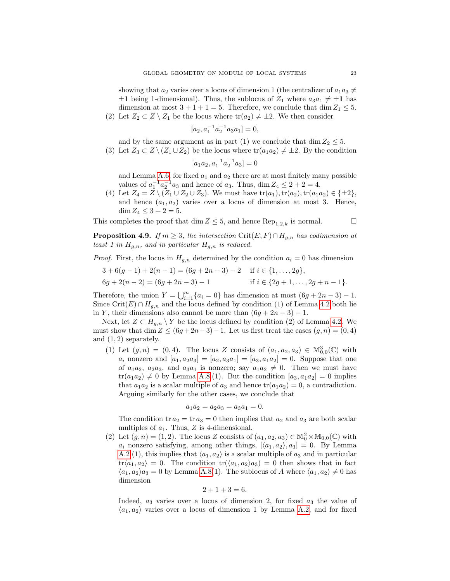showing that  $a_2$  varies over a locus of dimension 1 (the centralizer of  $a_1a_3 \neq$  $\pm 1$  being 1-dimensional). Thus, the sublocus of  $Z_1$  where  $a_3a_1 \neq \pm 1$  has dimension at most  $3 + 1 + 1 = 5$ . Therefore, we conclude that dim  $Z_1 \leq 5$ .

(2) Let  $Z_2 \subset Z \setminus Z_1$  be the locus where  $tr(a_2) \neq \pm 2$ . We then consider

$$
[a_2, a_1^{-1}a_2^{-1}a_3a_1] = 0,
$$

and by the same argument as in part (1) we conclude that dim  $Z_2 \leq 5$ .

(3) Let  $Z_3 \subset Z \setminus (Z_1 \cup Z_2)$  be the locus where  $\text{tr}(a_1 a_2) \neq \pm 2$ . By the condition

$$
[a_1 a_2, a_1^{-1} a_2^{-1} a_3] = 0
$$

and Lemma [A.6,](#page-37-0) for fixed  $a_1$  and  $a_2$  there are at most finitely many possible values of  $a_1^{-1}a_2^{-1}a_3$  and hence of  $a_3$ . Thus,  $\dim Z_4 \leq 2 + 2 = 4$ .

(4) Let  $Z_4 = Z \setminus (Z_1 \cup Z_2 \cup Z_3)$ . We must have  $tr(a_1)$ ,  $tr(a_2)$ ,  $tr(a_1a_2) \in {\pm 2}$ , and hence  $(a_1, a_2)$  varies over a locus of dimension at most 3. Hence, dim  $Z_4 \leq 3 + 2 = 5$ .

This completes the proof that dim  $Z \leq 5$ , and hence  $\text{Rep}_{1,2,k}$  is normal.

<span id="page-22-0"></span>**Proposition 4.9.** If  $m \geq 3$ , the intersection Crit $(E, F) \cap H_{g,n}$  has codimension at least 1 in  $H_{g,n}$ , and in particular  $H_{g,n}$  is reduced.

*Proof.* First, the locus in  $H_{q,n}$  determined by the condition  $a_i = 0$  has dimension

$$
3+6(g-1)+2(n-1) = (6g+2n-3)-2
$$
 if  $i \in \{1, ..., 2g\}$ ,  
\n
$$
6g+2(n-2) = (6g+2n-3)-1
$$
 if  $i \in \{2g+1, ..., 2g+n-1\}$ .

Therefore, the union  $Y = \bigcup_{i=1}^{m} \{a_i = 0\}$  has dimension at most  $(6g + 2n - 3) - 1$ . Since Crit(E) ∩  $H_{g,n}$  and the locus defined by condition (1) of Lemma [4.2](#page-17-0) both lie in Y, their dimensions also cannot be more than  $(6g + 2n - 3) - 1$ .

Next, let  $Z \subset H_{g,n} \setminus Y$  be the locus defined by condition (2) of Lemma [4.2.](#page-17-0) We must show that dim  $Z \leq (6g + 2n - 3) - 1$ . Let us first treat the cases  $(g, n) = (0, 4)$ and  $(1, 2)$  separately.

(1) Let  $(g, n) = (0, 4)$ . The locus Z consists of  $(a_1, a_2, a_3) \in M_{0,0}^3(\mathbb{C})$  with  $a_i$  nonzero and  $[a_1, a_2a_3] = [a_2, a_3a_1] = [a_3, a_1a_2] = 0$ . Suppose that one of  $a_1a_2$ ,  $a_2a_3$ , and  $a_3a_1$  is nonzero; say  $a_1a_2 \neq 0$ . Then we must have  $tr(a_1a_2) \neq 0$  by Lemma [A.8.](#page-38-0)(1). But the condition  $[a_3, a_1a_2] = 0$  implies that  $a_1a_2$  is a scalar multiple of  $a_3$  and hence  $tr(a_1a_2) = 0$ , a contradiction. Arguing similarly for the other cases, we conclude that

$$
a_1 a_2 = a_2 a_3 = a_3 a_1 = 0.
$$

The condition tr  $a_2 = \text{tr } a_3 = 0$  then implies that  $a_2$  and  $a_3$  are both scalar multiples of  $a_1$ . Thus, Z is 4-dimensional.

(2) Let  $(g, n) = (1, 2)$ . The locus Z consists of  $(a_1, a_2, a_3) \in M_0^2 \times M_{0,0}(\mathbb{C})$  with  $a_i$  nonzero satisfying, among other things,  $\langle\langle a_1, a_2 \rangle, a_3 \rangle = 0$ . By Lemma [A.2.](#page-35-1)(1), this implies that  $\langle a_1, a_2 \rangle$  is a scalar multiple of  $a_3$  and in particular  $\text{tr}\langle a_1, a_2 \rangle = 0$ . The condition  $\text{tr}\langle a_1, a_2 \rangle a_3 = 0$  then shows that in fact  $\langle a_1, a_2 \rangle a_3 = 0$  by Lemma [A.8\(](#page-38-0)1). The sublocus of A where  $\langle a_1, a_2 \rangle \neq 0$  has dimension

$$
2 + 1 + 3 = 6.
$$

Indeed,  $a_3$  varies over a locus of dimension 2, for fixed  $a_3$  the value of  $\langle a_1, a_2 \rangle$  varies over a locus of dimension 1 by Lemma [A.2,](#page-35-1) and for fixed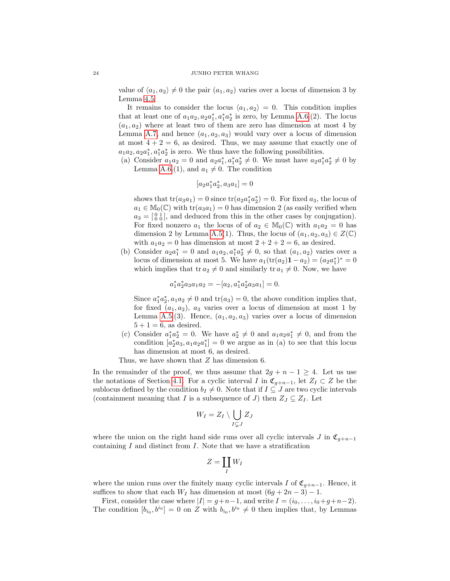value of  $\langle a_1, a_2 \rangle \neq 0$  the pair  $(a_1, a_2)$  varies over a locus of dimension 3 by Lemma [4.5.](#page-19-2)

It remains to consider the locus  $\langle a_1, a_2 \rangle = 0$ . This condition implies that at least one of  $a_1a_2, a_2a_1^*, a_1^*a_2^*$  is zero, by Lemma [A.6.](#page-37-0)(2). The locus  $(a_1, a_2)$  where at least two of them are zero has dimension at most 4 by Lemma [A.7,](#page-38-1) and hence  $(a_1, a_2, a_3)$  would vary over a locus of dimension at most  $4 + 2 = 6$ , as desired. Thus, we may assume that exactly one of  $a_1 a_2, a_2 a_1^*, a_1^* a_2^*$  is zero. We thus have the following possibilities.

(a) Consider  $a_1a_2 = 0$  and  $a_2a_1^*, a_1^*a_2^* \neq 0$ . We must have  $a_2a_1^*a_2^* \neq 0$  by Lemma [A.6.](#page-37-0)(1), and  $a_1 \neq 0$ . The condition

$$
[a_2 a_1^* a_2^*, a_3 a_1] = 0
$$

shows that  $tr(a_3a_1) = 0$  since  $tr(a_2a_1^*a_2^*) = 0$ . For fixed  $a_3$ , the locus of  $a_1 \in \mathbb{M}_0(\mathbb{C})$  with  $\text{tr}(a_3a_1) = 0$  has dimension 2 (as easily verified when  $a_3 = \begin{bmatrix} 0 & 1 \\ 0 & 0 \end{bmatrix}$ , and deduced from this in the other cases by conjugation). For fixed nonzero  $a_1$  the locus of of  $a_2 \in M_0(\mathbb{C})$  with  $a_1a_2 = 0$  has dimension 2 by Lemma [A.5\(](#page-37-1)1). Thus, the locus of  $(a_1, a_2, a_3) \in Z(\mathbb{C})$ with  $a_1a_2 = 0$  has dimension at most  $2 + 2 + 2 = 6$ , as desired.

(b) Consider  $a_2a_1^* = 0$  and  $a_1a_2, a_1^*a_2^* \neq 0$ , so that  $(a_1, a_2)$  varies over a locus of dimension at most 5. We have  $a_1(\text{tr}(a_2)\mathbf{1} - a_2) = (a_2 a_1^*)^* = 0$ which implies that tr  $a_2 \neq 0$  and similarly tr  $a_1 \neq 0$ . Now, we have

$$
a_1^* a_2^* a_3 a_1 a_2 = -[a_2, a_1^* a_2^* a_3 a_1] = 0.
$$

Since  $a_1^* a_2^*$ ,  $a_1 a_2 \neq 0$  and  $tr(a_3) = 0$ , the above condition implies that, for fixed  $(a_1, a_2)$ ,  $a_3$  varies over a locus of dimension at most 1 by Lemma [A.5.](#page-37-1)(3). Hence,  $(a_1, a_2, a_3)$  varies over a locus of dimension  $5 + 1 = 6$ , as desired.

(c) Consider  $a_1^* a_2^* = 0$ . We have  $a_2^* \neq 0$  and  $a_1 a_2 a_1^* \neq 0$ , and from the condition  $[a_2^* a_3, a_1 a_2 a_1^*] = 0$  we argue as in (a) to see that this locus has dimension at most 6, as desired.

Thus, we have shown that  $Z$  has dimension 6.

In the remainder of the proof, we thus assume that  $2g + n - 1 \geq 4$ . Let us use the notations of Section [4.1.](#page-16-0) For a cyclic interval I in  $\mathfrak{C}_{q+n-1}$ , let  $Z_I \subset Z$  be the sublocus defined by the condition  $b_I \neq 0$ . Note that if  $I \subseteq J$  are two cyclic intervals (containment meaning that I is a subsequence of J) then  $Z_J \subseteq Z_I$ . Let

$$
W_I = Z_I \setminus \bigcup_{I \subsetneq J} Z_J
$$

where the union on the right hand side runs over all cyclic intervals J in  $\mathfrak{C}_{q+n-1}$ containing  $I$  and distinct from  $I$ . Note that we have a stratification

$$
Z=\coprod_I W_I
$$

where the union runs over the finitely many cyclic intervals I of  $\mathfrak{C}_{g+n-1}$ . Hence, it suffices to show that each  $W_I$  has dimension at most  $(6g + 2n - 3) - 1$ .

First, consider the case where  $|I| = g+n-1$ , and write  $I = (i_0, \ldots, i_0+g+n-2)$ . The condition  $[b_{i_0}, b^{i_0}] = 0$  on Z with  $b_{i_0}, b^{i_0} \neq 0$  then implies that, by Lemmas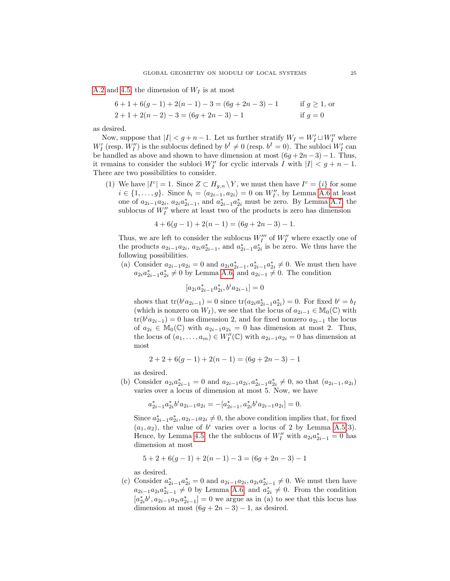[A.2](#page-35-1) and [4.5,](#page-19-2) the dimension of  $W_I$  is at most

$$
6+1+6(g-1)+2(n-1)-3 = (6g+2n-3)-1
$$
 if  $g \ge 1$ , or  
  $2+1+2(n-2)-3 = (6g+2n-3)-1$  if  $g = 0$ 

as desired.

Now, suppose that  $|I| < g+n-1$ . Let us further stratify  $W_I = W_I' \sqcup W_I''$  where  $W'_I$  (resp.  $W''_I$ ) is the sublocus defined by  $b^I \neq 0$  (resp.  $b^I = 0$ ). The subloci  $W'_I$  can be handled as above and shown to have dimension at most  $(6g + 2n-3) - 1$ . Thus, it remains to consider the subloci  $W''_I$  for cyclic intervals I with  $|I| < g + n - 1$ . There are two possibilities to consider.

(1) We have  $|I^c| = 1$ . Since  $Z \subset H_{g,n} \backslash Y$ , we must then have  $I^c = \{i\}$  for some  $i \in \{1, ..., g\}$ . Since  $b_i = \langle a_{2i-1}, a_{2i} \rangle = 0$  on  $W''_I$ , by Lemma [A.6](#page-37-0) at least one of  $a_{2i-1}a_{2i}$ ,  $a_{2i}a_{2i-1}^*$ , and  $a_{2i-1}^*a_{2i}^*$  must be zero. By Lemma [A.7,](#page-38-1) the sublocus of  $W_I''$  where at least two of the products is zero has dimension

$$
4 + 6(g - 1) + 2(n - 1) = (6g + 2n - 3) - 1.
$$

Thus, we are left to consider the sublocus  $W_I^{\prime\prime}$  of  $W_I^{\prime\prime}$  where exactly one of the products  $a_{2i-1}a_{2i}$ ,  $a_{2i}a_{2i-1}^*$ , and  $a_{2i-1}^*a_{2i}^*$  is be zero. We thus have the following possibilities.

(a) Consider  $a_{2i-1}a_{2i} = 0$  and  $a_{2i}a_{2i-1}^*$ ,  $a_{2i-1}^*a_{2i}^* \neq 0$ . We must then have  $a_{2i}a_{2i-1}^*a_{2i}^* \neq 0$  by Lemma [A.6,](#page-37-0) and  $a_{2i-1} \neq 0$ . The condition

$$
[a_{2i}a_{2i-1}^*a_{2i}^*, b^ia_{2i-1}] = 0
$$

shows that  $tr(b^i a_{2i-1}) = 0$  since  $tr(a_{2i} a_{2i-1}^* a_{2i}^*) = 0$ . For fixed  $b^i = b_I$ (which is nonzero on  $W_I$ ), we see that the locus of  $a_{2i-1} \in M_0(\mathbb{C})$  with  $tr(b^i a_{2i-1}) = 0$  has dimension 2, and for fixed nonzero  $a_{2i-1}$  the locus of  $a_{2i} \in M_0(\mathbb{C})$  with  $a_{2i-1}a_{2i} = 0$  has dimension at most 2. Thus, the locus of  $(a_1, \ldots, a_m) \in W_I''(\mathbb{C})$  with  $a_{2i-1}a_{2i} = 0$  has dimension at most

$$
2 + 2 + 6(g - 1) + 2(n - 1) = (6g + 2n - 3) - 1
$$

as desired.

(b) Consider  $a_{2i}a_{2i-1}^* = 0$  and  $a_{2i-1}a_{2i}, a_{2i-1}^* a_{2i}^* \neq 0$ , so that  $(a_{2i-1}, a_{2i})$ varies over a locus of dimension at most 5. Now, we have

$$
a_{2i-1}^* a_{2i}^* b^i a_{2i-1} a_{2i} = -[a_{2i-1}^*, a_{2i}^* b^i a_{2i-1} a_{2i}] = 0.
$$

Since  $a_{2i-1}^* a_{2i}^*$ ,  $a_{2i-1}a_{2i} \neq 0$ , the above condition implies that, for fixed  $(a_1, a_2)$ , the value of  $b^i$  varies over a locus of 2 by Lemma [A.5\(](#page-37-1)3). Hence, by Lemma [4.5,](#page-19-2) the the sublocus of  $W''_I$  with  $a_{2i}a_{2i-1}^* = 0$  has dimension at most

$$
5 + 2 + 6(g - 1) + 2(n - 1) - 3 = (6g + 2n - 3) - 1
$$

as desired.

(c) Consider  $a_{2i-1}^* a_{2i}^* = 0$  and  $a_{2i-1} a_{2i}, a_{2i} a_{2i-1}^* \neq 0$ . We must then have  $a_{2i-1}a_{2i}a_{2i-1}^* \neq 0$  by Lemma [A.6,](#page-37-0) and  $a_{2i}^* \neq 0$ . From the condition  $[a_{2i}^*b^i, a_{2i-1}a_{2i}a_{2i-1}^*]=0$  we argue as in (a) to see that this locus has dimension at most  $(6g + 2n - 3) - 1$ , as desired.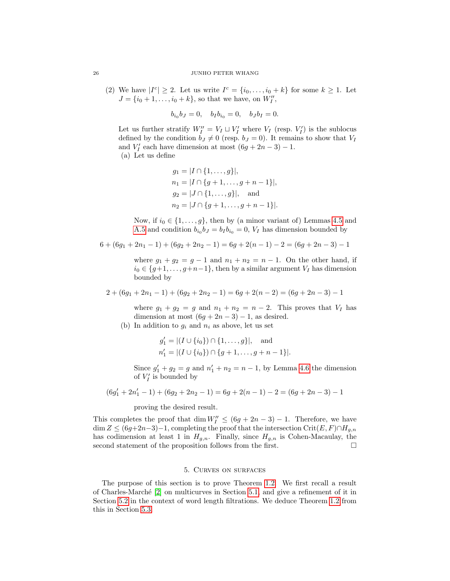(2) We have  $|I^c| \geq 2$ . Let us write  $I^c = \{i_0, \ldots, i_0 + k\}$  for some  $k \geq 1$ . Let  $J = \{i_0 + 1, \ldots, i_0 + k\}$ , so that we have, on  $W''_I$ ,

$$
b_{i_0}b_J = 0
$$
,  $b_I b_{i_0} = 0$ ,  $b_J b_I = 0$ .

Let us further stratify  $W''_I = V_I \sqcup V'_I$  where  $V_I$  (resp.  $V'_I$ ) is the sublocus defined by the condition  $\overline{b}_J \neq 0$  (resp.  $b_J = 0$ ). It remains to show that  $V_I$ and  $V'_I$  each have dimension at most  $(6g + 2n - 3) - 1$ .

(a) Let us define

$$
g_1 = |I \cap \{1, ..., g\}|,
$$
  
\n
$$
n_1 = |I \cap \{g + 1, ..., g + n - 1\}|,
$$
  
\n
$$
g_2 = |J \cap \{1, ..., g\}|,
$$
 and  
\n
$$
n_2 = |J \cap \{g + 1, ..., g + n - 1\}|.
$$

Now, if  $i_0 \in \{1, \ldots, g\}$ , then by (a minor variant of) Lemmas [4.5](#page-19-2) and [A.5](#page-37-1) and condition  $b_{i_0}b_J = b_I b_{i_0} = 0$ ,  $V_I$  has dimension bounded by

$$
6 + (6g1 + 2n1 - 1) + (6g2 + 2n2 - 1) = 6g + 2(n - 1) - 2 = (6g + 2n - 3) - 1
$$

where  $g_1 + g_2 = g - 1$  and  $n_1 + n_2 = n - 1$ . On the other hand, if  $i_0 \in \{g+1,\ldots,g+n-1\}$ , then by a similar argument  $V_I$  has dimension bounded by

$$
2 + (6g1 + 2n1 - 1) + (6g2 + 2n2 - 1) = 6g + 2(n - 2) = (6g + 2n - 3) - 1
$$

where  $g_1 + g_2 = g$  and  $n_1 + n_2 = n - 2$ . This proves that  $V_I$  has dimension at most  $(6g + 2n - 3) - 1$ , as desired.

(b) In addition to  $g_i$  and  $n_i$  as above, let us set

$$
g'_1 = |(I \cup \{i_0\}) \cap \{1, ..., g\}|
$$
, and  
 $n'_1 = |(I \cup \{i_0\}) \cap \{g+1, ..., g+n-1\}|$ .

Since  $g'_1 + g_2 = g$  and  $n'_1 + n_2 = n - 1$ , by Lemma [4.6](#page-19-3) the dimension of  $V_I'$  is bounded by

$$
(6g'_1 + 2n'_1 - 1) + (6g_2 + 2n_2 - 1) = 6g + 2(n - 1) - 2 = (6g + 2n - 3) - 1
$$

proving the desired result.

This completes the proof that dim  $W''_I \leq (6g + 2n - 3) - 1$ . Therefore, we have  $\dim Z \leq (6g+2n-3)-1$ , completing the proof that the intersection Crit $(E, F) \cap H_{g,n}$ has codimension at least 1 in  $H_{g,n}$ . Finally, since  $H_{g,n}$  is Cohen-Macaulay, the second statement of the proposition follows from the first.

# 5. Curves on surfaces

<span id="page-25-0"></span>The purpose of this section is to prove Theorem [1.2.](#page-0-1) We first recall a result of Charles-March´e [\[2\]](#page-39-0) on multicurves in Section [5.1,](#page-26-0) and give a refinement of it in Section [5.2](#page-26-1) in the context of word length filtrations. We deduce Theorem [1.2](#page-0-1) from this in Section [5.3.](#page-29-0)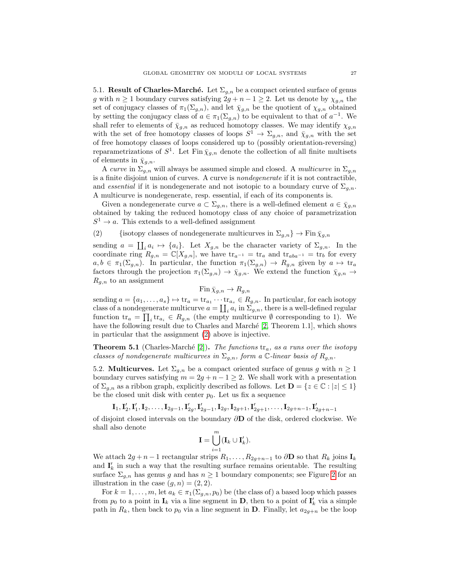<span id="page-26-0"></span>5.1. Result of Charles-Marché. Let  $\Sigma_{q,n}$  be a compact oriented surface of genus g with  $n \geq 1$  boundary curves satisfying  $2g + n - 1 \geq 2$ . Let us denote by  $\chi_{g,n}$  the set of conjugacy classes of  $\pi_1(\Sigma_{g,n})$ , and let  $\bar{\chi}_{g,n}$  be the quotient of  $\chi_{g,n}$  obtained by setting the conjugacy class of  $a \in \pi_1(\Sigma_{g,n})$  to be equivalent to that of  $a^{-1}$ . We shall refer to elements of  $\bar{\chi}_{g,n}$  as reduced homotopy classes. We may identify  $\chi_{g,n}$ with the set of free homotopy classes of loops  $S^1 \to \Sigma_{g,n}$ , and  $\bar{\chi}_{g,n}$  with the set of free homotopy classes of loops considered up to (possibly orientation-reversing) reparametrizations of  $S^1$ . Let Fin  $\bar{\chi}_{g,n}$  denote the collection of all finite multisets of elements in  $\bar{\chi}_{g,n}$ .

A curve in  $\Sigma_{g,n}$  will always be assumed simple and closed. A *multicurve* in  $\Sigma_{g,n}$ is a finite disjoint union of curves. A curve is nondegenerate if it is not contractible, and essential if it is nondegenerate and not isotopic to a boundary curve of  $\Sigma_{q,n}$ . A multicurve is nondegenerate, resp. essential, if each of its components is.

Given a nondegenerate curve  $a \subset \Sigma_{g,n}$ , there is a well-defined element  $a \in \overline{\chi}_{g,n}$ obtained by taking the reduced homotopy class of any choice of parametrization  $S^1 \to a$ . This extends to a well-defined assignment

<span id="page-26-2"></span>(2) {isotopy classes of nondegenerate multicurves in  $\Sigma_{g,n}$ }  $\rightarrow$  Fin  $\bar{\chi}_{g,n}$ 

sending  $a = \coprod_i a_i \mapsto \{a_i\}$ . Let  $X_{g,n}$  be the character variety of  $\Sigma_{g,n}$ . In the coordinate ring  $R_{g,n} = \mathbb{C}[X_{g,n}]$ , we have  $\text{tr}_{a^{-1}} = \text{tr}_a$  and  $\text{tr}_{aba^{-1}} = \text{tr}_b$  for every  $a, b \in \pi_1(\Sigma_{g,n})$ . In particular, the function  $\pi_1(\Sigma_{g,n}) \to R_{g,n}$  given by  $a \mapsto \text{tr}_a$ factors through the projection  $\pi_1(\Sigma_{g,n}) \to \bar{\chi}_{g,n}$ . We extend the function  $\bar{\chi}_{g,n} \to$  $R_{g,n}$  to an assignment

$$
\operatorname{Fin} \bar{\chi}_{g,n} \to R_{g,n}
$$

sending  $a = \{a_1, \ldots, a_s\} \mapsto \text{tr}_a = \text{tr}_{a_1} \cdots \text{tr}_{a_s} \in R_{g,n}$ . In particular, for each isotopy class of a nondegenerate multicurve  $a = \coprod_i a_i$  in  $\Sigma_{g,n}$ , there is a well-defined regular function  $\text{tr}_a = \prod_i \text{tr}_{a_i} \in R_{g,n}$  (the empty multicurve  $\emptyset$  corresponding to 1). We have the following result due to Charles and Marché [\[2,](#page-39-0) Theorem 1.1], which shows in particular that the assignment [\(2\)](#page-26-2) above is injective.

<span id="page-26-3"></span>**Theorem 5.1** (Charles-Marché [\[2\]](#page-39-0)). The functions  $\text{tr}_a$ , as a runs over the isotopy classes of nondegenerate multicurves in  $\Sigma_{q,n}$ , form a C-linear basis of  $R_{q,n}$ .

<span id="page-26-1"></span>5.2. **Multicurves.** Let  $\Sigma_{q,n}$  be a compact oriented surface of genus g with  $n \geq 1$ boundary curves satisfying  $m = 2g + n - 1 \geq 2$ . We shall work with a presentation of  $\Sigma_{q,n}$  as a ribbon graph, explicitly described as follows. Let  $\mathbf{D} = \{z \in \mathbb{C} : |z| \leq 1\}$ be the closed unit disk with center  $p_0$ . Let us fix a sequence

$$
\mathbf{I}_1, \mathbf{I}_2', \mathbf{I}_1', \mathbf{I}_2, \ldots, \mathbf{I}_{2g-1}, \mathbf{I}_{2g}', \mathbf{I}_{2g-1}', \mathbf{I}_{2g}, \mathbf{I}_{2g+1}, \mathbf{I}_{2g+1}', \ldots, \mathbf{I}_{2g+n-1}, \mathbf{I}_{2g+n-1}'
$$

of disjoint closed intervals on the boundary ∂D of the disk, ordered clockwise. We shall also denote

$$
\mathbf{I} = \bigcup_{i=1}^m (\mathbf{I}_k \cup \mathbf{I}'_k).
$$

We attach  $2g + n - 1$  rectangular strips  $R_1, \ldots, R_{2g+n-1}$  to  $\partial \mathbf{D}$  so that  $R_k$  joins  $\mathbf{I}_k$ and  $\mathbf{I}'_k$  in such a way that the resulting surface remains orientable. The resulting surface  $\Sigma_{g,n}$  has genus g and has  $n \geq 1$  boundary components; see Figure [2](#page-27-0) for an illustration in the case  $(g, n) = (2, 2)$ .

For  $k = 1, ..., m$ , let  $a_k \in \pi_1(\Sigma_{g,n}, p_0)$  be (the class of) a based loop which passes from  $p_0$  to a point in  $\mathbf{I}_k$  via a line segment in  $\mathbf{D}$ , then to a point of  $\mathbf{I}'_k$  via a simple path in  $R_k$ , then back to  $p_0$  via a line segment in **D**. Finally, let  $a_{2g+n}$  be the loop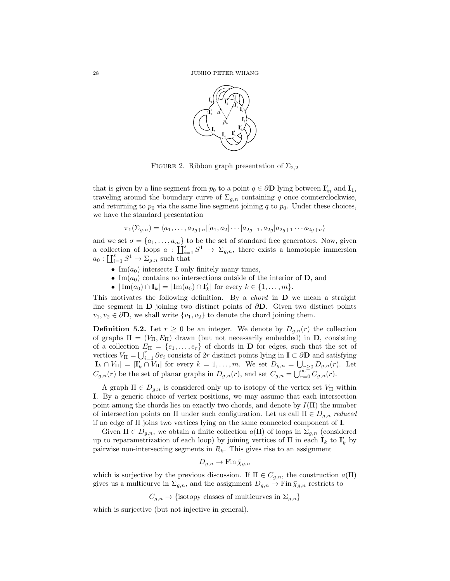<span id="page-27-0"></span>

FIGURE 2. Ribbon graph presentation of  $\Sigma_{2,2}$ 

that is given by a line segment from  $p_0$  to a point  $q \in \partial \mathbf{D}$  lying between  $\mathbf{I}'_m$  and  $\mathbf{I}_1$ , traveling around the boundary curve of  $\Sigma_{g,n}$  containing q once counterclockwise, and returning to  $p_0$  via the same line segment joining q to  $p_0$ . Under these choices, we have the standard presentation

$$
\pi_1(\Sigma_{g,n}) = \langle a_1, \dots, a_{2g+n} | [a_1, a_2] \cdots [a_{2g-1}, a_{2g}] a_{2g+1} \cdots a_{2g+n} \rangle
$$

and we set  $\sigma = \{a_1, \ldots, a_m\}$  to be the set of standard free generators. Now, given a collection of loops  $a: \coprod_{i=1}^s S^1 \to \Sigma_{g,n}$ , there exists a homotopic immersion  $a_0: \coprod_{i=1}^s S^1 \to \Sigma_{g,n}$  such that

- Im $(a_0)$  intersects **I** only finitely many times,
- Im $(a_0)$  contains no intersections outside of the interior of **D**, and
- $|\operatorname{Im}(a_0) \cap I_k| = |\operatorname{Im}(a_0) \cap I'_k|$  for every  $k \in \{1, ..., m\}$ .

This motivates the following definition. By a *chord* in  $D$  we mean a straight line segment in D joining two distinct points of ∂D. Given two distinct points  $v_1, v_2 \in \partial \mathbf{D}$ , we shall write  $\{v_1, v_2\}$  to denote the chord joining them.

**Definition 5.2.** Let  $r \geq 0$  be an integer. We denote by  $D_{g,n}(r)$  the collection of graphs  $\Pi = (V_{\Pi}, E_{\Pi})$  drawn (but not necessarily embedded) in **D**, consisting of a collection  $E_{\Pi} = \{e_1, \ldots, e_r\}$  of chords in **D** for edges, such that the set of vertices  $V_{\Pi} = \bigcup_{i=1}^r \partial e_i$  consists of 2r distinct points lying in  $\mathbf{I} \subset \partial \mathbf{D}$  and satisfying  $|\mathbf{I}_k \cap V_{\Pi}| = |\mathbf{I}'_k \cap V_{\Pi}|$  for every  $k = 1, \ldots, m$ . We set  $D_{g,n} = \bigcup_{r \geq 0} D_{g,n}(r)$ . Let  $C_{g,n}(r)$  be the set of planar graphs in  $D_{g,n}(r)$ , and set  $C_{g,n} = \bigcup_{r=0}^{\infty} C_{g,n}(r)$ .

A graph  $\Pi \in D_{q,n}$  is considered only up to isotopy of the vertex set  $V_{\Pi}$  within I. By a generic choice of vertex positions, we may assume that each intersection point among the chords lies on exactly two chords, and denote by  $I(\Pi)$  the number of intersection points on Π under such configuration. Let us call  $\Pi \in D_{g,n}$  reduced if no edge of Π joins two vertices lying on the same connected component of I.

Given  $\Pi \in D_{g,n}$ , we obtain a finite collection  $a(\Pi)$  of loops in  $\Sigma_{g,n}$  (considered up to reparametrization of each loop) by joining vertices of  $\Pi$  in each  $\mathbf{I}_k$  to  $\mathbf{I}'_k$  by pairwise non-intersecting segments in  $R_k$ . This gives rise to an assignment

$$
D_{g,n} \to \operatorname{Fin} \bar{\chi}_{g,n}
$$

which is surjective by the previous discussion. If  $\Pi \in C_{q,n}$ , the construction  $a(\Pi)$ gives us a multicurve in  $\Sigma_{g,n}$ , and the assignment  $D_{g,n} \to \text{Fin } \bar{\chi}_{g,n}$  restricts to

 $C_{a,n} \rightarrow \{\text{isotopy classes of multicuvves in } \Sigma_{a,n}\}\$ 

which is surjective (but not injective in general).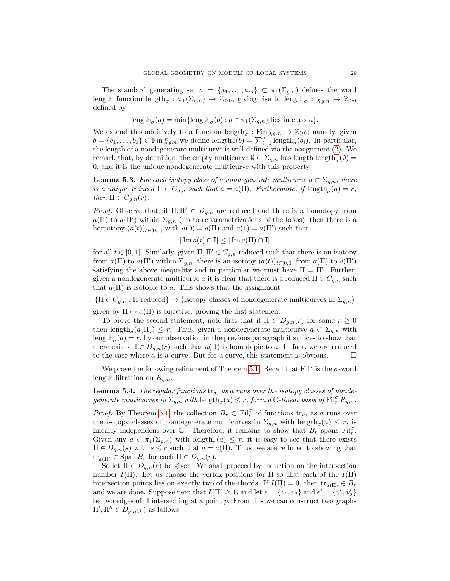The standard generating set  $\sigma = \{a_1, \ldots, a_m\} \subset \pi_1(\Sigma_{g,n})$  defines the word length function length<sub> $\sigma$ </sub>:  $\pi_1(\Sigma_{g,n}) \to \mathbb{Z}_{\geq 0}$ , giving rise to length $\sigma$ :  $\overline{\chi}_{g,n} \to \mathbb{Z}_{\geq 0}$ defined by

$$
length_{\sigma}(a) = min{length_{\sigma}(b) : b \in \pi_1(\Sigma_{g,n})
$$
 lies in class  $a$  }.

We extend this additively to a function  $\text{length}_{\sigma} : \text{Fin } \bar{\chi}_{g,n} \to \mathbb{Z}_{\geq 0}$ ; namely, given  $b = \{b_1, \ldots, b_s\} \in \text{Fin } \bar{\chi}_{g,n}$  we define length $\sigma(b) = \sum_{i=1}^s \text{length}_{\sigma}(\bar{b}_i)$ . In particular, the length of a nondegenerate multicurve is well-defined via the assignment [\(2\)](#page-26-2). We remark that, by definition, the empty multicurve  $\emptyset \subset \Sigma_{g,n}$  has length  $\text{length}_{\sigma}(\emptyset) =$ 0, and it is the unique nondegenerate multicurve with this property.

<span id="page-28-1"></span>**Lemma 5.3.** For each isotopy class of a nondegenerate multicurve  $a \text{ }\subset \text{ } \Sigma_{g,n}$ , there is a unique reduced  $\Pi \in C_{g,n}$  such that  $a = a(\Pi)$ . Furthermore, if  $\text{length}_{\sigma}(a) = r$ , then  $\Pi \in C_{q,n}(r)$ .

*Proof.* Observe that, if  $\Pi, \Pi' \in D_{g,n}$  are reduced and there is a homotopy from  $a(\Pi)$  to  $a(\Pi')$  within  $\Sigma_{g,n}$  (up to reparametrizations of the loops), then there is a homotopy  $(a(t))_{t\in[0,1]}$  with  $a(0) = a(\Pi)$  and  $a(1) = a(\Pi')$  such that

$$
|\operatorname{Im} a(t) \cap \mathbf{I}| \le |\operatorname{Im} a(\Pi) \cap \mathbf{I}|
$$

for all  $t \in [0,1]$ . Similarly, given  $\Pi, \Pi' \in C_{g,n}$  reduced such that there is an isotopy from  $a(\Pi)$  to  $a(\Pi')$  within  $\Sigma_{g,n}$ , there is an isotopy  $(a(t))_{t\in[0,1]}$  from  $a(\Pi)$  to  $a(\Pi')$ satisfying the above inequality and in particular we must have  $\Pi = \Pi'$ . Further, given a nondegenerate multicurve a it is clear that there is a reduced  $\Pi \in C_{q,n}$  such that  $a(\Pi)$  is isotopic to a. This shows that the assignment

 ${\{\Pi \in C_{g,n} : \Pi \text{ reduced}\}\}\rightarrow {\{\text{isotopy classes of nondegenerate multicurves in }\Sigma_{g,n}\}}$ 

given by  $\Pi \mapsto a(\Pi)$  is bijective, proving the first statement.

To prove the second statement, note first that if  $\Pi \in D_{g,n}(r)$  for some  $r \geq 0$ then length<sub> $\sigma$ </sub>( $a(\Pi)$ )  $\leq r$ . Thus, given a nondegenerate multicurve  $a \subset \Sigma_{g,n}$  with  $\text{length}_{\sigma}(a) = r$ , by our observation in the previous paragraph it suffices to show that there exists  $\Pi \in D_{g,n}(r)$  such that  $a(\Pi)$  is homotopic to a. In fact, we are reduced to the case where a is a curve. But for a curve, this statement is obvious.  $\Box$ 

We prove the following refinement of Theorem [5.1.](#page-26-3) Recall that  $\mathrm{Fil}^{\sigma}$  is the  $\sigma$ -word length filtration on  $R_{g,n}$ .

<span id="page-28-0"></span>**Lemma 5.4.** The regular functions  $tr_a$ , as a runs over the isotopy classes of nondegenerate multicurves in  $\Sigma_{g,n}$  with  $\text{length}_{\sigma}(a) \leq r$ , form a C-linear basis of  $\text{Fil}_{r}^{\sigma} R_{g,n}$ .

*Proof.* By Theorem [5.1,](#page-26-3) the collection  $B_r \subset \text{Fil}_r^{\sigma}$  of functions  $\text{tr}_a$ , as a runs over the isotopy classes of nondegenerate multicurves in  $\Sigma_{g,n}$  with length<sub> $\sigma$ </sub> $(a) \leq r$ , is linearly independent over  $\mathbb{C}$ . Therefore, it remains to show that  $B_r$  spans Fil<sub>p</sub>. Given any  $a \in \pi_1(\Sigma_{g,n})$  with length<sub> $\sigma$ </sub>(a)  $\leq r$ , it is easy to see that there exists  $\Pi \in D_{g,n}(s)$  with  $s \leq r$  such that  $a = a(\Pi)$ . Thus, we are reduced to showing that  $\text{tr}_{a(\Pi)} \in \text{Span } B_r$  for each  $\Pi \in D_{g,n}(r)$ .

So let  $\Pi \in D_{q,n}(r)$  be given. We shall proceed by induction on the intersection number  $I(\Pi)$ . Let us choose the vertex positions for  $\Pi$  so that each of the  $I(\Pi)$ intersection points lies on exactly two of the chords. If  $I(\Pi) = 0$ , then  $tr_{a(\Pi)} \in B_r$ and we are done. Suppose next that  $I(\Pi) \geq 1$ , and let  $e = \{v_1, v_2\}$  and  $e' = \{v'_1, v'_2\}$ be two edges of  $\Pi$  intersecting at a point  $p$ . From this we can construct two graphs  $\Pi', \Pi'' \in D_{g,n}(r)$  as follows.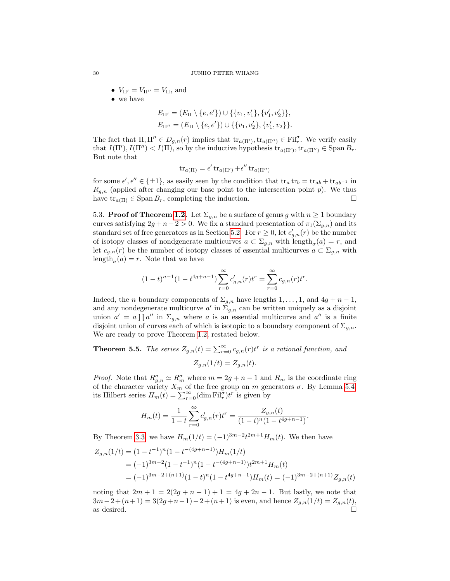- $V_{\Pi'} = V_{\Pi''} = V_{\Pi}$ , and
- we have

$$
E_{\Pi'} = (E_{\Pi} \setminus \{e, e'\}) \cup \{\{v_1, v'_1\}, \{v'_1, v'_2\}\},
$$
  

$$
E_{\Pi''} = (E_{\Pi} \setminus \{e, e'\}) \cup \{\{v_1, v'_2\}, \{v'_1, v_2\}\}.
$$

The fact that  $\Pi, \Pi'' \in D_{g,n}(r)$  implies that  $\text{tr}_{a(\Pi')}, \text{tr}_{a(\Pi'')} \in \text{Fil}^{\sigma}_r$ . We verify easily that  $I(\Pi'), I(\Pi'') < I(\Pi)$ , so by the inductive hypothesis  $tr_{a(\Pi')}, tr_{a(\Pi'')} \in \text{Span } B_r$ . But note that

$$
\operatorname{tr}_{a(\Pi)} = \epsilon' \operatorname{tr}_{a(\Pi')} + \epsilon'' \operatorname{tr}_{a(\Pi'')}
$$

for some  $\epsilon', \epsilon'' \in {\pm 1}$ , as easily seen by the condition that  $\text{tr}_a \text{tr}_b = \text{tr}_{ab} + \text{tr}_{ab^{-1}}$  in  $R_{g,n}$  (applied after changing our base point to the intersection point p). We thus have  $tr_{a(\Pi)} \in \text{Span } B_r$ , completing the induction.

<span id="page-29-0"></span>5.3. **Proof of Theorem [1.2.](#page-0-1)** Let  $\Sigma_{g,n}$  be a surface of genus g with  $n \geq 1$  boundary curves satisfying  $2g + n - 2 > 0$ . We fix a standard presentation of  $\pi_1(\Sigma_{g,n})$  and its standard set of free generators as in Section [5.2.](#page-26-1) For  $r \geq 0$ , let  $c'_{g,n}(r)$  be the number of isotopy classes of nondgenerate multicurves  $a \subset \Sigma_{g,n}$  with  $\text{length}_{\sigma}(a) = r$ , and let  $c_{g,n}(r)$  be the number of isotopy classes of essential multicurves  $a \subset \Sigma_{g,n}$  with  $\text{length}_{\sigma}(a) = r.$  Note that we have

$$
(1-t)^{n-1}(1-t^{4g+n-1})\sum_{r=0}^{\infty}c'_{g,n}(r)t^r = \sum_{r=0}^{\infty}c_{g,n}(r)t^r.
$$

Indeed, the *n* boundary components of  $\Sigma_{g,n}$  have lengths  $1, \ldots, 1$ , and  $4g + n - 1$ , and any nondegenerate multicurve  $a'$  in  $\Sigma_{g,n}$  can be written uniquely as a disjoint union  $a' = a \prod a''$  in  $\Sigma_{g,n}$  where a is an essential multicurve and  $a''$  is a finite disjoint union of curves each of which is isotopic to a boundary component of  $\Sigma_{q,n}$ . We are ready to prove Theorem [1.2,](#page-0-1) restated below.

**Theorem 5.5.** The series  $Z_{g,n}(t) = \sum_{r=0}^{\infty} c_{g,n}(r) t^r$  is a rational function, and  $Z_{q,n}(1/t) = Z_{q,n}(t).$ 

*Proof.* Note that  $R_{g,n}^{\sigma} \simeq R_m^{\sigma}$  where  $m = 2g + n - 1$  and  $R_m$  is the coordinate ring of the character variety  $X_m$  of the free group on m generators  $\sigma$ . By Lemma [5.4,](#page-28-0) its Hilbert series  $H_m(t) = \sum_{r=0}^{\infty} (\dim \mathrm{Fil}_r^{\sigma}) t^r$  is given by

$$
H_m(t) = \frac{1}{1-t} \sum_{r=0}^{\infty} c'_{g,n}(r) t^r = \frac{Z_{g,n}(t)}{(1-t)^n (1-t^{4g+n-1})}.
$$

By Theorem [3.3,](#page-10-1) we have  $H_m(1/t) = (-1)^{3m-2} t^{2m+1} H_m(t)$ . We then have

$$
Z_{g,n}(1/t) = (1 - t^{-1})^n (1 - t^{-(4g+n-1)}) H_m(1/t)
$$
  
=  $(-1)^{3m-2} (1 - t^{-1})^n (1 - t^{-(4g+n-1)}) t^{2m+1} H_m(t)$   
=  $(-1)^{3m-2+(n+1)} (1-t)^n (1-t^{4g+n-1}) H_m(t) = (-1)^{3m-2+(n+1)} Z_{g,n}(t)$ 

noting that  $2m + 1 = 2(2g + n - 1) + 1 = 4g + 2n - 1$ . But lastly, we note that  $3m-2+(n+1)=3(2g+n-1)-2+(n+1)$  is even, and hence  $Z_{g,n}(1/t)=Z_{g,n}(t)$ , as desired.  $\Box$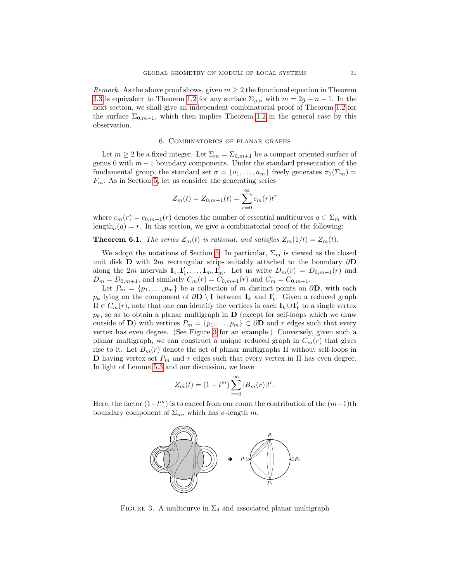*Remark.* As the above proof shows, given  $m \geq 2$  the functional equation in Theorem [3.3](#page-10-1) is equivalent to Theorem [1.2](#page-0-1) for any surface  $\Sigma_{g,n}$  with  $m = 2g + n - 1$ . In the next section, we shall give an independent combinatorial proof of Theorem [1.2](#page-0-1) for the surface  $\Sigma_{0,m+1}$ , which then implies Theorem [1.2](#page-0-1) in the general case by this observation.

## 6. Combinatorics of planar graphs

<span id="page-30-0"></span>Let  $m \geq 2$  be a fixed integer. Let  $\Sigma_m = \Sigma_{0,m+1}$  be a compact oriented surface of genus 0 with  $m+1$  boundary components. Under the standard presentation of the fundamental group, the standard set  $\sigma = \{a_1, \ldots, a_m\}$  freely generates  $\pi_1(\Sigma_m) \simeq$  $F_m$ . As in Section [5,](#page-25-0) let us consider the generating series

$$
Z_m(t) = Z_{0,m+1}(t) = \sum_{r=0}^{\infty} c_m(r) t^r
$$

where  $c_m(r) = c_{0,m+1}(r)$  denotes the number of essential multicurves  $a \subset \Sigma_m$  with  $\text{length}_{\sigma}(a) = r$ . In this section, we give a combinatorial proof of the following:

**Theorem 6.1.** The series  $Z_m(t)$  is rational, and satisfies  $Z_m(1/t) = Z_m(t)$ .

We adopt the notations of Section [5.](#page-25-0) In particular,  $\Sigma_m$  is viewed as the closed unit disk **D** with 2m rectangular strips suitably attached to the boundary  $\partial$ **D** along the 2m intervals  $\mathbf{I}_1, \mathbf{I}'_1, \ldots, \mathbf{I}_m, \mathbf{I}'_m$ . Let us write  $D_m(r) = D_{0,m+1}(r)$  and  $D_m = D_{0,m+1}$ , and similarly  $C_m(r) = C_{0,m+1}(r)$  and  $C_m = C_{0,m+1}$ .

Let  $P_m = \{p_1, \ldots, p_m\}$  be a collection of m distinct points on  $\partial \mathbf{D}$ , with each  $p_k$  lying on the component of  $\partial \mathbf{D} \setminus \mathbf{I}$  between  $\mathbf{I}_k$  and  $\mathbf{I}'_k$ . Given a reduced graph  $\Pi \in C_m(r)$ , note that one can identify the vertices in each  $\mathbf{I}_k \cup \mathbf{I}'_k$  to a single vertex  $p_k$ , so as to obtain a planar multigraph in  $\bf{D}$  (except for self-loops which we draw outside of D) with vertices  $P_m = \{p_1, \ldots, p_m\} \subset \partial \mathbf{D}$  and r edges such that every vertex has even degree. (See Figure [3](#page-30-1) for an example.) Conversely, given such a planar multigraph, we can construct a unique reduced graph in  $C_m(r)$  that gives rise to it. Let  $B_m(r)$  denote the set of planar multigraphs  $\Pi$  without self-loops in **D** having vertex set  $P_m$  and r edges such that every vertex in  $\Pi$  has even degree. In light of Lemma [5.3](#page-28-1) and our discussion, we have

$$
Z_m(t) = (1 - t^m) \sum_{r=0}^{\infty} |B_m(r)| t^r.
$$

Here, the factor  $(1-t^m)$  is to cancel from our count the contribution of the  $(m+1)$ <sup>th</sup> boundary component of  $\Sigma_m$ , which has  $\sigma$ -length m.



<span id="page-30-1"></span>FIGURE 3. A multicurve in  $\Sigma_4$  and associated planar multigraph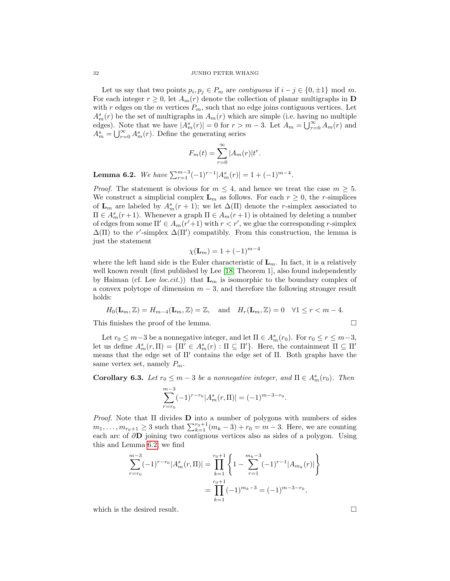Let us say that two points  $p_i, p_j \in P_m$  are *contiguous* if  $i - j \in \{0, \pm 1\}$  mod m. For each integer  $r \geq 0$ , let  $A_m(r)$  denote the collection of planar multigraphs in **D** with r edges on the m vertices  $P_m$ , such that no edge joins contiguous vertices. Let  $A_m^s(r)$  be the set of multigraphs in  $A_m(r)$  which are simple (i.e. having no multiple edges). Note that we have  $|A_m^s(r)| = 0$  for  $r > m - 3$ . Let  $A_m = \bigcup_{r=0}^{\infty} A_m(r)$  and  $A_m^s = \bigcup_{r=0}^{\infty} A_m^s(r)$ . Define the generating series

$$
F_m(t) = \sum_{r=0}^{\infty} |A_m(r)| t^r.
$$

<span id="page-31-0"></span>Lemma 6.2. We have  $\sum_{r=1}^{m-3} (-1)^{r-1} |A_m^s(r)| = 1 + (-1)^{m-4}$ .

*Proof.* The statement is obvious for  $m \leq 4$ , and hence we treat the case  $m \geq 5$ . We construct a simplicial complex  $\mathbf{L}_m$  as follows. For each  $r \geq 0$ , the *r*-simplices of  $\mathbf{L}_m$  are labeled by  $A_m^s(r+1)$ ; we let  $\Delta(\Pi)$  denote the r-simplex associated to  $\Pi \in A_m^s(r+1)$ . Whenever a graph  $\Pi \in A_m(r+1)$  is obtained by deleting a number of edges from some  $\Pi' \in A_m(r'+1)$  with  $r < r'$ , we glue the corresponding r-simplex  $\Delta(\Pi)$  to the r'-simplex  $\Delta(\Pi')$  compatibly. From this construction, the lemma is just the statement

$$
\chi(\mathbf{L}_m) = 1 + (-1)^{m-4}
$$

where the left hand side is the Euler characteristic of  $\mathbf{L}_m$ . In fact, it is a relatively well known result (first published by Lee [\[18,](#page-40-20) Theorem 1], also found independently by Haiman (cf. Lee loc.cit.)) that  $\mathbf{L}_m$  is isomorphic to the boundary complex of a convex polytope of dimension  $m-3$ , and therefore the following stronger result holds:

$$
H_0(\mathbf{L}_m, \mathbb{Z}) = H_{m-4}(\mathbf{L}_m, \mathbb{Z}) = \mathbb{Z}, \text{ and } H_r(\mathbf{L}_m, \mathbb{Z}) = 0 \quad \forall 1 \le r < m-4.
$$

This finishes the proof of the lemma.  $\Box$ 

Let  $r_0 \leq m-3$  be a nonnegative integer, and let  $\Pi \in A_m^s(r_0)$ . For  $r_0 \leq r \leq m-3$ , let us define  $A_m^s(r,\Pi) = {\Pi' \in A_m^s(r) : \Pi \subseteq \Pi'}$ . Here, the containment  $\Pi \subseteq \Pi'$ means that the edge set of  $\Pi'$  contains the edge set of  $\Pi$ . Both graphs have the same vertex set, namely  $P_m$ .

<span id="page-31-1"></span>**Corollary 6.3.** Let  $r_0 \leq m-3$  be a nonnegative integer, and  $\Pi \in A_m^s(r_0)$ . Then

$$
\sum_{r=r_0}^{m-3} (-1)^{r-r_0} |A_m^s(r,\Pi)| = (-1)^{m-3-r_0}.
$$

*Proof.* Note that  $\Pi$  divides  $D$  into a number of polygons with numbers of sides  $m_1, \ldots, m_{r_0+1} \geq 3$  such that  $\sum_{k=1}^{r_0+1} (m_k - 3) + r_0 = m - 3$ . Here, we are counting each arc of  $\partial$ D joining two contiguous vertices also as sides of a polygon. Using this and Lemma [6.2,](#page-31-0) we find

$$
\sum_{r=r_0}^{m-3} (-1)^{r-r_0} |A_m^s(r, \Pi)| = \prod_{k=1}^{r_0+1} \left\{ 1 - \sum_{r=1}^{m_k-3} (-1)^{r-1} |A_{m_k}(r)| \right\}
$$

$$
= \prod_{k=1}^{r_0+1} (-1)^{m_k-3} = (-1)^{m-3-r_0},
$$

which is the desired result.  $\Box$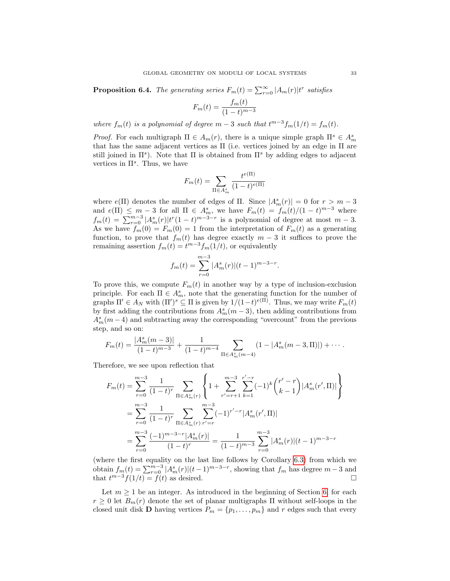<span id="page-32-0"></span>**Proposition 6.4.** The generating series  $F_m(t) = \sum_{r=0}^{\infty} |A_m(r)| t^r$  satisfies

$$
F_m(t) = \frac{f_m(t)}{(1-t)^{m-3}}
$$

where  $f_m(t)$  is a polynomial of degree  $m-3$  such that  $t^{m-3}f_m(1/t) = f_m(t)$ .

*Proof.* For each multigraph  $\Pi \in A_m(r)$ , there is a unique simple graph  $\Pi^s \in A_m^s$ that has the same adjacent vertices as  $\Pi$  (i.e. vertices joined by an edge in  $\Pi$  are still joined in  $\Pi^s$ ). Note that  $\Pi$  is obtained from  $\Pi^s$  by adding edges to adjacent vertices in  $\Pi^s$ . Thus, we have

$$
F_m(t) = \sum_{\Pi \in A_m^s} \frac{t^{e(\Pi)}}{(1-t)^{e(\Pi)}}
$$

where  $e(\Pi)$  denotes the number of edges of  $\Pi$ . Since  $|A_m^s(r)| = 0$  for  $r > m - 3$ and  $e(\Pi) \leq m-3$  for all  $\Pi \in A_m^s$ , we have  $F_m(t) = f_m(t)/(1-t)^{m-3}$  where  $f_m(t) = \sum_{r=0}^{m-3} |A_m^s(r)| t^r (1-t)^{m-3-r}$  is a polynomial of degree at most  $m-3$ . As we have  $f_m(0) = F_m(0) = 1$  from the interpretation of  $F_m(t)$  as a generating function, to prove that  $f_m(t)$  has degree exactly  $m-3$  it suffices to prove the remaining assertion  $f_m(t) = t^{m-3} f_m(1/t)$ , or equivalently

$$
f_m(t) = \sum_{r=0}^{m-3} |A_m^s(r)| (t-1)^{m-3-r}.
$$

To prove this, we compute  $F_m(t)$  in another way by a type of inclusion-exclusion principle. For each  $\Pi \in A_m^s$ , note that the generating function for the number of graphs  $\Pi' \in A_N$  with  $(\Pi')^s \subseteq \Pi$  is given by  $1/(1-t)^{e(\Pi)}$ . Thus, we may write  $F_m(t)$ by first adding the contributions from  $A_m^s(m-3)$ , then adding contributions from  $A_m^s(m-4)$  and subtracting away the corresponding "overcount" from the previous step, and so on:

$$
F_m(t) = \frac{|A_m^s(m-3)|}{(1-t)^{m-3}} + \frac{1}{(1-t)^{m-4}} \sum_{\Pi \in A_m^s(m-4)} (1 - |A_m^s(m-3,\Pi)|) + \cdots
$$

Therefore, we see upon reflection that

$$
F_m(t) = \sum_{r=0}^{m-3} \frac{1}{(1-t)^r} \sum_{\Pi \in A_m^s(r)} \left\{ 1 + \sum_{r'=r+1}^{m-3} \sum_{k=1}^{r'-r} (-1)^k {r'-r \choose k-1} |A_m^s(r', \Pi)| \right\}
$$
  

$$
= \sum_{r=0}^{m-3} \frac{1}{(1-t)^r} \sum_{\Pi \in A_m^s(r)} \sum_{r'=r}^{m-3} (-1)^{r'-r} |A_m^s(r', \Pi)|
$$
  

$$
= \sum_{r=0}^{m-3} \frac{(-1)^{m-3-r} |A_m^s(r)|}{(1-t)^r} = \frac{1}{(1-t)^{m-3}} \sum_{r=0}^{m-3} |A_m^s(r)| (t-1)^{m-3-r}
$$

(where the first equality on the last line follows by Corollary [6.3\)](#page-31-1) from which we obtain  $f_m(t) = \sum_{r=0}^{m-3} |A_m^s(r)| (t-1)^{m-3-r}$ , showing that  $f_m$  has degree  $m-3$  and that  $t^{m-3}f(1/t) = f(t)$  as desired.

Let  $m \geq 1$  be an integer. As introduced in the beginning of Section [6,](#page-30-0) for each  $r \geq 0$  let  $B_m(r)$  denote the set of planar multigraphs  $\Pi$  without self-loops in the closed unit disk **D** having vertices  $P_m = \{p_1, \ldots, p_m\}$  and r edges such that every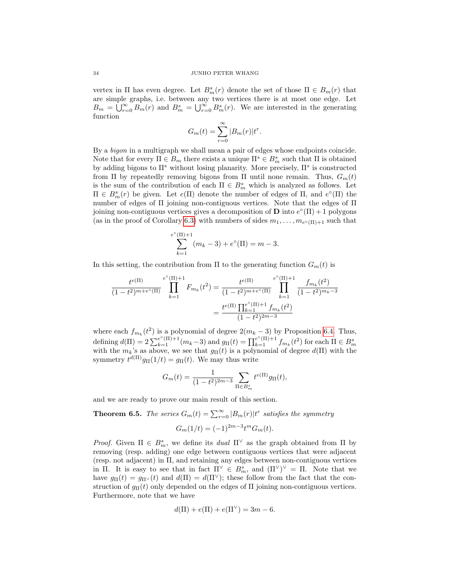vertex in  $\Pi$  has even degree. Let  $B_m^s(r)$  denote the set of those  $\Pi \in B_m(r)$  that are simple graphs, i.e. between any two vertices there is at most one edge. Let  $B_m = \bigcup_{r=0}^{\infty} B_m(r)$  and  $B_m^s = \bigcup_{r=0}^{\infty} B_m^s(r)$ . We are interested in the generating function

$$
G_m(t) = \sum_{r=0}^{\infty} |B_m(r)| t^r.
$$

By a *bigon* in a multigraph we shall mean a pair of edges whose endpoints coincide. Note that for every  $\Pi \in B_m$  there exists a unique  $\Pi^s \in B_m^s$  such that  $\Pi$  is obtained by adding bigons to  $\Pi^s$  without losing planarity. More precisely,  $\Pi^s$  is constructed from Π by repeatedly removing bigons from Π until none remain. Thus,  $G_m(t)$ is the sum of the contribution of each  $\Pi \in B_m^s$  which is analyzed as follows. Let  $\Pi$  ∈  $B<sup>s</sup><sub>m</sub>(r)$  be given. Let  $e(Π)$  denote the number of edges of Π, and  $e<sup>o</sup>(Π)$  the number of edges of Π joining non-contiguous vertices. Note that the edges of Π joining non-contiguous vertices gives a decomposition of **D** into  $e^{\circ}(\Pi) + 1$  polygons (as in the proof of Corollary [6.3\)](#page-31-1) with numbers of sides  $m_1, \ldots, m_{e^{\circ}(\Pi)+1}$  such that

$$
\sum_{k=1}^{e^{\circ}(\Pi)+1} (m_k - 3) + e^{\circ}(\Pi) = m - 3.
$$

In this setting, the contribution from  $\Pi$  to the generating function  $G_m(t)$  is

$$
\frac{t^{e(\Pi)}}{(1-t^2)^{m+e^{\circ}(\Pi)}} \prod_{k=1}^{e^{\circ}(\Pi)+1} F_{m_k}(t^2) = \frac{t^{e(\Pi)}}{(1-t^2)^{m+e^{\circ}(\Pi)}} \prod_{k=1}^{e^{\circ}(\Pi)+1} \frac{f_{m_k}(t^2)}{(1-t^2)^{m_k-3}}
$$

$$
= \frac{t^{e(\Pi)} \prod_{k=1}^{e^{\circ}(\Pi)+1} f_{m_k}(t^2)}{(1-t^2)^{2m-3}}
$$

where each  $f_{m_k}(t^2)$  is a polynomial of degree  $2(m_k-3)$  by Proposition [6.4.](#page-32-0) Thus, defining  $d(\Pi) = 2\sum_{k=1}^{e^{\circ}(\Pi)+1}(m_k-3)$  and  $g_{\Pi}(t) = \prod_{k=1}^{e^{\circ}(\Pi)+1}f_{m_k}(t^2)$  for each  $\Pi \in B_m^s$  with the  $m_k$ 's as above, we see that  $g_{\Pi}(t)$  is a polynomial of degree  $d(\Pi)$  with the symmetry  $t^{d(\Pi)}g_{\Pi}(1/t) = g_{\Pi}(t)$ . We may thus write

$$
G_m(t) = \frac{1}{(1 - t^2)^{2m - 3}} \sum_{\Pi \in B_m^s} t^{e(\Pi)} g_{\Pi}(t),
$$

and we are ready to prove our main result of this section.

<span id="page-33-0"></span>**Theorem 6.5.** The series  $G_m(t) = \sum_{r=0}^{\infty} |B_m(r)| t^r$  satisfies the symmetry  $G_m(1/t) = (-1)^{2m-3} t^m G_m(t).$ 

*Proof.* Given  $\Pi \in B_m^s$ , we define its *dual*  $\Pi^{\vee}$  as the graph obtained from  $\Pi$  by removing (resp. adding) one edge between contiguous vertices that were adjacent (resp. not adjacent) in Π, and retaining any edges between non-contiguous vertices in Π. It is easy to see that in fact  $\Pi^{\vee} \in B_m^s$ , and  $(\Pi^{\vee})^{\vee} = \Pi$ . Note that we have  $g_{\Pi}(t) = g_{\Pi^{\vee}}(t)$  and  $d(\Pi) = d(\Pi^{\vee})$ ; these follow from the fact that the construction of  $g_{\Pi}(t)$  only depended on the edges of  $\Pi$  joining non-contiguous vertices. Furthermore, note that we have

$$
d(\Pi) + e(\Pi) + e(\Pi^{\vee}) = 3m - 6.
$$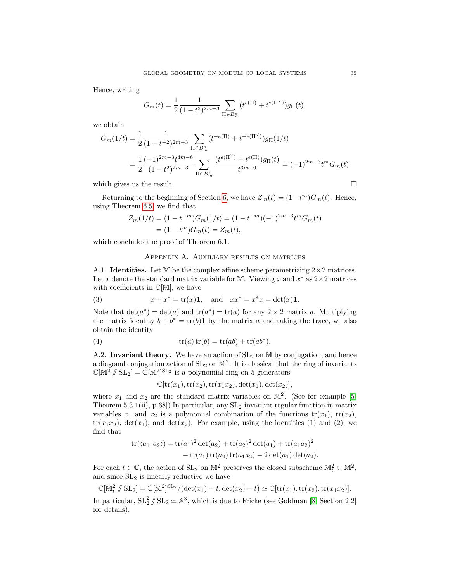Hence, writing

$$
G_m(t) = \frac{1}{2} \frac{1}{(1 - t^2)^{2m - 3}} \sum_{\Pi \in B_m^s} (t^{e(\Pi)} + t^{e(\Pi^\vee)}) g_{\Pi}(t),
$$

we obtain

$$
G_m(1/t) = \frac{1}{2} \frac{1}{(1 - t^{-2})^{2m - 3}} \sum_{\Pi \in B_m^s} (t^{-e(\Pi)} + t^{-e(\Pi^\vee)}) g_\Pi(1/t)
$$
  
= 
$$
\frac{1}{2} \frac{(-1)^{2m - 3} t^{4m - 6}}{(1 - t^2)^{2m - 3}} \sum_{\Pi \in B_m^s} \frac{(t^{e(\Pi^\vee)} + t^{e(\Pi)}) g_\Pi(t)}{t^{3m - 6}} = (-1)^{2m - 3} t^m G_m(t)
$$

which gives us the result.  $\Box$ 

Returning to the beginning of Section [6,](#page-30-0) we have  $Z_m(t) = (1 - t^m)G_m(t)$ . Hence, using Theorem [6.5,](#page-33-0) we find that

$$
Z_m(1/t) = (1 - t^{-m})G_m(1/t) = (1 - t^{-m})(-1)^{2m-3}t^m G_m(t)
$$
  
=  $(1 - t^m)G_m(t) = Z_m(t),$ 

which concludes the proof of Theorem 6.1.

## Appendix A. Auxiliary results on matrices

A.1. **Identities.** Let M be the complex affine scheme parametrizing  $2 \times 2$  matrices. Let x denote the standard matrix variable for M. Viewing x and  $x^*$  as  $2 \times 2$  matrices with coefficients in  $\mathbb{C}[\mathbb{M}]$ , we have

(3) 
$$
x + x^* = \text{tr}(x)\mathbf{1}
$$
, and  $xx^* = x^*x = \text{det}(x)\mathbf{1}$ .

Note that  $\det(a^*) = \det(a)$  and  $\text{tr}(a^*) = \text{tr}(a)$  for any  $2 \times 2$  matrix a. Multiplying the matrix identity  $b + b^* = \text{tr}(b)$  **1** by the matrix a and taking the trace, we also obtain the identity

(4) 
$$
\operatorname{tr}(a)\operatorname{tr}(b) = \operatorname{tr}(ab) + \operatorname{tr}(ab^*).
$$

A.2. Invariant theory. We have an action of  $SL_2$  on M by conjugation, and hence a diagonal conjugation action of  $SL_2$  on  $\mathbb{M}^2$ . It is classical that the ring of invariants  $\mathbb{C}[\mathbb{M}^2/\!\!/ \operatorname{SL}_2] = \mathbb{C}[\mathbb{M}^2]^{\operatorname{SL}_2}$  is a polynomial ring on 5 generators

 $\mathbb{C}[\text{tr}(x_1), \text{tr}(x_2), \text{tr}(x_1x_2), \text{det}(x_1), \text{det}(x_2)],$ 

where  $x_1$  and  $x_2$  are the standard matrix variables on  $\mathbb{M}^2$ . (See for example [\[5,](#page-39-11) Theorem 5.3.1(ii), p.68]) In particular, any  $SL_2$ -invariant regular function in matrix variables  $x_1$  and  $x_2$  is a polynomial combination of the functions  $tr(x_1)$ ,  $tr(x_2)$ ,  $tr(x_1x_2)$ ,  $det(x_1)$ , and  $det(x_2)$ . For example, using the identities (1) and (2), we find that

$$
tr(\langle a_1, a_2 \rangle) = tr(a_1)^2 det(a_2) + tr(a_2)^2 det(a_1) + tr(a_1 a_2)^2
$$
  
- tr(a\_1) tr(a\_2) tr(a\_1 a\_2) - 2 det(a\_1) det(a\_2).

For each  $t \in \mathbb{C}$ , the action of  $SL_2$  on  $\mathbb{M}^2$  preserves the closed subscheme  $\mathbb{M}_t^2 \subset \mathbb{M}^2$ , and since  $SL<sub>2</sub>$  is linearly reductive we have

$$
\mathbb{C}[\mathbb{M}_t^2 \mathop{\not\parallel} \mathrm{SL}_2] = \mathbb{C}[\mathbb{M}^2]^{\mathrm{SL}_2} / (\det(x_1) - t, \det(x_2) - t) \simeq \mathbb{C}[\mathrm{tr}(x_1), \mathrm{tr}(x_2), \mathrm{tr}(x_1x_2)].
$$

In particular,  $SL_2^2 \ N \ SL_2 \simeq \mathbb{A}^3$ , which is due to Fricke (see Goldman [\[8,](#page-39-9) Section 2.2] for details).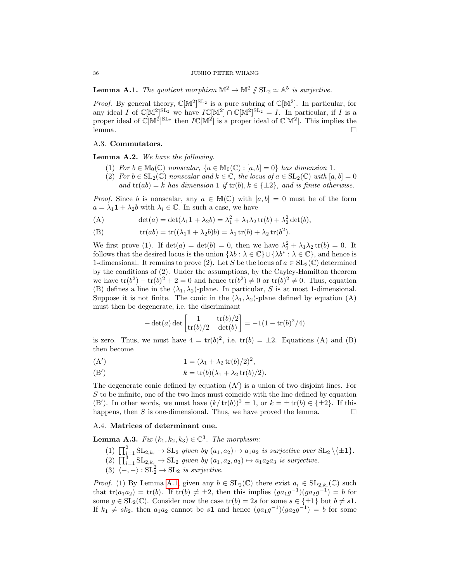<span id="page-35-2"></span>**Lemma A.1.** The quotient morphism  $\mathbb{M}^2 \to \mathbb{M}^2 / \mathbb{SL}_2 \simeq \mathbb{A}^5$  is surjective.

*Proof.* By general theory,  $\mathbb{C}[\mathbb{M}^2]^{\text{SL}_2}$  is a pure subring of  $\mathbb{C}[\mathbb{M}^2]$ . In particular, for any ideal I of  $\mathbb{C}[\mathbb{M}^2]^{\text{SL}_2}$  we have  $I\mathbb{C}[\mathbb{M}^2] \cap \mathbb{C}[\mathbb{M}^2]^{\text{SL}_2} = I$ . In particular, if I is a proper ideal of  $\mathbb{C}[\mathbb{M}^2]^{\text{SL}_2}$  then  $I\mathbb{C}[\mathbb{M}^2]$  is a proper ideal of  $\mathbb{C}[\mathbb{M}^2]$ . This implies the lemma. □

# A.3. Commutators.

<span id="page-35-1"></span>Lemma A.2. We have the following.

- (1) For  $b \in M_0(\mathbb{C})$  nonscalar,  $\{a \in M_0(\mathbb{C}) : [a, b] = 0\}$  has dimension 1.
- (2) For  $b \in SL_2(\mathbb{C})$  nonscalar and  $k \in \mathbb{C}$ , the locus of  $a \in SL_2(\mathbb{C})$  with  $[a, b] = 0$ and  $tr(ab) = k$  has dimension 1 if  $tr(b), k \in \{\pm 2\}$ , and is finite otherwise.

*Proof.* Since b is nonscalar, any  $a \in M(\mathbb{C})$  with  $[a, b] = 0$  must be of the form  $a = \lambda_1 \mathbf{1} + \lambda_2 b$  with  $\lambda_i \in \mathbb{C}$ . In such a case, we have

(A) 
$$
\det(a) = \det(\lambda_1 \mathbf{1} + \lambda_2 b) = \lambda_1^2 + \lambda_1 \lambda_2 \operatorname{tr}(b) + \lambda_2^2 \det(b),
$$

(B)  $\operatorname{tr}(ab) = \operatorname{tr}((\lambda_1 \mathbf{1} + \lambda_2 b)b) = \lambda_1 \operatorname{tr}(b) + \lambda_2 \operatorname{tr}(b^2).$ 

We first prove (1). If  $det(a) = det(b) = 0$ , then we have  $\lambda_1^2 + \lambda_1 \lambda_2 tr(b) = 0$ . It follows that the desired locus is the union  $\{\lambda b : \lambda \in \mathbb{C}\} \cup \{\lambda b^* : \lambda \in \mathbb{C}\},\$ and hence is 1-dimensional. It remains to prove (2). Let S be the locus of  $a \in SL_2(\mathbb{C})$  determined by the conditions of (2). Under the assumptions, by the Cayley-Hamilton theorem we have  $\text{tr}(b^2) - \text{tr}(b)^2 + 2 = 0$  and hence  $\text{tr}(b^2) \neq 0$  or  $\text{tr}(b)^2 \neq 0$ . Thus, equation (B) defines a line in the  $(\lambda_1, \lambda_2)$ -plane. In particular, S is at most 1-dimensional. Suppose it is not finite. The conic in the  $(\lambda_1, \lambda_2)$ -plane defined by equation  $(A)$ must then be degenerate, i.e. the discriminant

$$
-\det(a)\det\begin{bmatrix}1 & \text{tr}(b)/2\\ \text{tr}(b)/2 & \det(b)\end{bmatrix} = -1(1 - \text{tr}(b)^2/4)
$$

is zero. Thus, we must have  $4 = \text{tr}(b)^2$ , i.e.  $\text{tr}(b) = \pm 2$ . Equations (A) and (B) then become

$$
(A') \qquad \qquad 1 = (\lambda_1 + \lambda_2 \operatorname{tr}(b)/2)^2,
$$

(B') 
$$
k = \text{tr}(b)(\lambda_1 + \lambda_2 \text{tr}(b)/2).
$$

The degenerate conic defined by equation  $(A')$  is a union of two disjoint lines. For S to be infinite, one of the two lines must coincide with the line defined by equation (B'). In other words, we must have  $(k/\text{tr}(b))^2 = 1$ , or  $k = \pm \text{tr}(b) \in {\pm 2}$ . If this happens, then S is one-dimensional. Thus, we have proved the lemma.  $\square$ 

# A.4. Matrices of determinant one.

<span id="page-35-0"></span>**Lemma A.3.** Fix  $(k_1, k_2, k_3) \in \mathbb{C}^3$ . The morphism:

- (1)  $\prod_{i=1}^{2}$  SL<sub>2,k<sub>i</sub></sub>  $\rightarrow$  SL<sub>2</sub> given by  $(a_1, a_2) \mapsto a_1 a_2$  is surjective over SL<sub>2</sub> \{ $\pm$ **1**}.
- (2)  $\prod_{i=1}^{3}$  SL<sub>2</sub>, $k_i \rightarrow$  SL<sub>2</sub> given by  $(a_1, a_2, a_3) \mapsto a_1 a_2 a_3$  is surjective.
- (3)  $\langle -, \rangle : SL_2^2 \to SL_2$  is surjective.

*Proof.* (1) By Lemma [A.1,](#page-35-2) given any  $b \in SL_2(\mathbb{C})$  there exist  $a_i \in SL_{2,k_i}(\mathbb{C})$  such that  $tr(a_1a_2) = tr(b)$ . If  $tr(b) \neq \pm 2$ , then this implies  $(ga_1g^{-1})(ga_2g^{-1}) = b$  for some  $g \in SL_2(\mathbb{C})$ . Consider now the case  $\text{tr}(b) = 2s$  for some  $s \in \{\pm 1\}$  but  $b \neq s\mathbf{1}$ . If  $k_1 \neq sk_2$ , then  $a_1a_2$  cannot be s1 and hence  $(ga_1g^{-1})(ga_2g^{-1}) = b$  for some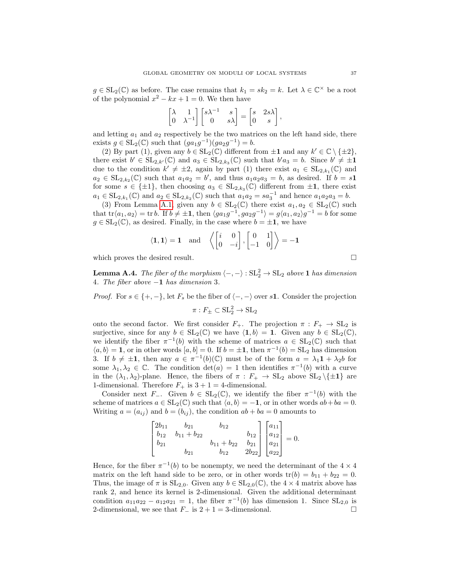$g \in SL_2(\mathbb{C})$  as before. The case remains that  $k_1 = sk_2 = k$ . Let  $\lambda \in \mathbb{C}^\times$  be a root of the polynomial  $x^2 - kx + 1 = 0$ . We then have

$$
\begin{bmatrix} \lambda & 1 \\ 0 & \lambda^{-1} \end{bmatrix} \begin{bmatrix} s\lambda^{-1} & s \\ 0 & s\lambda \end{bmatrix} = \begin{bmatrix} s & 2s\lambda \\ 0 & s \end{bmatrix},
$$

and letting  $a_1$  and  $a_2$  respectively be the two matrices on the left hand side, there exists  $g \in SL_2(\mathbb{C})$  such that  $(ga_1g^{-1})(ga_2g^{-1}) = b$ .

(2) By part (1), given any  $b \in SL_2(\mathbb{C})$  different from  $\pm 1$  and any  $k' \in \mathbb{C} \setminus \{\pm 2\}$ , there exist  $b' \in SL_{2,k'}(\mathbb{C})$  and  $a_3 \in SL_{2,k_3}(\mathbb{C})$  such that  $b'a_3 = b$ . Since  $b' \neq \pm 1$ due to the condition  $k' \neq \pm 2$ , again by part (1) there exist  $a_1 \in SL_{2,k_1}(\mathbb{C})$  and  $a_2 \in SL_{2,k_2}(\mathbb{C})$  such that  $a_1a_2 = b'$ , and thus  $a_1a_2a_3 = b$ , as desired. If  $b = s\mathbf{1}$ for some  $s \in {\pm 1}$ , then choosing  $a_3 \in SL_{2,k_3}(\mathbb{C})$  different from  $\pm 1$ , there exist  $a_1 \in SL_{2,k_1}(\mathbb{C})$  and  $a_2 \in SL_{2,k_2}(\mathbb{C})$  such that  $a_1a_2 = sa_3^{-1}$  and hence  $a_1a_2a_3 = b$ .

(3) From Lemma [A.1,](#page-35-2) given any  $b \in SL_2(\mathbb{C})$  there exist  $a_1, a_2 \in SL_2(\mathbb{C})$  such that  $\text{tr}\langle a_1, a_2 \rangle = \text{tr } b$ . If  $b \neq \pm 1$ , then  $\langle ga_1g^{-1}, ga_2g^{-1} \rangle = g\langle a_1, a_2 \rangle g^{-1} = b$  for some  $g \in SL_2(\mathbb{C})$ , as desired. Finally, in the case where  $b = \pm 1$ , we have

$$
\langle \mathbf{1}, \mathbf{1} \rangle = \mathbf{1} \text{ and } \left\langle \begin{bmatrix} i & 0 \\ 0 & -i \end{bmatrix}, \begin{bmatrix} 0 & 1 \\ -1 & 0 \end{bmatrix} \right\rangle = -\mathbf{1}
$$

which proves the desired result.  $\Box$ 

<span id="page-36-0"></span>**Lemma A.4.** The fiber of the morphism  $\langle -, - \rangle : SL_2^2 \to SL_2$  above 1 has dimension 4. The fiber above −1 has dimension 3.

*Proof.* For  $s \in \{+, -\}$ , let  $F_s$  be the fiber of  $\langle -, -\rangle$  over s1. Consider the projection

$$
\pi: F_{\pm} \subset \operatorname{SL}_2^2 \to \operatorname{SL}_2
$$

onto the second factor. We first consider  $F_+$ . The projection  $\pi : F_+ \to SL_2$  is surjective, since for any  $b \in SL_2(\mathbb{C})$  we have  $\langle 1, b \rangle = 1$ . Given any  $b \in SL_2(\mathbb{C})$ , we identify the fiber  $\pi^{-1}(b)$  with the scheme of matrices  $a \in SL_2(\mathbb{C})$  such that  $\langle a, b \rangle = \mathbf{1}$ , or in other words  $[a, b] = 0$ . If  $b = \pm \mathbf{1}$ , then  $\pi^{-1}(b) = \text{SL}_2$  has dimension 3. If  $b \neq \pm 1$ , then any  $a \in \pi^{-1}(b)(\mathbb{C})$  must be of the form  $a = \lambda_1 1 + \lambda_2 b$  for some  $\lambda_1, \lambda_2 \in \mathbb{C}$ . The condition  $\det(a) = 1$  then identifies  $\pi^{-1}(b)$  with a curve in the  $(\lambda_1, \lambda_2)$ -plane. Hence, the fibers of  $\pi : F_+ \to SL_2$  above  $SL_2 \setminus \{\pm 1\}$  are 1-dimensional. Therefore  $F_+$  is  $3 + 1 = 4$ -dimensional.

Consider next F<sub>-</sub>. Given  $b \in SL_2(\mathbb{C})$ , we identify the fiber  $\pi^{-1}(b)$  with the scheme of matrices  $a \in SL_2(\mathbb{C})$  such that  $\langle a, b \rangle = -1$ , or in other words  $ab + ba = 0$ . Writing  $a = (a_{ij})$  and  $b = (b_{ij})$ , the condition  $ab + ba = 0$  amounts to

| $\lceil 2b_{11} \rceil$ | $b_{21}$          | $b_{12}$          |  | $\lceil a_{11} \rceil$ |                                                                                                                                     |
|-------------------------|-------------------|-------------------|--|------------------------|-------------------------------------------------------------------------------------------------------------------------------------|
| $b_{12}$                | $b_{11} + b_{22}$ |                   |  |                        |                                                                                                                                     |
| $b_{21}$                |                   | $b_{11} + b_{22}$ |  |                        |                                                                                                                                     |
|                         | 021               | $b_{12}$          |  |                        | $\begin{bmatrix} b_{12} \\ b_{21} \\ 2b_{22} \end{bmatrix} \begin{bmatrix} a_{11} \\ a_{12} \\ a_{21} \\ a_{22} \end{bmatrix} = 0.$ |

Hence, for the fiber  $\pi^{-1}(b)$  to be nonempty, we need the determinant of the 4  $\times$  4 matrix on the left hand side to be zero, or in other words  $tr(b) = b_{11} + b_{22} = 0$ . Thus, the image of  $\pi$  is  $SL_{2,0}$ . Given any  $b \in SL_{2,0}(\mathbb{C})$ , the  $4 \times 4$  matrix above has rank 2, and hence its kernel is 2-dimensional. Given the additional determinant condition  $a_{11}a_{22} - a_{12}a_{21} = 1$ , the fiber  $\pi^{-1}(b)$  has dimension 1. Since  $SL_{2,0}$  is 2-dimensional, we see that  $F_-\text{ is } 2+1=3$ -dimensional.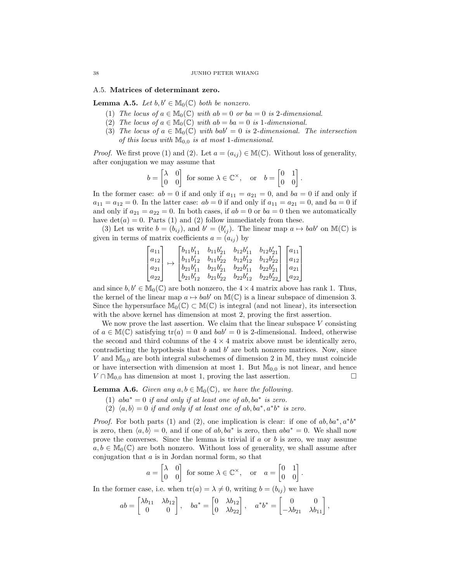## A.5. Matrices of determinant zero.

<span id="page-37-1"></span>**Lemma A.5.** Let  $b, b' \in M_0(\mathbb{C})$  both be nonzero.

- (1) The locus of  $a \in M_0(\mathbb{C})$  with  $ab = 0$  or  $ba = 0$  is 2-dimensional.
- (2) The locus of  $a \in M_0(\mathbb{C})$  with  $ab = ba = 0$  is 1-dimensional.
- (3) The locus of  $a \in M_0(\mathbb{C})$  with bab' = 0 is 2-dimensional. The intersection of this locus with  $\mathbb{M}_{0,0}$  is at most 1-dimensional.

*Proof.* We first prove (1) and (2). Let  $a = (a_{ij}) \in M(\mathbb{C})$ . Without loss of generality, after conjugation we may assume that

$$
b = \begin{bmatrix} \lambda & 0 \\ 0 & 0 \end{bmatrix}
$$
 for some  $\lambda \in \mathbb{C}^{\times}$ , or  $b = \begin{bmatrix} 0 & 1 \\ 0 & 0 \end{bmatrix}$ .

In the former case:  $ab = 0$  if and only if  $a_{11} = a_{21} = 0$ , and  $ba = 0$  if and only if  $a_{11} = a_{12} = 0$ . In the latter case:  $ab = 0$  if and only if  $a_{11} = a_{21} = 0$ , and  $ba = 0$  if and only if  $a_{21} = a_{22} = 0$ . In both cases, if  $ab = 0$  or  $ba = 0$  then we automatically have  $det(a) = 0$ . Parts (1) and (2) follow immediately from these.

(3) Let us write  $b = (b_{ij})$ , and  $b' = (b'_{ij})$ . The linear map  $a \mapsto bab'$  on  $\mathbb{M}(\mathbb{C})$  is given in terms of matrix coefficients  $a = (a_{ij})$  by

$$
\begin{bmatrix} a_{11} \\ a_{12} \\ a_{21} \\ a_{22} \end{bmatrix} \mapsto \begin{bmatrix} b_{11}b_{11}' & b_{11}b_{21}' & b_{12}b_{11}' & b_{12}b_{21}' \\ b_{11}b_{12}' & b_{11}b_{22}' & b_{12}b_{12}' & b_{12}b_{22}' \\ b_{21}b_{11}' & b_{21}b_{21}' & b_{22}b_{11}' & b_{22}b_{21}' \\ b_{21}b_{12}' & b_{21}b_{22}' & b_{22}b_{12}' & b_{22}b_{22}' \end{bmatrix} \begin{bmatrix} a_{11} \\ a_{12} \\ a_{21} \\ a_{22} \end{bmatrix}
$$

and since  $b, b' \in \mathbb{M}_0(\mathbb{C})$  are both nonzero, the  $4 \times 4$  matrix above has rank 1. Thus, the kernel of the linear map  $a \mapsto bab'$  on  $\mathbb{M}(\mathbb{C})$  is a linear subspace of dimension 3. Since the hypersurface  $\mathbb{M}_0(\mathbb{C}) \subset \mathbb{M}(\mathbb{C})$  is integral (and not linear), its intersection with the above kernel has dimension at most 2, proving the first assertion.

We now prove the last assertion. We claim that the linear subspace  $V$  consisting of  $a \in M(\mathbb{C})$  satisfying  $tr(a) = 0$  and  $bab' = 0$  is 2-dimensional. Indeed, otherwise the second and third columns of the  $4 \times 4$  matrix above must be identically zero, contradicting the hypothesis that  $b$  and  $b'$  are both nonzero matrices. Now, since V and  $M<sub>0,0</sub>$  are both integral subschemes of dimension 2 in M, they must coincide or have intersection with dimension at most 1. But  $\mathbb{M}_{0,0}$  is not linear, and hence  $V \cap \mathbb{M}_{0,0}$  has dimension at most 1, proving the last assertion.

<span id="page-37-0"></span>**Lemma A.6.** Given any  $a, b \in M_0(\mathbb{C})$ , we have the following.

- (1)  $aba^* = 0$  if and only if at least one of ab,  $ba^*$  is zero.
- (2)  $\langle a, b \rangle = 0$  if and only if at least one of ab, ba\*, a\*b\* is zero.

*Proof.* For both parts (1) and (2), one implication is clear: if one of  $ab, ba^*, a^*b^*$ is zero, then  $\langle a, b \rangle = 0$ , and if one of  $ab$ ,  $ba^*$  is zero, then  $aba^* = 0$ . We shall now prove the converses. Since the lemma is trivial if  $a$  or  $b$  is zero, we may assume  $a, b \in \mathbb{M}_0(\mathbb{C})$  are both nonzero. Without loss of generality, we shall assume after conjugation that a is in Jordan normal form, so that

$$
a = \begin{bmatrix} \lambda & 0 \\ 0 & 0 \end{bmatrix}
$$
 for some  $\lambda \in \mathbb{C}^{\times}$ , or  $a = \begin{bmatrix} 0 & 1 \\ 0 & 0 \end{bmatrix}$ .

In the former case, i.e. when  $tr(a) = \lambda \neq 0$ , writing  $b = (b_{ij})$  we have

$$
ab = \begin{bmatrix} \lambda b_{11} & \lambda b_{12} \\ 0 & 0 \end{bmatrix}, \quad ba^* = \begin{bmatrix} 0 & \lambda b_{12} \\ 0 & \lambda b_{22} \end{bmatrix}, \quad a^*b^* = \begin{bmatrix} 0 & 0 \\ -\lambda b_{21} & \lambda b_{11} \end{bmatrix},
$$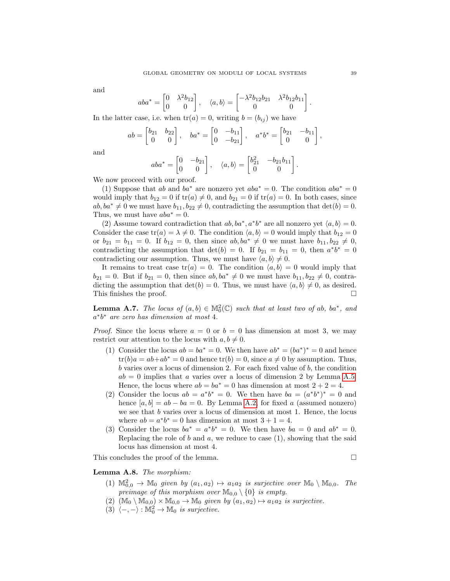and

$$
aba^* = \begin{bmatrix} 0 & \lambda^2 b_{12} \\ 0 & 0 \end{bmatrix}, \quad \langle a, b \rangle = \begin{bmatrix} -\lambda^2 b_{12} b_{21} & \lambda^2 b_{12} b_{11} \\ 0 & 0 \end{bmatrix}.
$$

In the latter case, i.e. when  $tr(a) = 0$ , writing  $b = (b_{ij})$  we have

$$
ab = \begin{bmatrix} b_{21} & b_{22} \\ 0 & 0 \end{bmatrix}, \quad ba^* = \begin{bmatrix} 0 & -b_{11} \\ 0 & -b_{21} \end{bmatrix}, \quad a^*b^* = \begin{bmatrix} b_{21} & -b_{11} \\ 0 & 0 \end{bmatrix},
$$

and

$$
aba^* = \begin{bmatrix} 0 & -b_{21} \\ 0 & 0 \end{bmatrix}, \quad \langle a, b \rangle = \begin{bmatrix} b_{21}^2 & -b_{21}b_{11} \\ 0 & 0 \end{bmatrix}.
$$

We now proceed with our proof.

(1) Suppose that ab and ba<sup>\*</sup> are nonzero yet  $aba^* = 0$ . The condition  $aba^* = 0$ would imply that  $b_{12} = 0$  if  $tr(a) \neq 0$ , and  $b_{21} = 0$  if  $tr(a) = 0$ . In both cases, since  $ab, ba^* \neq 0$  we must have  $b_{11}, b_{22} \neq 0$ , contradicting the assumption that  $det(b) = 0$ . Thus, we must have  $aba^* = 0$ .

(2) Assume toward contradiction that  $ab$ ,  $ba^*$ ,  $a^*b^*$  are all nonzero yet  $\langle a, b \rangle = 0$ . Consider the case  $tr(a) = \lambda \neq 0$ . The condition  $\langle a, b \rangle = 0$  would imply that  $b_{12} = 0$ or  $b_{21} = b_{11} = 0$ . If  $b_{12} = 0$ , then since  $ab, ba^* \neq 0$  we must have  $b_{11}, b_{22} \neq 0$ , contradicting the assumption that  $\det(b) = 0$ . If  $b_{21} = b_{11} = 0$ , then  $a^*b^* = 0$ contradicting our assumption. Thus, we must have  $\langle a, b \rangle \neq 0$ .

It remains to treat case  $tr(a) = 0$ . The condition  $\langle a, b \rangle = 0$  would imply that  $b_{21} = 0$ . But if  $b_{21} = 0$ , then since  $ab, ba^* \neq 0$  we must have  $b_{11}, b_{22} \neq 0$ , contradicting the assumption that  $det(b) = 0$ . Thus, we must have  $\langle a, b \rangle \neq 0$ , as desired. This finishes the proof.  $\Box$ 

<span id="page-38-1"></span>**Lemma A.7.** The locus of  $(a, b) \in M_0^2(\mathbb{C})$  such that at least two of ab, ba<sup>\*</sup>, and a ∗ b <sup>∗</sup> are zero has dimension at most 4.

*Proof.* Since the locus where  $a = 0$  or  $b = 0$  has dimension at most 3, we may restrict our attention to the locus with  $a, b \neq 0$ .

- (1) Consider the locus  $ab = ba^* = 0$ . We then have  $ab^* = (ba^*)^* = 0$  and hence  $tr(b)a = ab + ab^* = 0$  and hence  $tr(b) = 0$ , since  $a \neq 0$  by assumption. Thus,  $b$  varies over a locus of dimension 2. For each fixed value of  $b$ , the condition  $ab = 0$  implies that a varies over a locus of dimension 2 by Lemma [A.5.](#page-37-1) Hence, the locus where  $ab = ba^* = 0$  has dimension at most  $2 + 2 = 4$ .
- (2) Consider the locus  $ab = a^*b^* = 0$ . We then have  $ba = (a^*b^*)^* = 0$  and hence  $[a, b] = ab - ba = 0$ . By Lemma [A.2,](#page-35-1) for fixed a (assumed nonzero) we see that  $b$  varies over a locus of dimension at most 1. Hence, the locus where  $ab = a^*b^* = 0$  has dimension at most  $3 + 1 = 4$ .
- (3) Consider the locus  $ba^* = a^*b^* = 0$ . We then have  $ba = 0$  and  $ab^* = 0$ . Replacing the role of  $b$  and  $a$ , we reduce to case  $(1)$ , showing that the said locus has dimension at most 4.

This concludes the proof of the lemma.

# <span id="page-38-0"></span>Lemma A.8. The morphism:

- (1)  $\mathbb{M}_{0,0}^2 \to \mathbb{M}_0$  given by  $(a_1, a_2) \mapsto a_1 a_2$  is surjective over  $\mathbb{M}_0 \setminus \mathbb{M}_{0,0}$ . The preimage of this morphism over  $\mathbb{M}_{0,0} \setminus \{0\}$  is empty.
- $(2)$   $(\mathbb{M}_0 \setminus \mathbb{M}_{0,0}) \times \mathbb{M}_{0,0} \rightarrow \mathbb{M}_0$  given by  $(a_1, a_2) \mapsto a_1 a_2$  is surjective.
- (3)  $\langle -, \rangle : \mathbb{M}_0^2 \to \mathbb{M}_0$  is surjective.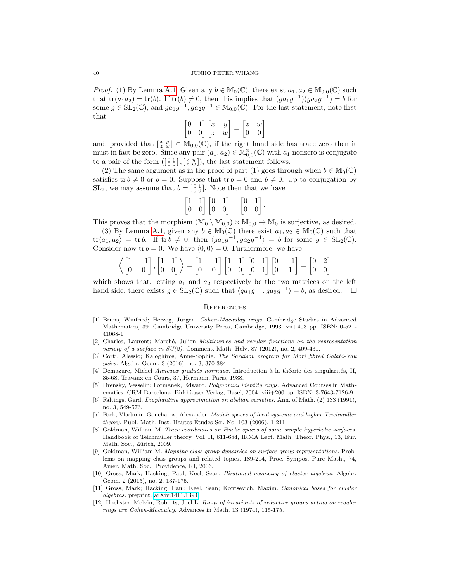*Proof.* (1) By Lemma [A.1,](#page-35-2) Given any  $b \in M_0(\mathbb{C})$ , there exist  $a_1, a_2 \in M_{0,0}(\mathbb{C})$  such that  $tr(a_1a_2) = tr(b)$ . If  $tr(b) \neq 0$ , then this implies that  $(ga_1g^{-1})(ga_2g^{-1}) = b$  for some  $g \in SL_2(\mathbb{C})$ , and  $ga_1g^{-1}, ga_2g^{-1} \in \mathbb{M}_{0,0}(\mathbb{C})$ . For the last statement, note first that

$$
\begin{bmatrix} 0 & 1 \\ 0 & 0 \end{bmatrix} \begin{bmatrix} x & y \\ z & w \end{bmatrix} = \begin{bmatrix} z & w \\ 0 & 0 \end{bmatrix}
$$

and, provided that  $\left[\begin{array}{c} x & y \\ z & w \end{array}\right] \in M_{0,0}(\mathbb{C})$ , if the right hand side has trace zero then it must in fact be zero. Since any pair  $(a_1, a_2) \in M_{0,0}^2(\mathbb{C})$  with  $a_1$  nonzero is conjugate to a pair of the form  $(\begin{bmatrix} 0 & 1 \\ 0 & 0 \end{bmatrix}, \begin{bmatrix} x & y \\ z & w \end{bmatrix})$ , the last statement follows.

(2) The same argument as in the proof of part (1) goes through when  $b \in M_0(\mathbb{C})$ satisfies tr  $b \neq 0$  or  $b = 0$ . Suppose that tr  $b = 0$  and  $b \neq 0$ . Up to conjugation by  $SL_2$ , we may assume that  $b = \begin{bmatrix} 0 & 1 \\ 0 & 0 \end{bmatrix}$ . Note then that we have

$$
\begin{bmatrix} 1 & 1 \\ 0 & 0 \end{bmatrix} \begin{bmatrix} 0 & 1 \\ 0 & 0 \end{bmatrix} = \begin{bmatrix} 0 & 1 \\ 0 & 0 \end{bmatrix}.
$$

This proves that the morphism  $(M_0 \setminus M_{0,0}) \times M_{0,0} \to M_0$  is surjective, as desired.

(3) By Lemma [A.1,](#page-35-2) given any  $b \in M_0(\mathbb{C})$  there exist  $a_1, a_2 \in M_0(\mathbb{C})$  such that  $\text{tr}\langle a_1, a_2 \rangle = \text{tr } b.$  If  $\text{tr } b \neq 0$ , then  $\langle ga_1g^{-1}, ga_2g^{-1} \rangle = b$  for some  $g \in SL_2(\mathbb{C})$ . Consider now tr  $b = 0$ . We have  $\langle 0, 0 \rangle = 0$ . Furthermore, we have

$$
\left\langle \begin{bmatrix} 1 & -1 \\ 0 & 0 \end{bmatrix}, \begin{bmatrix} 1 & 1 \\ 0 & 0 \end{bmatrix} \right\rangle = \begin{bmatrix} 1 & -1 \\ 0 & 0 \end{bmatrix} \begin{bmatrix} 1 & 1 \\ 0 & 0 \end{bmatrix} \begin{bmatrix} 0 & 1 \\ 0 & 1 \end{bmatrix} \begin{bmatrix} 0 & -1 \\ 0 & 1 \end{bmatrix} = \begin{bmatrix} 0 & 2 \\ 0 & 0 \end{bmatrix}
$$

which shows that, letting  $a_1$  and  $a_2$  respectively be the two matrices on the left hand side, there exists  $g \in SL_2(\mathbb{C})$  such that  $\langle ga_1g^{-1}, ga_2g^{-1} \rangle = b$ , as desired.  $\Box$ 

# **REFERENCES**

- <span id="page-39-10"></span>[1] Bruns, Winfried; Herzog, Jürgen. Cohen-Macaulay rings. Cambridge Studies in Advanced Mathematics, 39. Cambridge University Press, Cambridge, 1993. xii+403 pp. ISBN: 0-521- 41068-1
- <span id="page-39-0"></span>[2] Charles, Laurent; Marché, Julien *Multicurves and regular functions on the representation* variety of a surface in  $SU(2)$ . Comment. Math. Helv. 87 (2012), no. 2, 409-431.
- <span id="page-39-4"></span>[3] Corti, Alessio; Kaloghiros, Anne-Sophie. The Sarkisov program for Mori fibred Calabi-Yau pairs. Algebr. Geom. 3 (2016), no. 3, 370-384.
- <span id="page-39-2"></span>[4] Demazure, Michel Anneaux gradués normaux. Introduction à la théorie des singularités, II, 35-68, Travaux en Cours, 37, Hermann, Paris, 1988.
- <span id="page-39-11"></span>[5] Drensky, Vesselin; Formanek, Edward. Polynomial identity rings. Advanced Courses in Mathematics. CRM Barcelona. Birkhäuser Verlag, Basel, 2004. viii+200 pp. ISBN: 3-7643-7126-9
- <span id="page-39-3"></span>[6] Faltings, Gerd. Diophantine approximation on abelian varieties. Ann. of Math. (2) 133 (1991), no. 3, 549-576.
- <span id="page-39-7"></span>[7] Fock, Vladimir; Goncharov, Alexander. Moduli spaces of local systems and higher Teichmüller *theory.* Publ. Math. Inst. Hautes Études Sci. No.  $103$  (2006), 1-211.
- <span id="page-39-9"></span>Goldman, William M. Trace coordinates on Fricke spaces of some simple hyperbolic surfaces. Handbook of Teichmüller theory. Vol. II, 611-684, IRMA Lect. Math. Theor. Phys., 13, Eur. Math. Soc., Zürich, 2009.
- <span id="page-39-6"></span>[9] Goldman, William M. Mapping class group dynamics on surface group representations. Problems on mapping class groups and related topics, 189-214, Proc. Sympos. Pure Math., 74, Amer. Math. Soc., Providence, RI, 2006.
- <span id="page-39-5"></span>[10] Gross, Mark; Hacking, Paul; Keel, Sean. Birational geometry of cluster algebras. Algebr. Geom. 2 (2015), no. 2, 137-175.
- <span id="page-39-8"></span>[11] Gross, Mark; Hacking, Paul; Keel, Sean; Kontsevich, Maxim. Canonical bases for cluster algebras. preprint. [arXiv:1411.1394](http://arxiv.org/abs/1411.1394)
- <span id="page-39-1"></span>[12] Hochster, Melvin; Roberts, Joel L. Rings of invariants of reductive groups acting on regular rings are Cohen-Macaulay. Advances in Math. 13 (1974), 115-175.